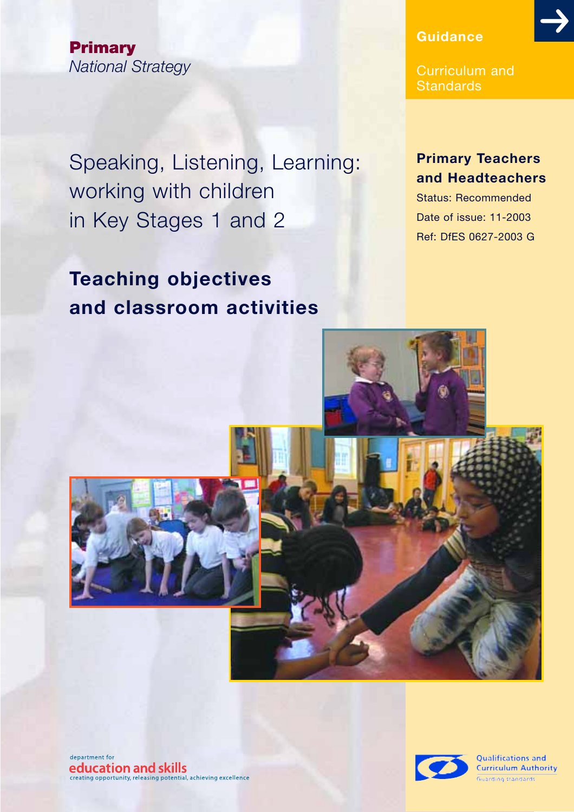**Primary** *National Strategy*

Speaking, Listening, Learning: working with children in Key Stages 1 and 2

**Teaching objectives and classroom activities** 

#### **Guidance**

Curriculum and **Standards** 

### **Primary Teachers and Headteachers**

Status: Recommended Date of issue: 11-2003 Ref: DfES 0627-2003 G





**Qualifications and Curriculum Authority** Guarding standards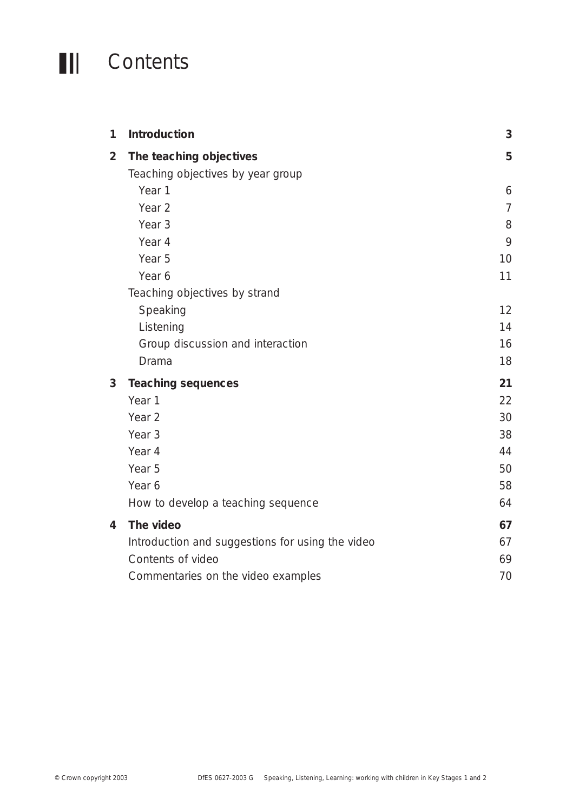## **■** Contents

| $\mathbf{1}$   | Introduction                                     | 3              |
|----------------|--------------------------------------------------|----------------|
| $\overline{2}$ | The teaching objectives                          | 5              |
|                | Teaching objectives by year group                |                |
|                | Year 1                                           | 6              |
|                | Year <sub>2</sub>                                | $\overline{7}$ |
|                | Year <sub>3</sub>                                | 8              |
|                | Year 4                                           | 9              |
|                | Year 5                                           | 10             |
|                | Year 6                                           | 11             |
|                | Teaching objectives by strand                    |                |
|                | Speaking                                         | 12             |
|                | Listening                                        | 14             |
|                | Group discussion and interaction                 | 16             |
|                | Drama                                            | 18             |
| 3              | <b>Teaching sequences</b>                        | 21             |
|                | Year 1                                           | 22             |
|                | Year <sub>2</sub>                                | 30             |
|                | Year <sub>3</sub>                                | 38             |
|                | Year 4                                           | 44             |
|                | Year 5                                           | 50             |
|                | Year 6                                           | 58             |
|                | How to develop a teaching sequence               | 64             |
| 4              | The video                                        | 67             |
|                | Introduction and suggestions for using the video | 67             |
|                | Contents of video                                | 69             |
|                | Commentaries on the video examples               | 70             |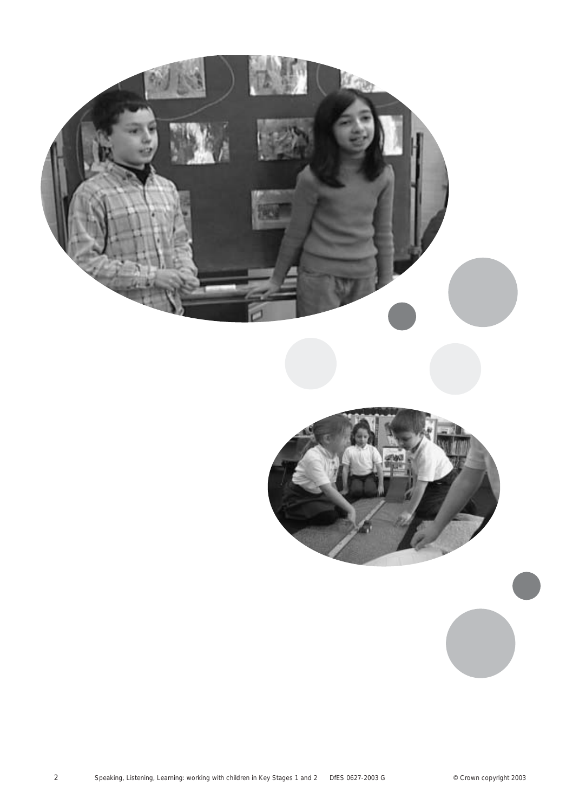

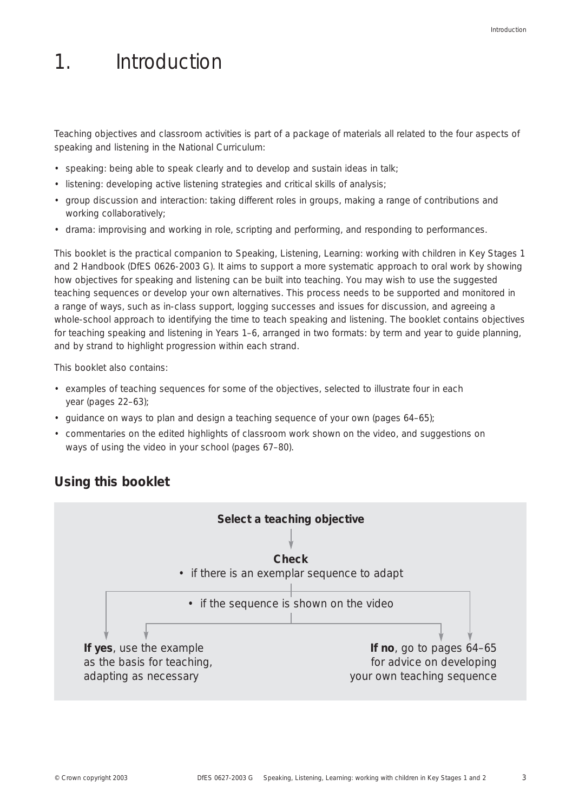## 1. Introduction

*Teaching objectives and classroom activities* is part of a package of materials all related to the four aspects of speaking and listening in the National Curriculum:

- speaking: being able to speak clearly and to develop and sustain ideas in talk;
- listening: developing active listening strategies and critical skills of analysis;
- group discussion and interaction: taking different roles in groups, making a range of contributions and working collaboratively;
- drama: improvising and working in role, scripting and performing, and responding to performances.

This booklet is the practical companion to *Speaking, Listening, Learning: working with children in Key Stages 1 and 2 Handbook* (DfES 0626-2003 G). It aims to support a more systematic approach to oral work by showing how objectives for speaking and listening can be built into teaching. You may wish to use the suggested teaching sequences or develop your own alternatives. This process needs to be supported and monitored in a range of ways, such as in-class support, logging successes and issues for discussion, and agreeing a whole-school approach to identifying the time to teach speaking and listening. The booklet contains objectives for teaching speaking and listening in Years 1–6, arranged in two formats: by term and year to guide planning, and by strand to highlight progression within each strand.

This booklet also contains:

- examples of teaching sequences for some of the objectives, selected to illustrate four in each year (pages 22–63);
- guidance on ways to plan and design a teaching sequence of your own (pages 64–65);
- commentaries on the edited highlights of classroom work shown on the video, and suggestions on ways of using the video in your school (pages 67–80).

### **Using this booklet**

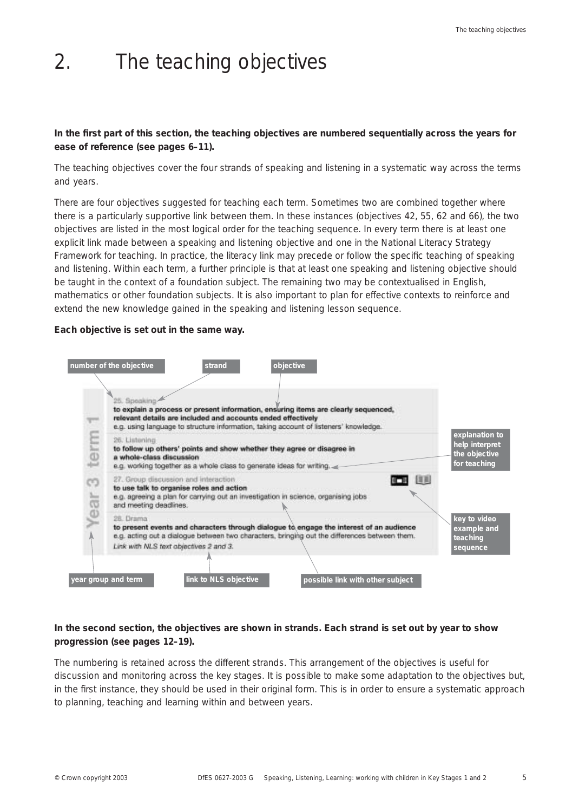# 2. The teaching objectives

#### **In the first part of this section, the teaching objectives are numbered sequentially across the years for ease of reference (see pages 6–11).**

The teaching objectives cover the four strands of speaking and listening in a systematic way across the terms and years.

There are four objectives suggested for teaching each term. Sometimes two are combined together where there is a particularly supportive link between them. In these instances (objectives 42, 55, 62 and 66), the two objectives are listed in the most logical order for the teaching sequence. In every term there is at least one explicit link made between a speaking and listening objective and one in the National Literacy Strategy *Framework for teaching*. In practice, the literacy link may precede or follow the specific teaching of speaking and listening. Within each term, a further principle is that at least one speaking and listening objective should be taught in the context of a foundation subject. The remaining two may be contextualised in English, mathematics or other foundation subjects. It is also important to plan for effective contexts to reinforce and extend the new knowledge gained in the speaking and listening lesson sequence.

#### **Each objective is set out in the same way.**



#### **In the second section, the objectives are shown in strands. Each strand is set out by year to show progression (see pages 12–19).**

The numbering is retained across the different strands. This arrangement of the objectives is useful for discussion and monitoring across the key stages. It is possible to make some adaptation to the objectives but, in the first instance, they should be used in their original form. This is in order to ensure a systematic approach to planning, teaching and learning within and between years.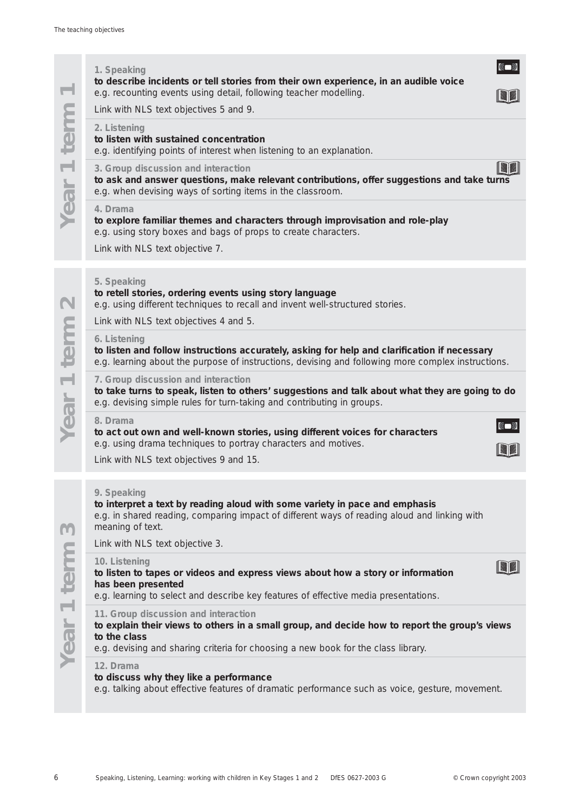| $\overline{\phantom{0}}$ | 1. Speaking<br>to describe incidents or tell stories from their own experience, in an audible voice<br>e.g. recounting events using detail, following teacher modelling.<br>Link with NLS text objectives 5 and 9.                         |
|--------------------------|--------------------------------------------------------------------------------------------------------------------------------------------------------------------------------------------------------------------------------------------|
| term                     | 2. Listening<br>to listen with sustained concentration<br>e.g. identifying points of interest when listening to an explanation.                                                                                                            |
| Year <sub>1</sub>        | 3. Group discussion and interaction<br>to ask and answer questions, make relevant contributions, offer suggestions and take turns<br>e.g. when devising ways of sorting items in the classroom.                                            |
|                          | 4. Drama<br>to explore familiar themes and characters through improvisation and role-play<br>e.g. using story boxes and bags of props to create characters.<br>Link with NLS text objective 7.                                             |
|                          | 5. Speaking<br>to retell stories, ordering events using story language<br>e.g. using different techniques to recall and invent well-structured stories.<br>Link with NLS text objectives 4 and 5.                                          |
| term                     | 6. Listening<br>to listen and follow instructions accurately, asking for help and clarification if necessary<br>e.g. learning about the purpose of instructions, devising and following more complex instructions.                         |
| Year <sub>1</sub>        | 7. Group discussion and interaction<br>to take turns to speak, listen to others' suggestions and talk about what they are going to do<br>e.g. devising simple rules for turn-taking and contributing in groups.                            |
|                          | 8. Drama<br>to act out own and well-known stories, using different voices for characters<br>e.g. using drama techniques to portray characters and motives.<br>Link with NLS text objectives 9 and 15.                                      |
|                          |                                                                                                                                                                                                                                            |
| 3                        | 9. Speaking<br>to interpret a text by reading aloud with some variety in pace and emphasis<br>e.g. in shared reading, comparing impact of different ways of reading aloud and linking with<br>meaning of text.                             |
|                          | Link with NLS text objective 3.                                                                                                                                                                                                            |
|                          | 10. Listening<br>to listen to tapes or videos and express views about how a story or information<br>has been presented<br>e.g. learning to select and describe key features of effective media presentations.                              |
| Year 1 term              | 11. Group discussion and interaction<br>to explain their views to others in a small group, and decide how to report the group's views<br>to the class<br>e.g. devising and sharing criteria for choosing a new book for the class library. |
|                          | 12. Drama<br>to discuss why they like a performance<br>e.g. talking about effective features of dramatic performance such as voice, gesture, movement.                                                                                     |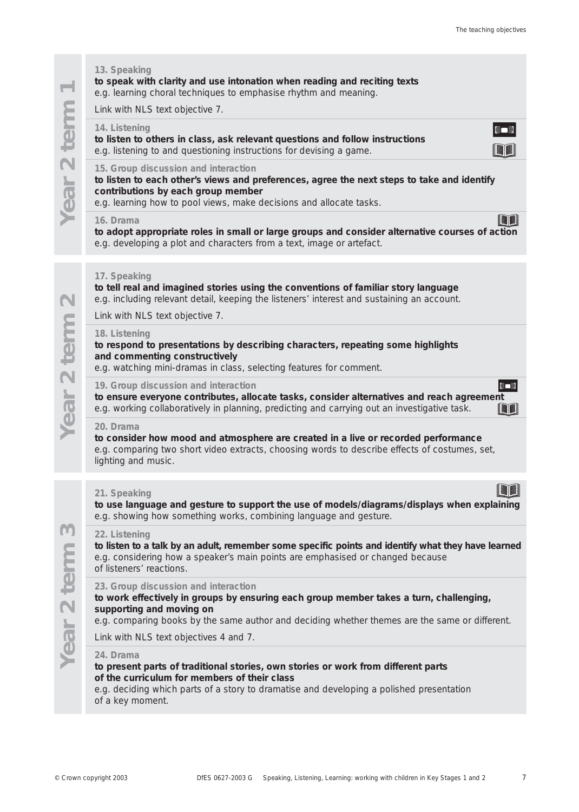| term                            | 13. Speaking<br>to speak with clarity and use intonation when reading and reciting texts<br>e.g. learning choral techniques to emphasise rhythm and meaning.<br>Link with NLS text objective 7.                                                                                                        |
|---------------------------------|--------------------------------------------------------------------------------------------------------------------------------------------------------------------------------------------------------------------------------------------------------------------------------------------------------|
|                                 | 14. Listening<br>$\subset$<br>to listen to others in class, ask relevant questions and follow instructions<br>e.g. listening to and questioning instructions for devising a game.                                                                                                                      |
| $\overline{\mathbf{C}}$<br>Year | 15. Group discussion and interaction<br>to listen to each other's views and preferences, agree the next steps to take and identify<br>contributions by each group member<br>e.g. learning how to pool views, make decisions and allocate tasks.                                                        |
|                                 | 16. Drama<br>to adopt appropriate roles in small or large groups and consider alternative courses of action<br>e.g. developing a plot and characters from a text, image or artefact.                                                                                                                   |
|                                 | 17. Speaking<br>to tell real and imagined stories using the conventions of familiar story language<br>e.g. including relevant detail, keeping the listeners' interest and sustaining an account.                                                                                                       |
|                                 | Link with NLS text objective 7.                                                                                                                                                                                                                                                                        |
| Year 2 term                     | 18. Listening<br>to respond to presentations by describing characters, repeating some highlights<br>and commenting constructively<br>e.g. watching mini-dramas in class, selecting features for comment.                                                                                               |
|                                 | $\left[$ (c $\right]$ )<br>19. Group discussion and interaction<br>to ensure everyone contributes, allocate tasks, consider alternatives and reach agreement<br>e.g. working collaboratively in planning, predicting and carrying out an investigative task.                                           |
|                                 | 20. Drama<br>to consider how mood and atmosphere are created in a live or recorded performance<br>e.g. comparing two short video extracts, choosing words to describe effects of costumes, set,<br>lighting and music.                                                                                 |
|                                 | 21. Speaking<br>to use language and gesture to support the use of models/diagrams/displays when explaining<br>e.g. showing how something works, combining language and gesture.                                                                                                                        |
|                                 | 22. Listening<br>to listen to a talk by an adult, remember some specific points and identify what they have learned<br>e.g. considering how a speaker's main points are emphasised or changed because<br>of listeners' reactions.                                                                      |
| Year 2 term 3                   | 23. Group discussion and interaction<br>to work effectively in groups by ensuring each group member takes a turn, challenging,<br>supporting and moving on<br>e.g. comparing books by the same author and deciding whether themes are the same or different.<br>Link with NLS text objectives 4 and 7. |
|                                 | 24. Drama<br>to present parts of traditional stories, own stories or work from different parts<br>of the curriculum for members of their class<br>e.g. deciding which parts of a story to dramatise and developing a polished presentation<br>of a key moment.                                         |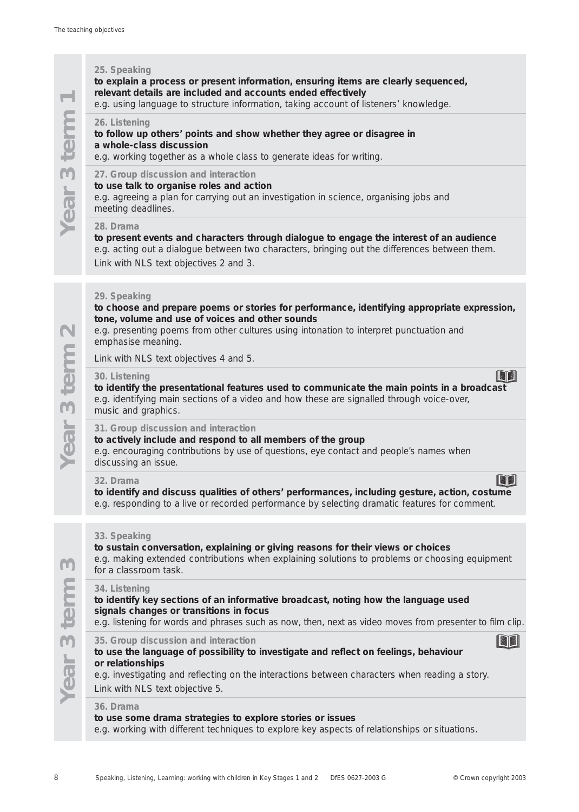٦

 $\overline{\mathsf{C}}$ 

 $\overline{\phantom{a}}$ 

 $\mathbf C$ 

 $\mathbf C$ 

 $\overline{\phantom{a}}$ 

 $\mathbf C$ 

 $\mathbf C$ 

Ŋ  $\mu$ 

| term<br><u>M</u><br>ear                                    | 25. Speaking<br>to explain a process or present information, ensuring items are clearly sequenced,<br>relevant details are included and accounts ended effectively<br>e.g. using language to structure information, taking account of listeners' knowledge.                           |
|------------------------------------------------------------|---------------------------------------------------------------------------------------------------------------------------------------------------------------------------------------------------------------------------------------------------------------------------------------|
|                                                            | 26. Listening<br>to follow up others' points and show whether they agree or disagree in<br>a whole-class discussion<br>e.g. working together as a whole class to generate ideas for writing.                                                                                          |
|                                                            | 27. Group discussion and interaction<br>to use talk to organise roles and action<br>e.g. agreeing a plan for carrying out an investigation in science, organising jobs and<br>meeting deadlines.                                                                                      |
|                                                            | 28. Drama<br>to present events and characters through dialogue to engage the interest of an audience<br>e.g. acting out a dialogue between two characters, bringing out the differences between them.<br>Link with NLS text objectives 2 and 3.                                       |
| term <sub>2</sub><br><u>က</u><br><b>JID:</b><br>$\bigcirc$ | 29. Speaking<br>to choose and prepare poems or stories for performance, identifying appropriate expression,<br>tone, volume and use of voices and other sounds<br>e.g. presenting poems from other cultures using intonation to interpret punctuation and<br>emphasise meaning.       |
|                                                            | Link with NLS text objectives 4 and 5.<br>30. Listening<br>to identify the presentational features used to communicate the main points in a broadcast<br>e.g. identifying main sections of a video and how these are signalled through voice-over,<br>music and graphics.             |
|                                                            | 31. Group discussion and interaction<br>to actively include and respond to all members of the group<br>e.g. encouraging contributions by use of questions, eye contact and people's names when<br>discussing an issue.                                                                |
|                                                            | 32. Drama<br>LIJ<br>to identify and discuss qualities of others' performances, including gesture, action, costume<br>e.g. responding to a live or recorded performance by selecting dramatic features for comment.                                                                    |
| term <sub>3</sub><br>ear <sub>3</sub>                      | 33. Speaking<br>to sustain conversation, explaining or giving reasons for their views or choices<br>e.g. making extended contributions when explaining solutions to problems or choosing equipment<br>for a classroom task.                                                           |
|                                                            | 34. Listening<br>to identify key sections of an informative broadcast, noting how the language used<br>signals changes or transitions in focus<br>e.g. listening for words and phrases such as now, then, next as video moves from presenter to film clip.                            |
|                                                            | 35. Group discussion and interaction<br>to use the language of possibility to investigate and reflect on feelings, behaviour<br>or relationships<br>e.g. investigating and reflecting on the interactions between characters when reading a story.<br>Link with NLS text objective 5. |
|                                                            | 36. Drama<br>to use some drama strategies to explore stories or issues<br>e.g. working with different techniques to explore key aspects of relationships or situations.                                                                                                               |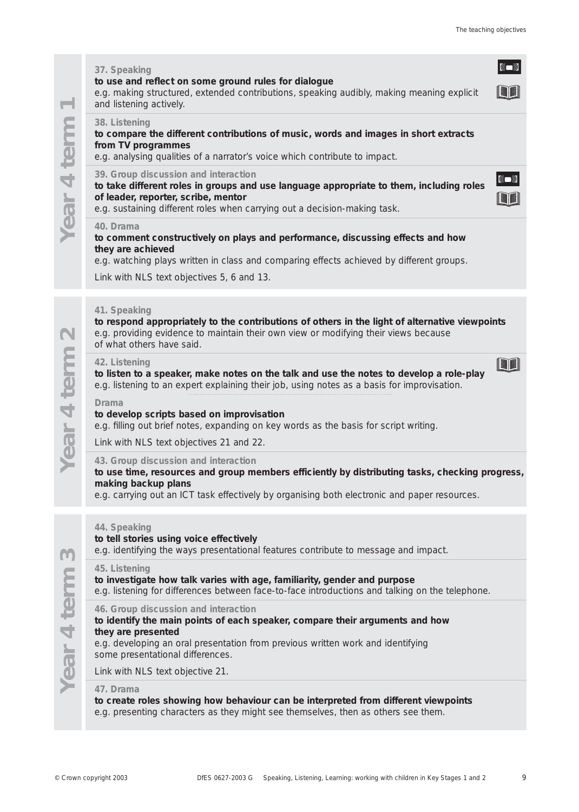| 4 term                  | 37. Speaking<br>to use and reflect on some ground rules for dialogue<br>e.g. making structured, extended contributions, speaking audibly, making meaning explicit<br>and listening actively.                                                                                     |
|-------------------------|----------------------------------------------------------------------------------------------------------------------------------------------------------------------------------------------------------------------------------------------------------------------------------|
|                         | 38. Listening<br>to compare the different contributions of music, words and images in short extracts<br>from TV programmes<br>e.g. analysing qualities of a narrator's voice which contribute to impact.                                                                         |
|                         | 39. Group discussion and interaction<br>$\left($ $\Box$ $\right)$<br>to take different roles in groups and use language appropriate to them, including roles<br>of leader, reporter, scribe, mentor<br>e.g. sustaining different roles when carrying out a decision-making task. |
| Year                    | 40. Drama<br>to comment constructively on plays and performance, discussing effects and how<br>they are achieved<br>e.g. watching plays written in class and comparing effects achieved by different groups.                                                                     |
|                         | Link with NLS text objectives 5, 6 and 13.                                                                                                                                                                                                                                       |
|                         | 41. Speaking<br>to respond appropriately to the contributions of others in the light of alternative viewpoints<br>e.g. providing evidence to maintain their own view or modifying their views because<br>of what others have said.                                               |
| term <sub>2</sub>       | 42. Listening<br>to listen to a speaker, make notes on the talk and use the notes to develop a role-play<br>e.g. listening to an expert explaining their job, using notes as a basis for improvisation.                                                                          |
| $\overline{\mathbf{r}}$ | Drama<br>to develop scripts based on improvisation<br>e.g. filling out brief notes, expanding on key words as the basis for script writing.                                                                                                                                      |
|                         | Link with NLS text objectives 21 and 22.                                                                                                                                                                                                                                         |
| Year                    | 43. Group discussion and interaction<br>to use time, resources and group members efficiently by distributing tasks, checking progress,<br>making backup plans<br>e.g. carrying out an ICT task effectively by organising both electronic and paper resources.                    |
|                         |                                                                                                                                                                                                                                                                                  |
|                         | 44. Speaking<br>to tell stories using voice effectively<br>e.g. identifying the ways presentational features contribute to message and impact.                                                                                                                                   |
|                         | 45. Listening<br>to investigate how talk varies with age, familiarity, gender and purpose<br>e.g. listening for differences between face-to-face introductions and talking on the telephone.                                                                                     |
| Year 4 term 3           | 46. Group discussion and interaction<br>to identify the main points of each speaker, compare their arguments and how<br>they are presented<br>e.g. developing an oral presentation from previous written work and identifying<br>some presentational differences.                |
|                         | Link with NLS text objective 21.                                                                                                                                                                                                                                                 |
|                         | 47. Drama<br>to create roles showing how behaviour can be interpreted from different viewpoints<br>e.g. presenting characters as they might see themselves, then as others see them.                                                                                             |

 $\overline{\varsigma}$ 

j. ų

 $\overline{\mathsf{C}}$ 

×, i,

li,  $\overline{\mathcal{C}}$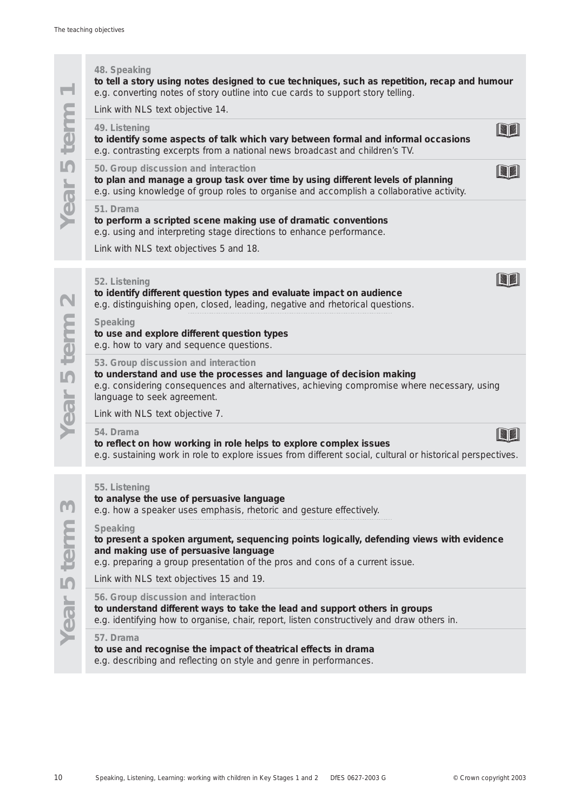|             | 48. Speaking<br>to tell a story using notes designed to cue techniques, such as repetition, recap and humour<br>e.g. converting notes of story outline into cue cards to support story telling.<br>Link with NLS text objective 14.       |
|-------------|-------------------------------------------------------------------------------------------------------------------------------------------------------------------------------------------------------------------------------------------|
| term        | 49. Listening<br>to identify some aspects of talk which vary between formal and informal occasions<br>e.g. contrasting excerpts from a national news broadcast and children's TV.                                                         |
| 10          | 50. Group discussion and interaction<br>to plan and manage a group task over time by using different levels of planning<br>e.g. using knowledge of group roles to organise and accomplish a collaborative activity.                       |
| Year        | 51. Drama<br>to perform a scripted scene making use of dramatic conventions<br>e.g. using and interpreting stage directions to enhance performance.                                                                                       |
|             | Link with NLS text objectives 5 and 18.                                                                                                                                                                                                   |
|             | 52. Listening<br>to identify different question types and evaluate impact on audience<br>e.g. distinguishing open, closed, leading, negative and rhetorical questions.                                                                    |
| term        | Speaking<br>to use and explore different question types<br>e.g. how to vary and sequence questions.                                                                                                                                       |
| LO<br>Year  | 53. Group discussion and interaction<br>to understand and use the processes and language of decision making<br>e.g. considering consequences and alternatives, achieving compromise where necessary, using<br>language to seek agreement. |
|             | Link with NLS text objective 7.                                                                                                                                                                                                           |
|             | 54. Drama<br>to reflect on how working in role helps to explore complex issues<br>e.g. sustaining work in role to explore issues from different social, cultural or historical perspectives.                                              |
|             | 55. Listening<br>to analyse the use of persuasive language<br>e.g. how a speaker uses emphasis, rhetoric and gesture effectively.                                                                                                         |
| Year 5 term | Speaking<br>to present a spoken argument, sequencing points logically, defending views with evidence<br>and making use of persuasive language<br>e.g. preparing a group presentation of the pros and cons of a current issue.             |
|             | Link with NLS text objectives 15 and 19.                                                                                                                                                                                                  |
|             | 56. Group discussion and interaction<br>to understand different ways to take the lead and support others in groups<br>e.g. identifying how to organise, chair, report, listen constructively and draw others in.                          |
|             | 57. Drama<br>to use and recognise the impact of theatrical effects in drama<br>e.g. describing and reflecting on style and genre in performances.                                                                                         |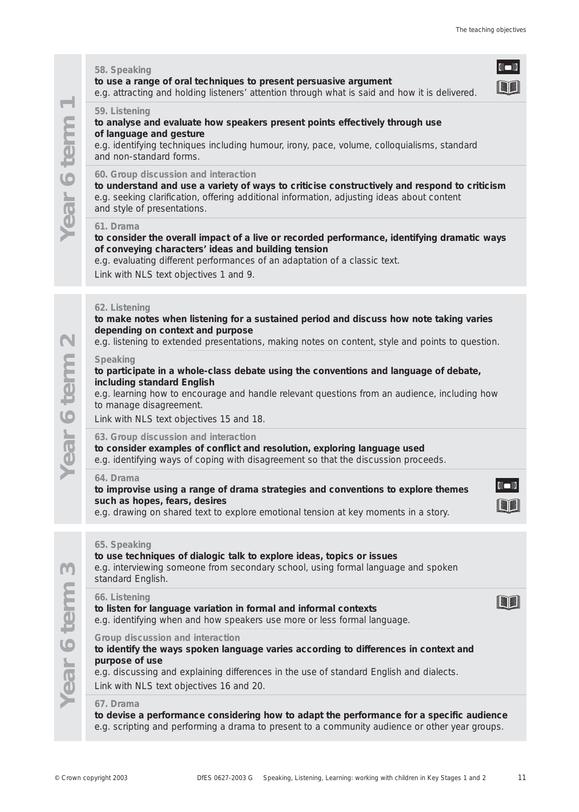|                                       | $\left($ $\right)$<br>58. Speaking<br>to use a range of oral techniques to present persuasive argument<br><u>ing </u><br>e.g. attracting and holding listeners' attention through what is said and how it is delivered.                                                                               |
|---------------------------------------|-------------------------------------------------------------------------------------------------------------------------------------------------------------------------------------------------------------------------------------------------------------------------------------------------------|
| term<br>0<br>Year                     | 59. Listening<br>to analyse and evaluate how speakers present points effectively through use<br>of language and gesture<br>e.g. identifying techniques including humour, irony, pace, volume, colloquialisms, standard<br>and non-standard forms.                                                     |
|                                       | 60. Group discussion and interaction<br>to understand and use a variety of ways to criticise constructively and respond to criticism<br>e.g. seeking clarification, offering additional information, adjusting ideas about content<br>and style of presentations.                                     |
|                                       | 61. Drama<br>to consider the overall impact of a live or recorded performance, identifying dramatic ways<br>of conveying characters' ideas and building tension<br>e.g. evaluating different performances of an adaptation of a classic text.<br>Link with NLS text objectives 1 and 9.               |
|                                       | 62. Listening<br>to make notes when listening for a sustained period and discuss how note taking varies<br>depending on context and purpose<br>e.g. listening to extended presentations, making notes on content, style and points to question.                                                       |
| term<br>$\bullet$<br>JR<br>$\bigcirc$ | Speaking<br>to participate in a whole-class debate using the conventions and language of debate,<br>including standard English<br>e.g. learning how to encourage and handle relevant questions from an audience, including how<br>to manage disagreement.<br>Link with NLS text objectives 15 and 18. |
|                                       | 63. Group discussion and interaction<br>to consider examples of conflict and resolution, exploring language used<br>e.g. identifying ways of coping with disagreement so that the discussion proceeds.                                                                                                |
|                                       | 64. Drama<br>$\begin{bmatrix} \mathbb{C} & \mathbb{D} \end{bmatrix}$<br>to improvise using a range of drama strategies and conventions to explore themes<br>such as hopes, fears, desires<br>e.g. drawing on shared text to explore emotional tension at key moments in a story.                      |
| 6 term 3<br>Year                      | 65. Speaking<br>to use techniques of dialogic talk to explore ideas, topics or issues<br>e.g. interviewing someone from secondary school, using formal language and spoken<br>standard English.                                                                                                       |
|                                       | 66. Listening<br>to listen for language variation in formal and informal contexts<br>e.g. identifying when and how speakers use more or less formal language.                                                                                                                                         |
|                                       | Group discussion and interaction<br>to identify the ways spoken language varies according to differences in context and<br>purpose of use<br>e.g. discussing and explaining differences in the use of standard English and dialects.<br>Link with NLS text objectives 16 and 20.                      |
|                                       | 67. Drama<br>to devise a performance considering how to adapt the performance for a specific audience<br>e.g. scripting and performing a drama to present to a community audience or other year groups.                                                                                               |

 $\overline{\phantom{a}}$ 

 $\boldsymbol\zeta$ 

 $\overline{\varsigma}$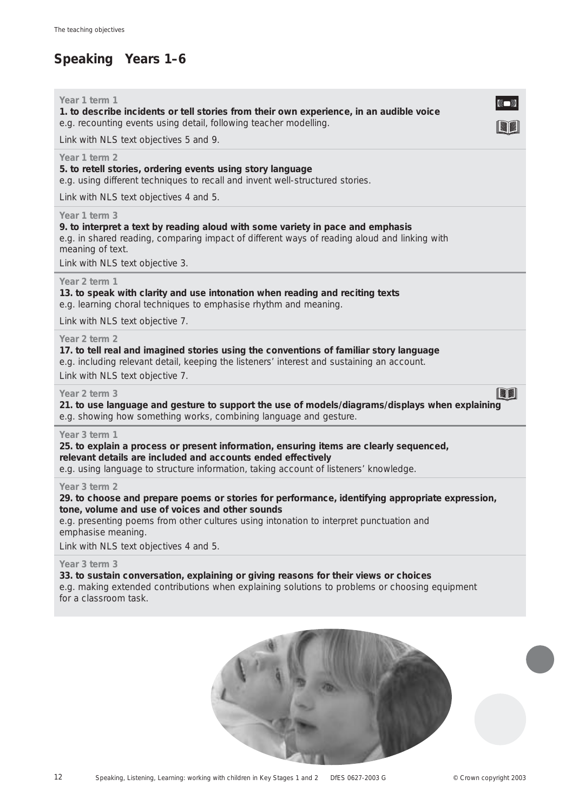## **Speaking Years 1–6**

### **Year 1 term 1 1. to describe incidents or tell stories from their own experience, in an audible voice** e.g. recounting events using detail, following teacher modelling. *Link with NLS text objectives 5 and 9.*  **Year 1 term 2 5. to retell stories, ordering events using story language** e.g. using different techniques to recall and invent well-structured stories. *Link with NLS text objectives 4 and 5.*  **Year 1 term 3 9. to interpret a text by reading aloud with some variety in pace and emphasis** e.g. in shared reading, comparing impact of different ways of reading aloud and linking with meaning of text. *Link with NLS text objective 3.*  **Year 2 term 1 13. to speak with clarity and use intonation when reading and reciting texts** e.g. learning choral techniques to emphasise rhythm and meaning. *Link with NLS text objective 7.*  **Year 2 term 2 17. to tell real and imagined stories using the conventions of familiar story language** e.g. including relevant detail, keeping the listeners' interest and sustaining an account. *Link with NLS text objective 7.*  **Year 2 term 3 21. to use language and gesture to support the use of models/diagrams/displays when explaining** e.g. showing how something works, combining language and gesture. **Year 3 term 1 25. to explain a process or present information, ensuring items are clearly sequenced, relevant details are included and accounts ended effectively** e.g. using language to structure information, taking account of listeners' knowledge. **Year 3 term 2**

**29. to choose and prepare poems or stories for performance, identifying appropriate expression, tone, volume and use of voices and other sounds**

e.g. presenting poems from other cultures using intonation to interpret punctuation and emphasise meaning.

*Link with NLS text objectives 4 and 5.* 

#### **Year 3 term 3**

**33. to sustain conversation, explaining or giving reasons for their views or choices** 

e.g. making extended contributions when explaining solutions to problems or choosing equipment for a classroom task.



 $\mathbb{H} \mathbb{M}$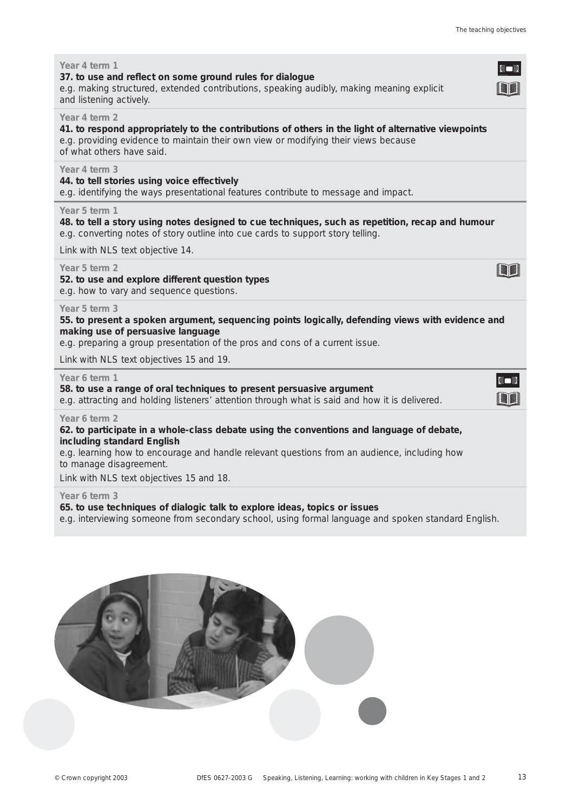| Year 4 term 1<br>$\Box$<br>37. to use and reflect on some ground rules for dialogue<br>e.g. making structured, extended contributions, speaking audibly, making meaning explicit<br>and listening actively.                                                                                                    |
|----------------------------------------------------------------------------------------------------------------------------------------------------------------------------------------------------------------------------------------------------------------------------------------------------------------|
| Year 4 term 2<br>41. to respond appropriately to the contributions of others in the light of alternative viewpoints<br>e.g. providing evidence to maintain their own view or modifying their views because<br>of what others have said.                                                                        |
| Year 4 term 3<br>44. to tell stories using voice effectively<br>e.g. identifying the ways presentational features contribute to message and impact.                                                                                                                                                            |
| Year 5 term 1<br>48. to tell a story using notes designed to cue techniques, such as repetition, recap and humour<br>e.g. converting notes of story outline into cue cards to support story telling.<br>Link with NLS text objective 14.                                                                       |
| Year 5 term 2<br>52. to use and explore different question types<br>e.g. how to vary and sequence questions.                                                                                                                                                                                                   |
| Year 5 term 3<br>55. to present a spoken argument, sequencing points logically, defending views with evidence and<br>making use of persuasive language<br>e.g. preparing a group presentation of the pros and cons of a current issue.<br>Link with NLS text objectives 15 and 19.                             |
| Year 6 term 1<br>(<br>58. to use a range of oral techniques to present persuasive argument<br>e.g. attracting and holding listeners' attention through what is said and how it is delivered.                                                                                                                   |
| Year 6 term 2<br>62. to participate in a whole-class debate using the conventions and language of debate,<br>including standard English<br>e.g. learning how to encourage and handle relevant questions from an audience, including how<br>to manage disagreement.<br>Link with NLS text objectives 15 and 18. |
| Year 6 term 3<br>65. to use techniques of dialogic talk to explore ideas, topics or issues<br>e.g. interviewing someone from secondary school, using formal language and spoken standard English.                                                                                                              |

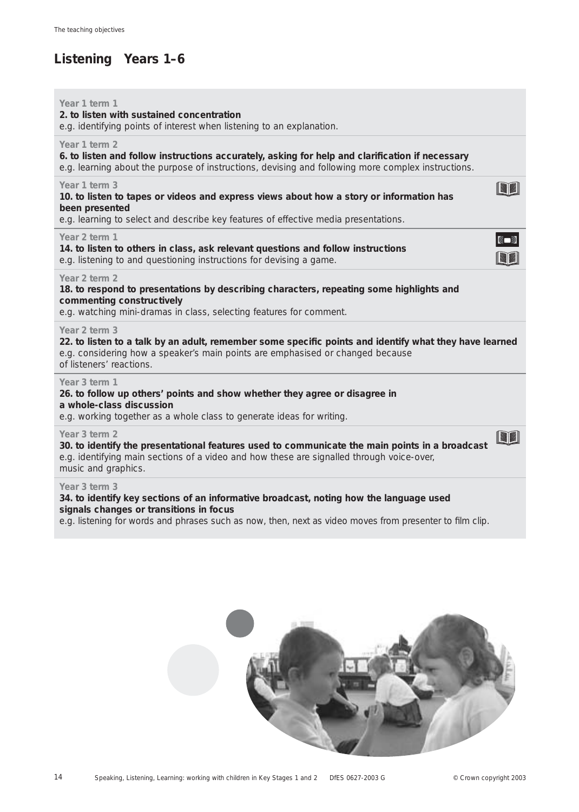### **Listening Years 1–6**

#### **Year 1 term 1 2. to listen with sustained concentration** e.g. identifying points of interest when listening to an explanation. **Year 1 term 2 6. to listen and follow instructions accurately, asking for help and clarification if necessary** e.g. learning about the purpose of instructions, devising and following more complex instructions. **Year 1 term 3** 12191 **10. to listen to tapes or videos and express views about how a story or information has been presented** e.g. learning to select and describe key features of effective media presentations. **Year 2 term 1**  $\left($ **14. to listen to others in class, ask relevant questions and follow instructions** e.g. listening to and questioning instructions for devising a game. **Year 2 term 2 18. to respond to presentations by describing characters, repeating some highlights and commenting constructively** e.g. watching mini-dramas in class, selecting features for comment. **Year 2 term 3 22. to listen to a talk by an adult, remember some specific points and identify what they have learned** e.g. considering how a speaker's main points are emphasised or changed because of listeners' reactions. **Year 3 term 1 26. to follow up others' points and show whether they agree or disagree in a whole-class discussion** e.g. working together as a whole class to generate ideas for writing. **Year 3 term 2** PISI **30. to identify the presentational features used to communicate the main points in a broadcast** e.g. identifying main sections of a video and how these are signalled through voice-over, music and graphics. **Year 3 term 3 34. to identify key sections of an informative broadcast, noting how the language used signals changes or transitions in focus** e.g. listening for words and phrases such as *now*, *then*, *next* as video moves from presenter to film clip.

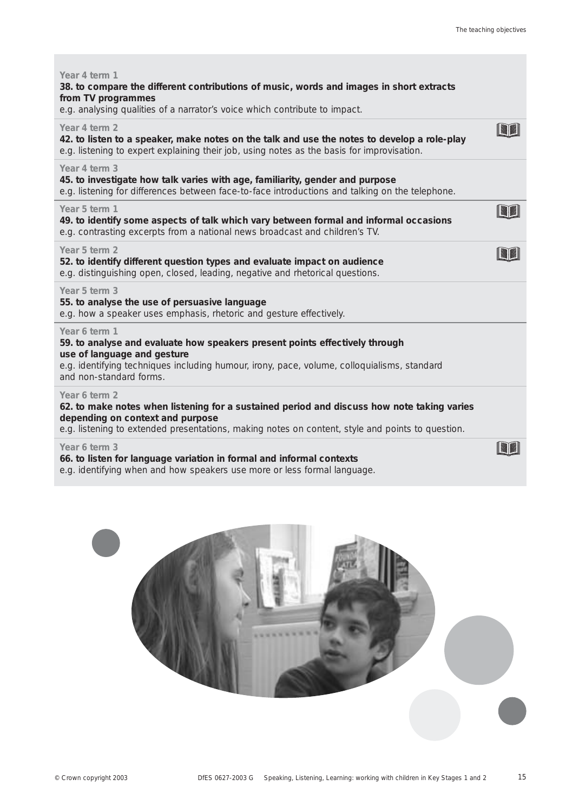| Year 4 term 1<br>38. to compare the different contributions of music, words and images in short extracts<br>from TV programmes<br>e.g. analysing qualities of a narrator's voice which contribute to impact.                                          |  |
|-------------------------------------------------------------------------------------------------------------------------------------------------------------------------------------------------------------------------------------------------------|--|
| Year 4 term 2<br>42. to listen to a speaker, make notes on the talk and use the notes to develop a role-play<br>e.g. listening to expert explaining their job, using notes as the basis for improvisation.                                            |  |
| Year 4 term 3<br>45. to investigate how talk varies with age, familiarity, gender and purpose<br>e.g. listening for differences between face-to-face introductions and talking on the telephone.                                                      |  |
| Year 5 term 1<br>49. to identify some aspects of talk which vary between formal and informal occasions<br>e.g. contrasting excerpts from a national news broadcast and children's TV.                                                                 |  |
| Year 5 term 2<br>52. to identify different question types and evaluate impact on audience<br>e.g. distinguishing open, closed, leading, negative and rhetorical questions.                                                                            |  |
| Year 5 term 3<br>55. to analyse the use of persuasive language<br>e.g. how a speaker uses emphasis, rhetoric and gesture effectively.                                                                                                                 |  |
| Year 6 term 1<br>59. to analyse and evaluate how speakers present points effectively through<br>use of language and gesture<br>e.g. identifying techniques including humour, irony, pace, volume, colloquialisms, standard<br>and non-standard forms. |  |
| Year 6 term 2<br>62. to make notes when listening for a sustained period and discuss how note taking varies<br>depending on context and purpose<br>e.g. listening to extended presentations, making notes on content, style and points to question.   |  |
| Year 6 term 3<br>66. to listen for language variation in formal and informal contexts<br>e.g. identifying when and how speakers use more or less formal language.                                                                                     |  |

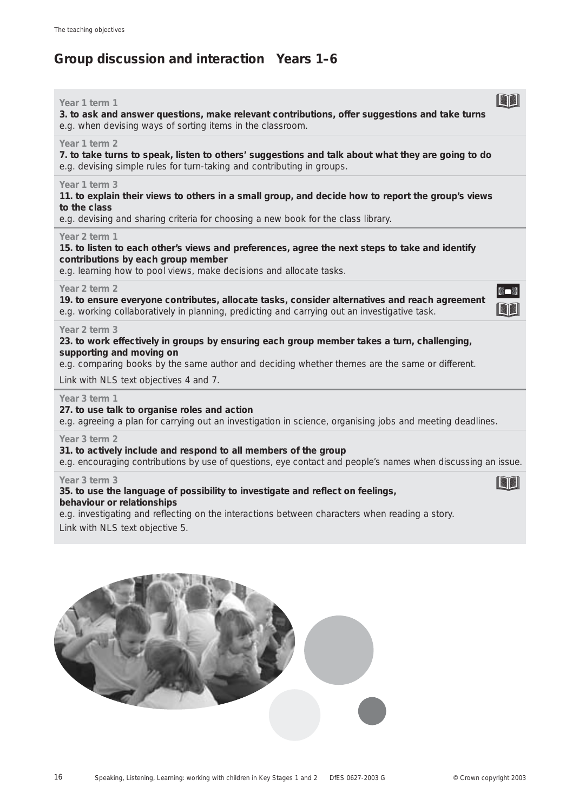### **Group discussion and interaction Years 1–6**

#### **Year 1 term 1**

**3. to ask and answer questions, make relevant contributions, offer suggestions and take turns** e.g. when devising ways of sorting items in the classroom.

#### **Year 1 term 2**

**7. to take turns to speak, listen to others' suggestions and talk about what they are going to do** e.g. devising simple rules for turn-taking and contributing in groups.

#### **Year 1 term 3**

**11. to explain their views to others in a small group, and decide how to report the group's views to the class**

e.g. devising and sharing criteria for choosing a new book for the class library.

#### **Year 2 term 1**

**15. to listen to each other's views and preferences, agree the next steps to take and identify contributions by each group member**

e.g. learning how to pool views, make decisions and allocate tasks.

#### **Year 2 term 2**

**19. to ensure everyone contributes, allocate tasks, consider alternatives and reach agreement** e.g. working collaboratively in planning, predicting and carrying out an investigative task.



126

1261

#### **Year 2 term 3**

**23. to work effectively in groups by ensuring each group member takes a turn, challenging, supporting and moving on**

e.g. comparing books by the same author and deciding whether themes are the same or different.

*Link with NLS text objectives 4 and 7.* 

#### **Year 3 term 1**

#### **27. to use talk to organise roles and action**

e.g. agreeing a plan for carrying out an investigation in science, organising jobs and meeting deadlines.

**Year 3 term 2**

#### **31. to actively include and respond to all members of the group**

e.g. encouraging contributions by use of questions, eye contact and people's names when discussing an issue.

#### **Year 3 term 3**

#### **35. to use the language of possibility to investigate and reflect on feelings,**

**behaviour or relationships**

e.g. investigating and reflecting on the interactions between characters when reading a story.

*Link with NLS text objective 5.* 

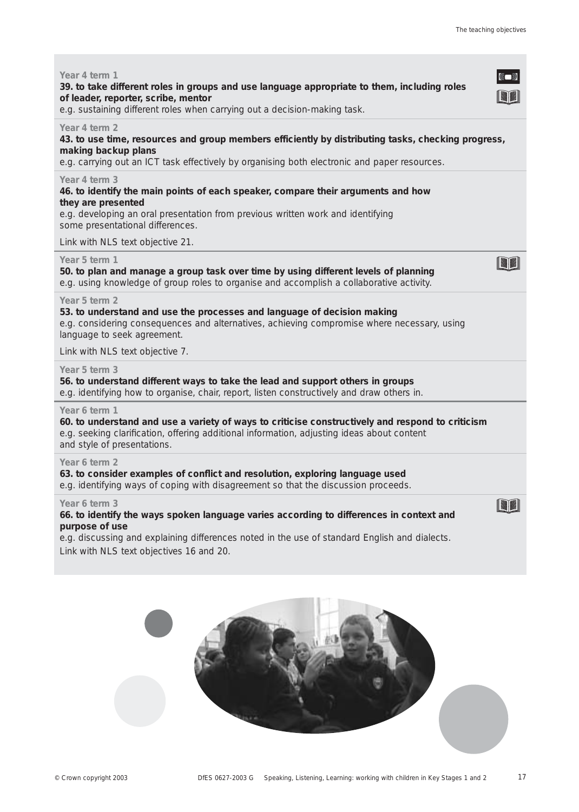| Year 4 term 1<br>$\Box$<br>39. to take different roles in groups and use language appropriate to them, including roles<br>of leader, reporter, scribe, mentor<br>e.g. sustaining different roles when carrying out a decision-making task.                                         |
|------------------------------------------------------------------------------------------------------------------------------------------------------------------------------------------------------------------------------------------------------------------------------------|
| Year 4 term 2<br>43. to use time, resources and group members efficiently by distributing tasks, checking progress,<br>making backup plans<br>e.g. carrying out an ICT task effectively by organising both electronic and paper resources.                                         |
| Year 4 term 3<br>46. to identify the main points of each speaker, compare their arguments and how<br>they are presented<br>e.g. developing an oral presentation from previous written work and identifying<br>some presentational differences.<br>Link with NLS text objective 21. |
| Year 5 term 1<br>50. to plan and manage a group task over time by using different levels of planning<br>e.g. using knowledge of group roles to organise and accomplish a collaborative activity.                                                                                   |
| Year 5 term 2<br>53. to understand and use the processes and language of decision making<br>e.g. considering consequences and alternatives, achieving compromise where necessary, using<br>language to seek agreement.                                                             |
| Link with NLS text objective 7.                                                                                                                                                                                                                                                    |
| Year 5 term 3<br>56. to understand different ways to take the lead and support others in groups<br>e.g. identifying how to organise, chair, report, listen constructively and draw others in.                                                                                      |
| Year 6 term 1<br>60. to understand and use a variety of ways to criticise constructively and respond to criticism<br>e.g. seeking clarification, offering additional information, adjusting ideas about content<br>and style of presentations.                                     |
| Year 6 term 2<br>63. to consider examples of conflict and resolution, exploring language used<br>e.g. identifying ways of coping with disagreement so that the discussion proceeds.                                                                                                |
| Year 6 term 3<br>66. to identify the ways spoken language varies according to differences in context and<br>purpose of use<br>e.g. discussing and explaining differences noted in the use of standard English and dialects.<br>Link with NLS text objectives 16 and 20.            |

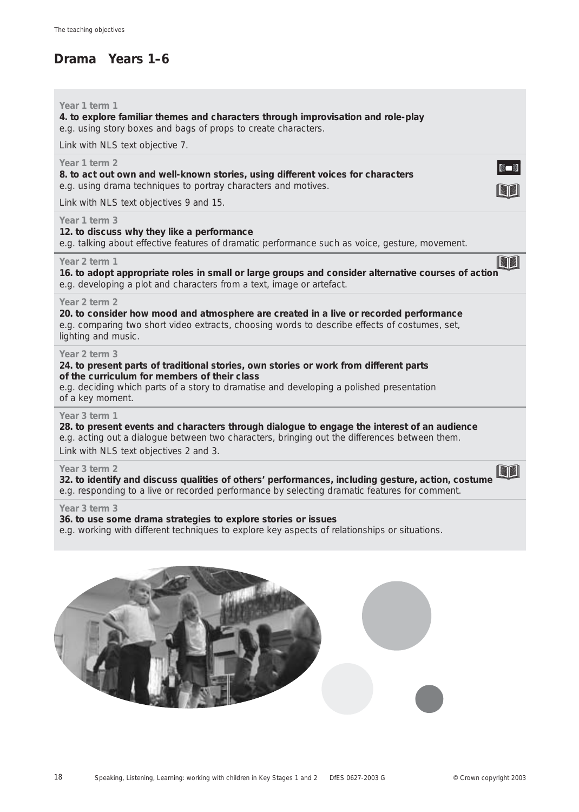### **Drama Years 1–6**

#### **Year 1 term 1 4. to explore familiar themes and characters through improvisation and role-play** e.g. using story boxes and bags of props to create characters. *Link with NLS text objective 7.*

#### **Year 1 term 2**

**8. to act out own and well-known stories, using different voices for characters** e.g. using drama techniques to portray characters and motives.

*Link with NLS text objectives 9 and 15.* 

#### **Year 1 term 3**

#### **12. to discuss why they like a performance**

e.g. talking about effective features of dramatic performance such as voice, gesture, movement.

#### **Year 2 term 1**

**16. to adopt appropriate roles in small or large groups and consider alternative courses of action** e.g. developing a plot and characters from a text, image or artefact.

#### **Year 2 term 2**

**20. to consider how mood and atmosphere are created in a live or recorded performance** e.g. comparing two short video extracts, choosing words to describe effects of costumes, set, lighting and music.

#### **Year 2 term 3**

#### **24. to present parts of traditional stories, own stories or work from different parts of the curriculum for members of their class**

e.g. deciding which parts of a story to dramatise and developing a polished presentation of a key moment.

#### **Year 3 term 1**

### **28. to present events and characters through dialogue to engage the interest of an audience** e.g. acting out a dialogue between two characters, bringing out the differences between them.

*Link with NLS text objectives 2 and 3.* 

#### **Year 3 term 2**

Bi **32. to identify and discuss qualities of others' performances, including gesture, action, costume** e.g. responding to a live or recorded performance by selecting dramatic features for comment.

#### **Year 3 term 3**

#### **36. to use some drama strategies to explore stories or issues**

e.g. working with different techniques to explore key aspects of relationships or situations.



 $\left($ 

126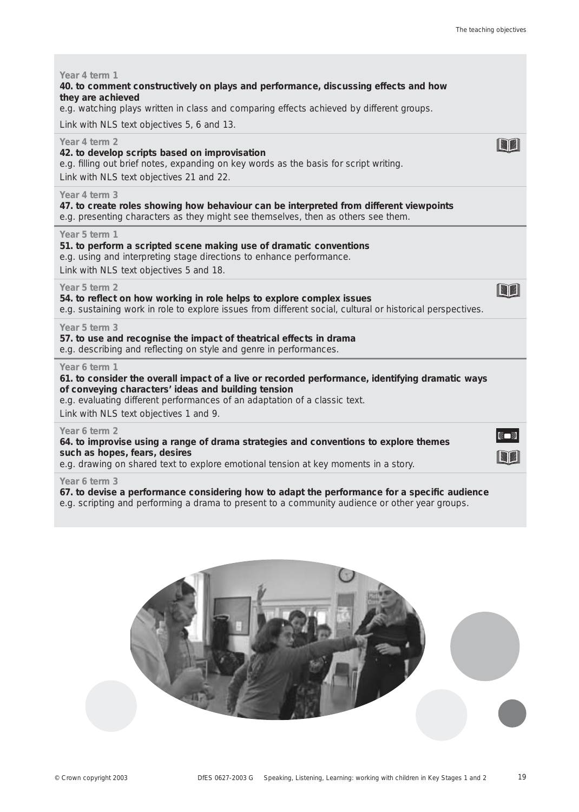

**67. to devise a performance considering how to adapt the performance for a specific audience** e.g. scripting and performing a drama to present to a community audience or other year groups.

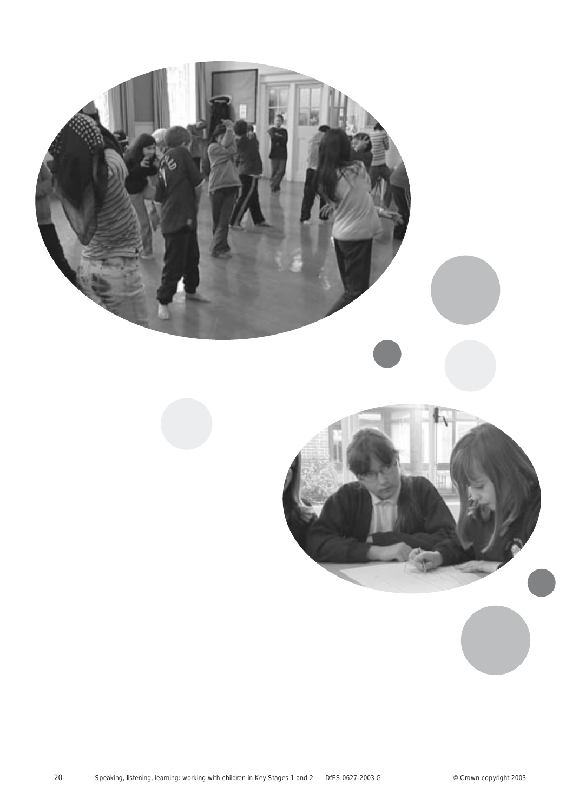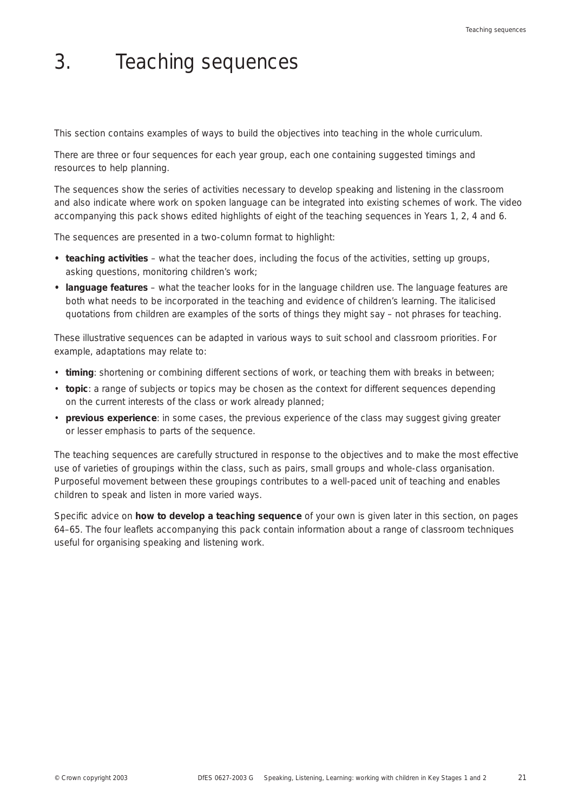## 3. Teaching sequences

This section contains examples of ways to build the objectives into teaching in the whole curriculum.

There are three or four sequences for each year group, each one containing suggested timings and resources to help planning.

The sequences show the series of activities necessary to develop speaking and listening in the classroom and also indicate where work on spoken language can be integrated into existing schemes of work. The video accompanying this pack shows edited highlights of eight of the teaching sequences in Years 1, 2, 4 and 6.

The sequences are presented in a two-column format to highlight:

- **•** *teaching activities* what the teacher does, including the focus of the activities, setting up groups, asking questions, monitoring children's work;
- **•** *language features* what the teacher looks for in the language children use. The language features are both what needs to be incorporated in the teaching and evidence of children's learning. The italicised quotations from children are examples of the sorts of things they might say – not phrases for teaching.

These illustrative sequences can be adapted in various ways to suit school and classroom priorities. For example, adaptations may relate to:

- **timing**: shortening or combining different sections of work, or teaching them with breaks in between;
- **topic**: a range of subjects or topics may be chosen as the context for different sequences depending on the current interests of the class or work already planned;
- **previous experience**: in some cases, the previous experience of the class may suggest giving greater or lesser emphasis to parts of the sequence.

The teaching sequences are carefully structured in response to the objectives and to make the most effective use of varieties of groupings within the class, such as pairs, small groups and whole-class organisation. Purposeful movement between these groupings contributes to a well-paced unit of teaching and enables children to speak and listen in more varied ways.

Specific advice on **how to develop a teaching sequence** of your own is given later in this section, on pages 64–65. The four leaflets accompanying this pack contain information about a range of classroom techniques useful for organising speaking and listening work.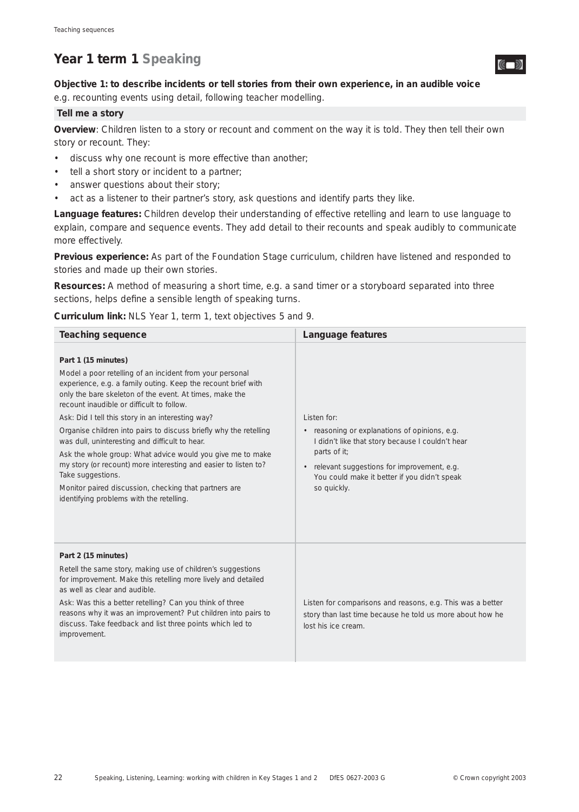### **Year 1 term 1 Speaking**

**Objective 1: to describe incidents or tell stories from their own experience, in an audible voice** e.g. recounting events using detail, following teacher modelling.

#### *Tell me a story*

**Overview**: Children listen to a story or recount and comment on the way it is told. They then tell their own story or recount. They:

- discuss why one recount is more effective than another;
- tell a short story or incident to a partner;
- answer questions about their story;
- act as a listener to their partner's story, ask questions and identify parts they like.

**Language features:** Children develop their understanding of effective retelling and learn to use language to explain, compare and sequence events. They add detail to their recounts and speak audibly to communicate more effectively.

**Previous experience:** As part of the Foundation Stage curriculum, children have listened and responded to stories and made up their own stories.

**Resources:** A method of measuring a short time, e.g. a sand timer or a storyboard separated into three sections, helps define a sensible length of speaking turns.

**Curriculum link:** NLS Year 1, term 1, text objectives 5 and 9.

| <b>Teaching sequence</b>                                                                                                                                                                                                                                                                                                                                                                                                                                                                                                                                                                                                                                                                        | Language features                                                                                                                                                                                                                                                     |
|-------------------------------------------------------------------------------------------------------------------------------------------------------------------------------------------------------------------------------------------------------------------------------------------------------------------------------------------------------------------------------------------------------------------------------------------------------------------------------------------------------------------------------------------------------------------------------------------------------------------------------------------------------------------------------------------------|-----------------------------------------------------------------------------------------------------------------------------------------------------------------------------------------------------------------------------------------------------------------------|
| Part 1 (15 minutes)<br>Model a poor retelling of an incident from your personal<br>experience, e.g. a family outing. Keep the recount brief with<br>only the bare skeleton of the event. At times, make the<br>recount inaudible or difficult to follow.<br>Ask: Did I tell this story in an interesting way?<br>Organise children into pairs to discuss briefly why the retelling<br>was dull, uninteresting and difficult to hear.<br>Ask the whole group: What advice would you give me to make<br>my story (or recount) more interesting and easier to listen to?<br>Take suggestions.<br>Monitor paired discussion, checking that partners are<br>identifying problems with the retelling. | Listen for:<br>reasoning or explanations of opinions, e.g.<br>$\bullet$<br>I didn't like that story because I couldn't hear<br>parts of it;<br>relevant suggestions for improvement, e.g.<br>$\bullet$<br>You could make it better if you didn't speak<br>so quickly. |
| Part 2 (15 minutes)<br>Retell the same story, making use of children's suggestions<br>for improvement. Make this retelling more lively and detailed<br>as well as clear and audible.<br>Ask: Was this a better retelling? Can you think of three<br>reasons why it was an improvement? Put children into pairs to<br>discuss. Take feedback and list three points which led to<br>improvement.                                                                                                                                                                                                                                                                                                  | Listen for comparisons and reasons, e.g. This was a better<br>story than last time because he told us more about how he<br>lost his ice cream.                                                                                                                        |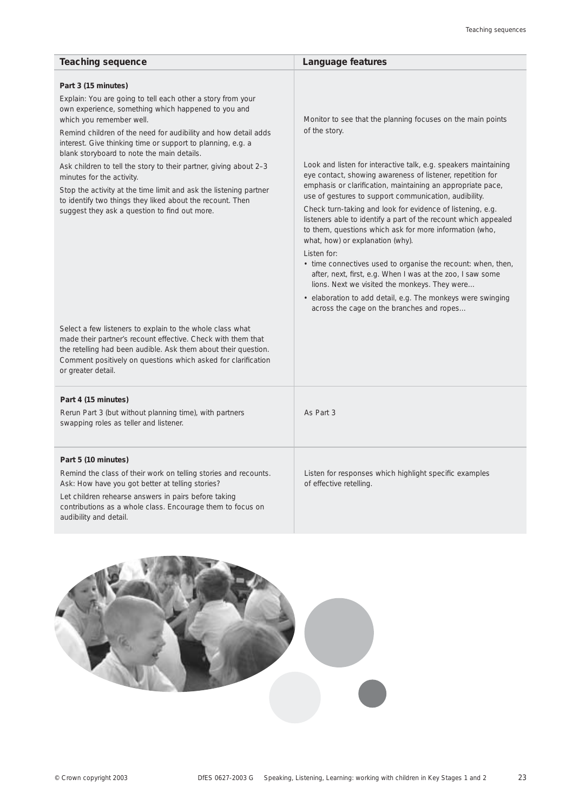| <b>Teaching sequence</b>                                                                                                                                                                                                                                                           | Language features                                                                                                                                                                                                                                                                                                                                                                                                                                                                   |
|------------------------------------------------------------------------------------------------------------------------------------------------------------------------------------------------------------------------------------------------------------------------------------|-------------------------------------------------------------------------------------------------------------------------------------------------------------------------------------------------------------------------------------------------------------------------------------------------------------------------------------------------------------------------------------------------------------------------------------------------------------------------------------|
| Part 3 (15 minutes)                                                                                                                                                                                                                                                                |                                                                                                                                                                                                                                                                                                                                                                                                                                                                                     |
| Explain: You are going to tell each other a story from your<br>own experience, something which happened to you and<br>which you remember well.<br>Remind children of the need for audibility and how detail adds<br>interest. Give thinking time or support to planning, e.g. a    | Monitor to see that the planning focuses on the main points<br>of the story.                                                                                                                                                                                                                                                                                                                                                                                                        |
| blank storyboard to note the main details.<br>Ask children to tell the story to their partner, giving about 2-3<br>minutes for the activity.<br>Stop the activity at the time limit and ask the listening partner                                                                  | Look and listen for interactive talk, e.g. speakers maintaining<br>eye contact, showing awareness of listener, repetition for<br>emphasis or clarification, maintaining an appropriate pace,                                                                                                                                                                                                                                                                                        |
| to identify two things they liked about the recount. Then<br>suggest they ask a question to find out more.                                                                                                                                                                         | use of gestures to support communication, audibility.<br>Check turn-taking and look for evidence of listening, e.g.<br>listeners able to identify a part of the recount which appealed<br>to them, questions which ask for more information (who,<br>what, how) or explanation (why).<br>Listen for:<br>• time connectives used to organise the recount: when, then,<br>after, next, first, e.g. When I was at the zoo, I saw some<br>lions. Next we visited the monkeys. They were |
|                                                                                                                                                                                                                                                                                    | • elaboration to add detail, e.g. The monkeys were swinging<br>across the cage on the branches and ropes                                                                                                                                                                                                                                                                                                                                                                            |
| Select a few listeners to explain to the whole class what<br>made their partner's recount effective. Check with them that<br>the retelling had been audible. Ask them about their question.<br>Comment positively on questions which asked for clarification<br>or greater detail. |                                                                                                                                                                                                                                                                                                                                                                                                                                                                                     |
| Part 4 (15 minutes)<br>Rerun Part 3 (but without planning time), with partners<br>swapping roles as teller and listener.                                                                                                                                                           | As Part 3                                                                                                                                                                                                                                                                                                                                                                                                                                                                           |
| Part 5 (10 minutes)<br>Remind the class of their work on telling stories and recounts.<br>Ask: How have you got better at telling stories?<br>Let children rehearse answers in pairs before taking<br>contributions as a whole class. Encourage them to focus on                   | Listen for responses which highlight specific examples<br>of effective retelling.                                                                                                                                                                                                                                                                                                                                                                                                   |
| audibility and detail.                                                                                                                                                                                                                                                             |                                                                                                                                                                                                                                                                                                                                                                                                                                                                                     |

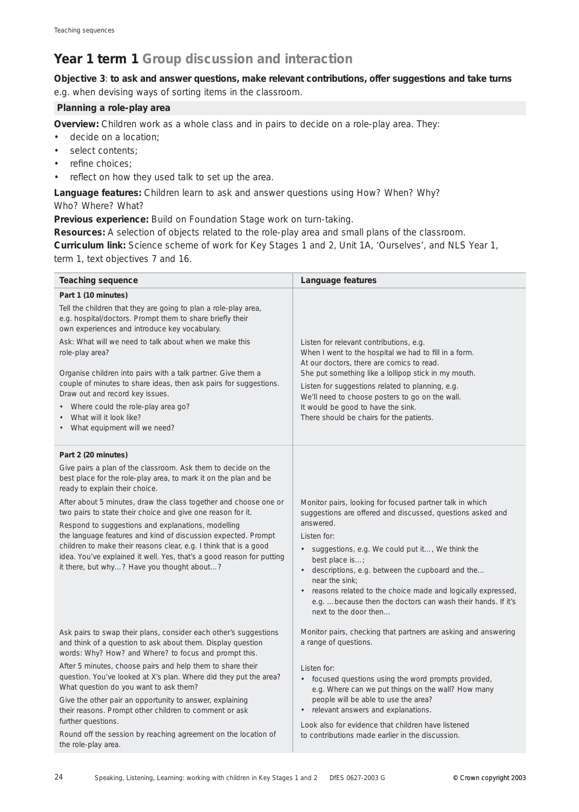### **Year 1 term 1 Group discussion and interaction**

**Objective 3**: **to ask and answer questions, make relevant contributions, offer suggestions and take turns**  e.g. when devising ways of sorting items in the classroom.

#### *Planning a role-play area*

**Overview:** Children work as a whole class and in pairs to decide on a role-play area. They:

- decide on a location;
- select contents;
- refine choices;
- reflect on how they used talk to set up the area.

**Language features:** Children learn to ask and answer questions using *How? When? Why? Who? Where? What?*

**Previous experience:** Build on Foundation Stage work on turn-taking.

**Resources:** A selection of objects related to the role-play area and small plans of the classroom.

**Curriculum link:** Science scheme of work for Key Stages 1 and 2, Unit 1A, 'Ourselves', and NLS Year 1, term 1, text objectives 7 and 16.

| <b>Teaching sequence</b>                                                                                                                                                                                                                                                                                                                                                                                                                                                                                                                                                                                                                         | Language features                                                                                                                                                                                                                                                                                                                                                                                                                                                             |
|--------------------------------------------------------------------------------------------------------------------------------------------------------------------------------------------------------------------------------------------------------------------------------------------------------------------------------------------------------------------------------------------------------------------------------------------------------------------------------------------------------------------------------------------------------------------------------------------------------------------------------------------------|-------------------------------------------------------------------------------------------------------------------------------------------------------------------------------------------------------------------------------------------------------------------------------------------------------------------------------------------------------------------------------------------------------------------------------------------------------------------------------|
| Part 1 (10 minutes)                                                                                                                                                                                                                                                                                                                                                                                                                                                                                                                                                                                                                              |                                                                                                                                                                                                                                                                                                                                                                                                                                                                               |
| Tell the children that they are going to plan a role-play area,<br>e.g. hospital/doctors. Prompt them to share briefly their<br>own experiences and introduce key vocabulary.                                                                                                                                                                                                                                                                                                                                                                                                                                                                    |                                                                                                                                                                                                                                                                                                                                                                                                                                                                               |
| Ask: What will we need to talk about when we make this<br>role-play area?<br>Organise children into pairs with a talk partner. Give them a<br>couple of minutes to share ideas, then ask pairs for suggestions.<br>Draw out and record key issues.<br>Where could the role-play area go?<br>What will it look like?                                                                                                                                                                                                                                                                                                                              | Listen for relevant contributions, e.g.<br>When I went to the hospital we had to fill in a form.<br>At our doctors, there are comics to read.<br>She put something like a lollipop stick in my mouth.<br>Listen for suggestions related to planning, e.g.<br>We'll need to choose posters to go on the wall.<br>It would be good to have the sink.<br>There should be chairs for the patients.                                                                                |
| What equipment will we need?                                                                                                                                                                                                                                                                                                                                                                                                                                                                                                                                                                                                                     |                                                                                                                                                                                                                                                                                                                                                                                                                                                                               |
| Part 2 (20 minutes)<br>Give pairs a plan of the classroom. Ask them to decide on the<br>best place for the role-play area, to mark it on the plan and be<br>ready to explain their choice.<br>After about 5 minutes, draw the class together and choose one or<br>two pairs to state their choice and give one reason for it.<br>Respond to suggestions and explanations, modelling<br>the language features and kind of discussion expected. Prompt<br>children to make their reasons clear, e.g. I think that is a good<br>idea. You've explained it well. Yes, that's a good reason for putting<br>it there, but why? Have you thought about? | Monitor pairs, looking for focused partner talk in which<br>suggestions are offered and discussed, questions asked and<br>answered.<br>Listen for:<br>suggestions, e.g. We could put it, We think the<br>$\bullet$<br>best place is;<br>descriptions, e.g. between the cupboard and the<br>$\bullet$<br>near the sink;<br>reasons related to the choice made and logically expressed,<br>e.g. because then the doctors can wash their hands. If it's<br>next to the door then |
| Ask pairs to swap their plans, consider each other's suggestions<br>and think of a question to ask about them. Display question<br>words: Why? How? and Where? to focus and prompt this.                                                                                                                                                                                                                                                                                                                                                                                                                                                         | Monitor pairs, checking that partners are asking and answering<br>a range of questions.                                                                                                                                                                                                                                                                                                                                                                                       |
| After 5 minutes, choose pairs and help them to share their<br>question. You've looked at X's plan. Where did they put the area?<br>What question do you want to ask them?                                                                                                                                                                                                                                                                                                                                                                                                                                                                        | Listen for:<br>focused questions using the word prompts provided,<br>$\bullet$ .<br>e.g. Where can we put things on the wall? How many                                                                                                                                                                                                                                                                                                                                        |
| Give the other pair an opportunity to answer, explaining<br>their reasons. Prompt other children to comment or ask<br>further questions.                                                                                                                                                                                                                                                                                                                                                                                                                                                                                                         | people will be able to use the area?<br>relevant answers and explanations.<br>$\bullet$<br>Look also for evidence that children have listened                                                                                                                                                                                                                                                                                                                                 |
| Round off the session by reaching agreement on the location of<br>the role-play area.                                                                                                                                                                                                                                                                                                                                                                                                                                                                                                                                                            | to contributions made earlier in the discussion.                                                                                                                                                                                                                                                                                                                                                                                                                              |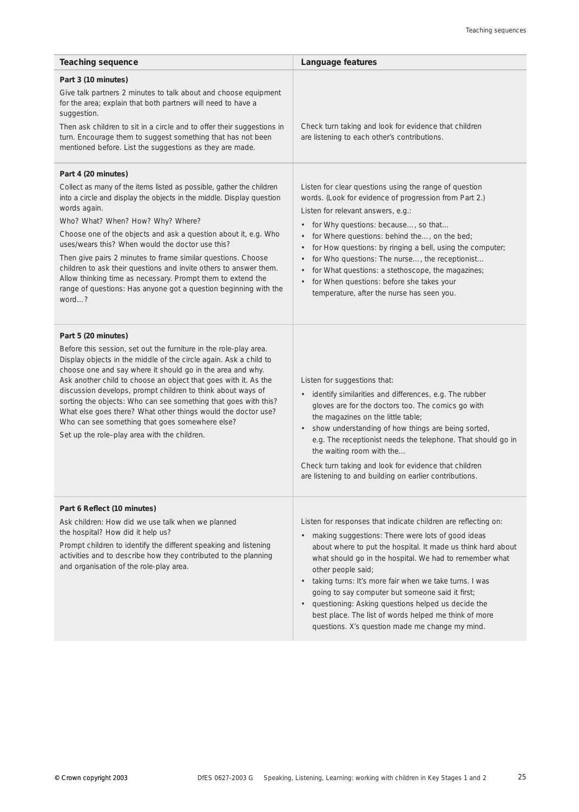| <b>Teaching sequence</b>                                                                                                                                                                                                                                                                                                                                                                                                                                                                                                                                                                                   | Language features                                                                                                                                                                                                                                                                                                                                                                                                                                                                                                                                                 |
|------------------------------------------------------------------------------------------------------------------------------------------------------------------------------------------------------------------------------------------------------------------------------------------------------------------------------------------------------------------------------------------------------------------------------------------------------------------------------------------------------------------------------------------------------------------------------------------------------------|-------------------------------------------------------------------------------------------------------------------------------------------------------------------------------------------------------------------------------------------------------------------------------------------------------------------------------------------------------------------------------------------------------------------------------------------------------------------------------------------------------------------------------------------------------------------|
| Part 3 (10 minutes)<br>Give talk partners 2 minutes to talk about and choose equipment<br>for the area; explain that both partners will need to have a<br>suggestion.<br>Then ask children to sit in a circle and to offer their suggestions in<br>turn. Encourage them to suggest something that has not been<br>mentioned before. List the suggestions as they are made.                                                                                                                                                                                                                                 | Check turn taking and look for evidence that children<br>are listening to each other's contributions.                                                                                                                                                                                                                                                                                                                                                                                                                                                             |
| Part 4 (20 minutes)                                                                                                                                                                                                                                                                                                                                                                                                                                                                                                                                                                                        |                                                                                                                                                                                                                                                                                                                                                                                                                                                                                                                                                                   |
| Collect as many of the items listed as possible, gather the children<br>into a circle and display the objects in the middle. Display question<br>words again.<br>Who? What? When? How? Why? Where?<br>Choose one of the objects and ask a question about it, e.g. Who<br>uses/wears this? When would the doctor use this?<br>Then give pairs 2 minutes to frame similar questions. Choose<br>children to ask their questions and invite others to answer them.<br>Allow thinking time as necessary. Prompt them to extend the<br>range of questions: Has anyone got a question beginning with the<br>word? | Listen for clear questions using the range of question<br>words. (Look for evidence of progression from Part 2.)<br>Listen for relevant answers, e.g.:<br>for Why questions: because, so that<br>$\bullet$<br>for Where questions: behind the, on the bed;<br>for How questions: by ringing a bell, using the computer;<br>for Who questions: The nurse, the receptionist<br>for What questions: a stethoscope, the magazines;<br>for When questions: before she takes your<br>temperature, after the nurse has seen you.                                         |
| Part 5 (20 minutes)<br>Before this session, set out the furniture in the role-play area.<br>Display objects in the middle of the circle again. Ask a child to<br>choose one and say where it should go in the area and why.<br>Ask another child to choose an object that goes with it. As the<br>discussion develops, prompt children to think about ways of<br>sorting the objects: Who can see something that goes with this?<br>What else goes there? What other things would the doctor use?<br>Who can see something that goes somewhere else?<br>Set up the role-play area with the children.       | Listen for suggestions that:<br>identify similarities and differences, e.g. The rubber<br>gloves are for the doctors too. The comics go with<br>the magazines on the little table;<br>show understanding of how things are being sorted,<br>e.g. The receptionist needs the telephone. That should go in<br>the waiting room with the<br>Check turn taking and look for evidence that children<br>are listening to and building on earlier contributions.                                                                                                         |
| Part 6 Reflect (10 minutes)<br>Ask children: How did we use talk when we planned<br>the hospital? How did it help us?<br>Prompt children to identify the different speaking and listening<br>activities and to describe how they contributed to the planning<br>and organisation of the role-play area.                                                                                                                                                                                                                                                                                                    | Listen for responses that indicate children are reflecting on:<br>making suggestions: There were lots of good ideas<br>$\bullet$<br>about where to put the hospital. It made us think hard about<br>what should go in the hospital. We had to remember what<br>other people said;<br>taking turns: It's more fair when we take turns. I was<br>going to say computer but someone said it first;<br>questioning: Asking questions helped us decide the<br>best place. The list of words helped me think of more<br>questions. X's question made me change my mind. |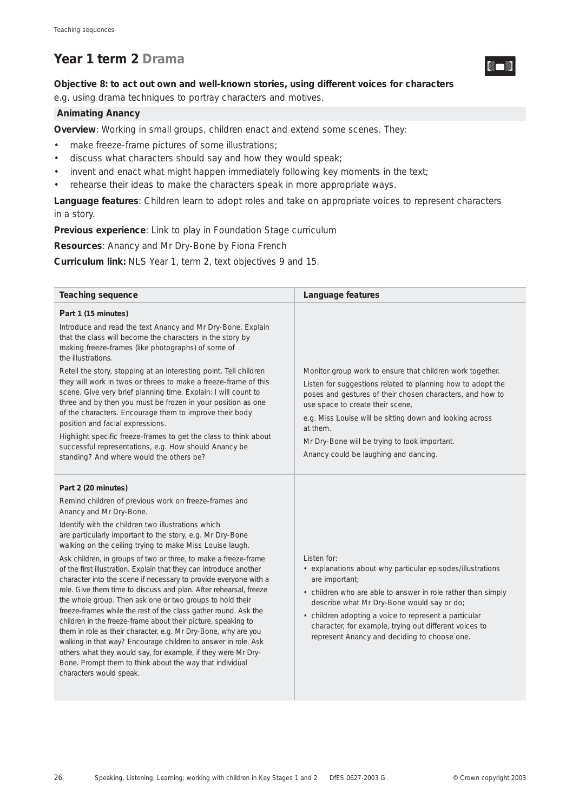### **Year 1 term 2 Drama**



**Objective 8: to act out own and well-known stories, using different voices for characters**

e.g. using drama techniques to portray characters and motives.

#### *Animating Anancy*

**Overview**: Working in small groups, children enact and extend some scenes. They:

- make freeze-frame pictures of some illustrations;
- discuss what characters should say and how they would speak;
- invent and enact what might happen immediately following key moments in the text;
- rehearse their ideas to make the characters speak in more appropriate ways.

**Language features**: Children learn to adopt roles and take on appropriate voices to represent characters in a story.

**Previous experience**: Link to play in Foundation Stage curriculum

**Resources**: *Anancy and Mr Dry-Bone* by Fiona French

**Curriculum link:** NLS Year 1, term 2, text objectives 9 and 15.

| <b>Teaching sequence</b>                                                                                                                                                                                                                                                                                                                                                                                                     | Language features                                                                                                                                                                                                                                                                     |
|------------------------------------------------------------------------------------------------------------------------------------------------------------------------------------------------------------------------------------------------------------------------------------------------------------------------------------------------------------------------------------------------------------------------------|---------------------------------------------------------------------------------------------------------------------------------------------------------------------------------------------------------------------------------------------------------------------------------------|
| Part 1 (15 minutes)<br>Introduce and read the text Anancy and Mr Dry-Bone. Explain<br>that the class will become the characters in the story by                                                                                                                                                                                                                                                                              |                                                                                                                                                                                                                                                                                       |
| making freeze-frames (like photographs) of some of<br>the illustrations.<br>Retell the story, stopping at an interesting point. Tell children<br>they will work in twos or threes to make a freeze-frame of this<br>scene. Give very brief planning time. Explain: I will count to<br>three and by then you must be frozen in your position as one<br>of the characters. Encourage them to improve their body                | Monitor group work to ensure that children work together.<br>Listen for suggestions related to planning how to adopt the<br>poses and gestures of their chosen characters, and how to<br>use space to create their scene,<br>e.g. Miss Louise will be sitting down and looking across |
| position and facial expressions.<br>Highlight specific freeze-frames to get the class to think about<br>successful representations, e.g. How should Anancy be<br>standing? And where would the others be?                                                                                                                                                                                                                    | at them.<br>Mr Dry-Bone will be trying to look important.<br>Anancy could be laughing and dancing.                                                                                                                                                                                    |
| Part 2 (20 minutes)                                                                                                                                                                                                                                                                                                                                                                                                          |                                                                                                                                                                                                                                                                                       |
| Remind children of previous work on freeze-frames and<br>Anancy and Mr Dry-Bone.                                                                                                                                                                                                                                                                                                                                             |                                                                                                                                                                                                                                                                                       |
| Identify with the children two illustrations which<br>are particularly important to the story, e.g. Mr Dry-Bone<br>walking on the ceiling trying to make Miss Louise laugh.                                                                                                                                                                                                                                                  |                                                                                                                                                                                                                                                                                       |
| Ask children, in groups of two or three, to make a freeze-frame<br>of the first illustration. Explain that they can introduce another<br>character into the scene if necessary to provide everyone with a<br>role. Give them time to discuss and plan. After rehearsal, freeze<br>the whole group. Then ask one or two groups to hold their                                                                                  | Listen for:<br>• explanations about why particular episodes/illustrations<br>are important;<br>• children who are able to answer in role rather than simply                                                                                                                           |
| freeze-frames while the rest of the class gather round. Ask the<br>children in the freeze-frame about their picture, speaking to<br>them in role as their character, e.g. Mr Dry-Bone, why are you<br>walking in that way? Encourage children to answer in role. Ask<br>others what they would say, for example, if they were Mr Dry-<br>Bone. Prompt them to think about the way that individual<br>characters would speak. | describe what Mr Dry-Bone would say or do;<br>• children adopting a voice to represent a particular<br>character, for example, trying out different voices to<br>represent Anancy and deciding to choose one.                                                                         |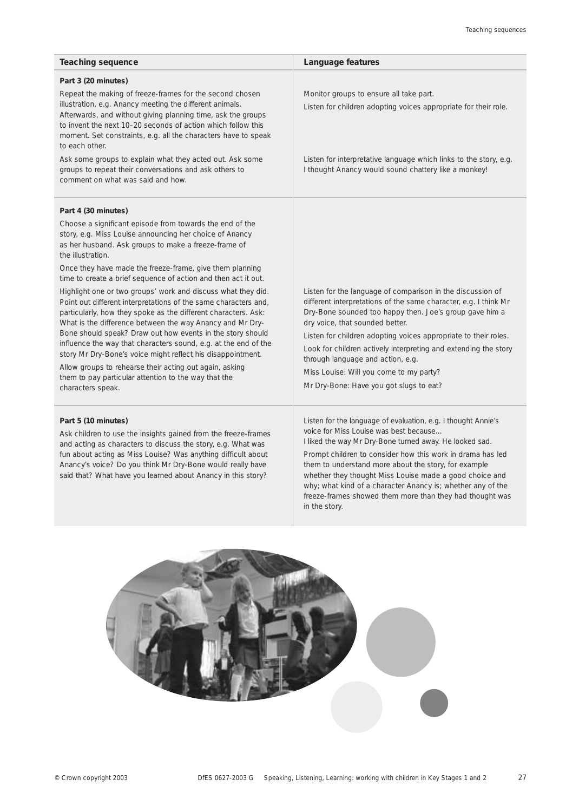| <b>Teaching sequence</b>                                                                                                                                                                                                                                                                                                                                                                                                                                                                                                                                                                                                                                                                                                                                                                                                                                                                                                                                        | Language features                                                                                                                                                                                                                                                                                                                                                                                                                                                                               |
|-----------------------------------------------------------------------------------------------------------------------------------------------------------------------------------------------------------------------------------------------------------------------------------------------------------------------------------------------------------------------------------------------------------------------------------------------------------------------------------------------------------------------------------------------------------------------------------------------------------------------------------------------------------------------------------------------------------------------------------------------------------------------------------------------------------------------------------------------------------------------------------------------------------------------------------------------------------------|-------------------------------------------------------------------------------------------------------------------------------------------------------------------------------------------------------------------------------------------------------------------------------------------------------------------------------------------------------------------------------------------------------------------------------------------------------------------------------------------------|
| Part 3 (20 minutes)<br>Repeat the making of freeze-frames for the second chosen<br>illustration, e.g. Anancy meeting the different animals.<br>Afterwards, and without giving planning time, ask the groups<br>to invent the next 10-20 seconds of action which follow this<br>moment. Set constraints, e.g. all the characters have to speak<br>to each other.<br>Ask some groups to explain what they acted out. Ask some<br>groups to repeat their conversations and ask others to<br>comment on what was said and how.                                                                                                                                                                                                                                                                                                                                                                                                                                      | Monitor groups to ensure all take part.<br>Listen for children adopting voices appropriate for their role.<br>Listen for interpretative language which links to the story, e.g.<br>I thought Anancy would sound chattery like a monkey!                                                                                                                                                                                                                                                         |
| Part 4 (30 minutes)<br>Choose a significant episode from towards the end of the<br>story, e.g. Miss Louise announcing her choice of Anancy<br>as her husband. Ask groups to make a freeze-frame of<br>the illustration.<br>Once they have made the freeze-frame, give them planning<br>time to create a brief sequence of action and then act it out.<br>Highlight one or two groups' work and discuss what they did.<br>Point out different interpretations of the same characters and,<br>particularly, how they spoke as the different characters. Ask:<br>What is the difference between the way Anancy and Mr Dry-<br>Bone should speak? Draw out how events in the story should<br>influence the way that characters sound, e.g. at the end of the<br>story Mr Dry-Bone's voice might reflect his disappointment.<br>Allow groups to rehearse their acting out again, asking<br>them to pay particular attention to the way that the<br>characters speak. | Listen for the language of comparison in the discussion of<br>different interpretations of the same character, e.g. I think Mr<br>Dry-Bone sounded too happy then. Joe's group gave him a<br>dry voice, that sounded better.<br>Listen for children adopting voices appropriate to their roles.<br>Look for children actively interpreting and extending the story<br>through language and action, e.g.<br>Miss Louise: Will you come to my party?<br>Mr Dry-Bone: Have you got slugs to eat?   |
| Part 5 (10 minutes)<br>Ask children to use the insights gained from the freeze-frames<br>and acting as characters to discuss the story, e.g. What was<br>fun about acting as Miss Louise? Was anything difficult about<br>Anancy's voice? Do you think Mr Dry-Bone would really have<br>said that? What have you learned about Anancy in this story?                                                                                                                                                                                                                                                                                                                                                                                                                                                                                                                                                                                                            | Listen for the language of evaluation, e.g. I thought Annie's<br>voice for Miss Louise was best because<br>I liked the way Mr Dry-Bone turned away. He looked sad.<br>Prompt children to consider how this work in drama has led<br>them to understand more about the story, for example<br>whether they thought Miss Louise made a good choice and<br>why; what kind of a character Anancy is; whether any of the<br>freeze-frames showed them more than they had thought was<br>in the story. |
|                                                                                                                                                                                                                                                                                                                                                                                                                                                                                                                                                                                                                                                                                                                                                                                                                                                                                                                                                                 |                                                                                                                                                                                                                                                                                                                                                                                                                                                                                                 |

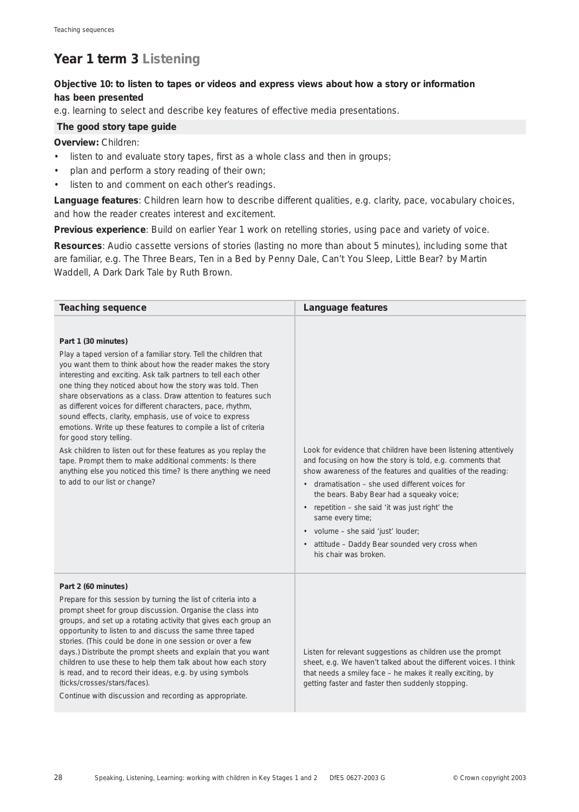### **Year 1 term 3 Listening**

#### **Objective 10: to listen to tapes or videos and express views about how a story or information has been presented**

e.g. learning to select and describe key features of effective media presentations.

#### *The good story tape guide*

#### **Overview:** Children:

- listen to and evaluate story tapes, first as a whole class and then in groups;
- plan and perform a story reading of their own;
- listen to and comment on each other's readings.

**Language features**: Children learn how to describe different qualities, e.g. clarity, pace, vocabulary choices, and how the reader creates interest and excitement.

**Previous experience**: Build on earlier Year 1 work on retelling stories, using pace and variety of voice.

**Resources**: Audio cassette versions of stories (lasting no more than about 5 minutes), including some that are familiar, e.g. *The Three Bears, Ten in a Bed* by Penny Dale, *Can't You Sleep, Little Bear?* by Martin Waddell, *A Dark Dark Tale* by Ruth Brown.

| <b>Teaching sequence</b>                                                                                                                                                                                                                                                                                                                                                                                                                                                                                                                                                                                                                                                                                                                                                                                           | Language features                                                                                                                                                                                                                                                                                                                                                                                                                                                                                                    |
|--------------------------------------------------------------------------------------------------------------------------------------------------------------------------------------------------------------------------------------------------------------------------------------------------------------------------------------------------------------------------------------------------------------------------------------------------------------------------------------------------------------------------------------------------------------------------------------------------------------------------------------------------------------------------------------------------------------------------------------------------------------------------------------------------------------------|----------------------------------------------------------------------------------------------------------------------------------------------------------------------------------------------------------------------------------------------------------------------------------------------------------------------------------------------------------------------------------------------------------------------------------------------------------------------------------------------------------------------|
| Part 1 (30 minutes)<br>Play a taped version of a familiar story. Tell the children that<br>you want them to think about how the reader makes the story<br>interesting and exciting. Ask talk partners to tell each other<br>one thing they noticed about how the story was told. Then<br>share observations as a class. Draw attention to features such<br>as different voices for different characters, pace, rhythm,<br>sound effects, clarity, emphasis, use of voice to express<br>emotions. Write up these features to compile a list of criteria<br>for good story telling.<br>Ask children to listen out for these features as you replay the<br>tape. Prompt them to make additional comments: Is there<br>anything else you noticed this time? Is there anything we need<br>to add to our list or change? | Look for evidence that children have been listening attentively<br>and focusing on how the story is told, e.g. comments that<br>show awareness of the features and qualities of the reading:<br>dramatisation - she used different voices for<br>$\bullet$<br>the bears. Baby Bear had a squeaky voice;<br>repetition – she said 'it was just right' the<br>$\bullet$<br>same every time;<br>volume - she said 'just' louder;<br>$\bullet$<br>attitude - Daddy Bear sounded very cross when<br>his chair was broken. |
| Part 2 (60 minutes)<br>Prepare for this session by turning the list of criteria into a<br>prompt sheet for group discussion. Organise the class into<br>groups, and set up a rotating activity that gives each group an<br>opportunity to listen to and discuss the same three taped<br>stories. (This could be done in one session or over a few<br>days.) Distribute the prompt sheets and explain that you want<br>children to use these to help them talk about how each story<br>is read, and to record their ideas, e.g. by using symbols<br>(ticks/crosses/stars/faces).<br>Continue with discussion and recording as appropriate.                                                                                                                                                                          | Listen for relevant suggestions as children use the prompt<br>sheet, e.g. We haven't talked about the different voices. I think<br>that needs a smiley face - he makes it really exciting, by<br>getting faster and faster then suddenly stopping.                                                                                                                                                                                                                                                                   |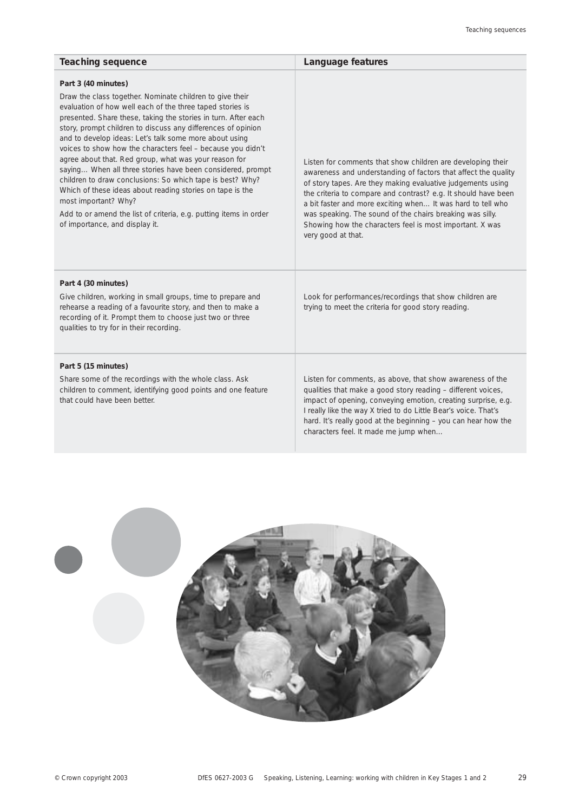| Teaching sequence                                                                                                                                                                                                                                                                                                                                                                                                                                                                                                                                                                                                                                                                                                                                                                       | Language features                                                                                                                                                                                                                                                                                                                                                                                                                                                            |
|-----------------------------------------------------------------------------------------------------------------------------------------------------------------------------------------------------------------------------------------------------------------------------------------------------------------------------------------------------------------------------------------------------------------------------------------------------------------------------------------------------------------------------------------------------------------------------------------------------------------------------------------------------------------------------------------------------------------------------------------------------------------------------------------|------------------------------------------------------------------------------------------------------------------------------------------------------------------------------------------------------------------------------------------------------------------------------------------------------------------------------------------------------------------------------------------------------------------------------------------------------------------------------|
| Part 3 (40 minutes)<br>Draw the class together. Nominate children to give their<br>evaluation of how well each of the three taped stories is<br>presented. Share these, taking the stories in turn. After each<br>story, prompt children to discuss any differences of opinion<br>and to develop ideas: Let's talk some more about using<br>voices to show how the characters feel - because you didn't<br>agree about that. Red group, what was your reason for<br>saying When all three stories have been considered, prompt<br>children to draw conclusions: So which tape is best? Why?<br>Which of these ideas about reading stories on tape is the<br>most important? Why?<br>Add to or amend the list of criteria, e.g. putting items in order<br>of importance, and display it. | Listen for comments that show children are developing their<br>awareness and understanding of factors that affect the quality<br>of story tapes. Are they making evaluative judgements using<br>the criteria to compare and contrast? e.g. It should have been<br>a bit faster and more exciting when It was hard to tell who<br>was speaking. The sound of the chairs breaking was silly.<br>Showing how the characters feel is most important. X was<br>very good at that. |
| Part 4 (30 minutes)<br>Give children, working in small groups, time to prepare and<br>rehearse a reading of a favourite story, and then to make a<br>recording of it. Prompt them to choose just two or three<br>qualities to try for in their recording.                                                                                                                                                                                                                                                                                                                                                                                                                                                                                                                               | Look for performances/recordings that show children are<br>trying to meet the criteria for good story reading.                                                                                                                                                                                                                                                                                                                                                               |
| Part 5 (15 minutes)<br>Share some of the recordings with the whole class. Ask<br>children to comment, identifying good points and one feature<br>that could have been better.                                                                                                                                                                                                                                                                                                                                                                                                                                                                                                                                                                                                           | Listen for comments, as above, that show awareness of the<br>qualities that make a good story reading - different voices,<br>impact of opening, conveying emotion, creating surprise, e.g.<br>I really like the way X tried to do Little Bear's voice. That's<br>hard. It's really good at the beginning - you can hear how the<br>characters feel. It made me jump when                                                                                                     |

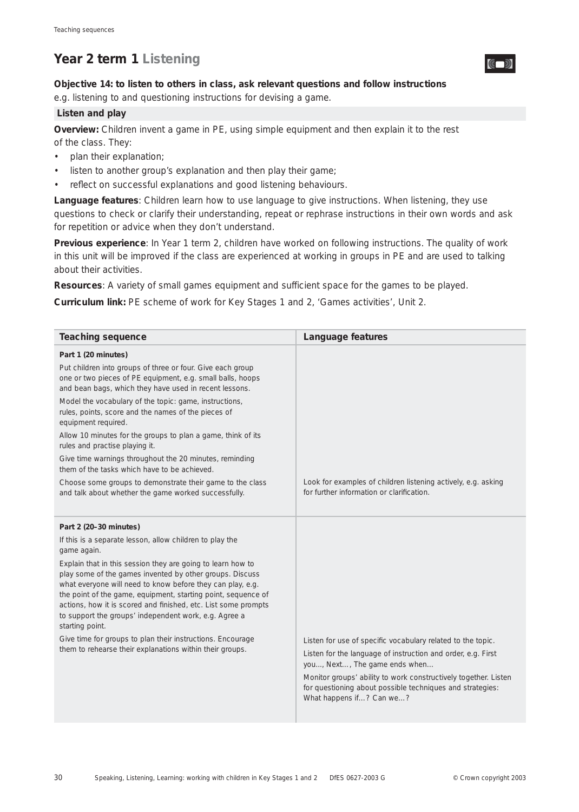### **Year 2 term 1 Listening**

**Objective 14: to listen to others in class, ask relevant questions and follow instructions** e.g. listening to and questioning instructions for devising a game.

#### *Listen and play*

**Overview:** Children invent a game in PE, using simple equipment and then explain it to the rest of the class. They:

- plan their explanation;
- listen to another group's explanation and then play their game;
- reflect on successful explanations and good listening behaviours.

**Language features**: Children learn how to use language to give instructions. When listening, they use questions to check or clarify their understanding, repeat or rephrase instructions in their own words and ask for repetition or advice when they don't understand.

**Previous experience**: In Year 1 term 2, children have worked on following instructions. The quality of work in this unit will be improved if the class are experienced at working in groups in PE and are used to talking about their activities.

**Resources**: A variety of small games equipment and sufficient space for the games to be played.

**Curriculum link:** PE scheme of work for Key Stages 1 and 2, 'Games activities', Unit 2.

| <b>Teaching sequence</b>                                                                                                                                                                                                                                                                                                                                                                             | Language features                                                                                                                                                                                                                                                                                                        |
|------------------------------------------------------------------------------------------------------------------------------------------------------------------------------------------------------------------------------------------------------------------------------------------------------------------------------------------------------------------------------------------------------|--------------------------------------------------------------------------------------------------------------------------------------------------------------------------------------------------------------------------------------------------------------------------------------------------------------------------|
| Part 1 (20 minutes)                                                                                                                                                                                                                                                                                                                                                                                  |                                                                                                                                                                                                                                                                                                                          |
| Put children into groups of three or four. Give each group<br>one or two pieces of PE equipment, e.g. small balls, hoops<br>and bean bags, which they have used in recent lessons.                                                                                                                                                                                                                   |                                                                                                                                                                                                                                                                                                                          |
| Model the vocabulary of the topic: game, instructions,<br>rules, points, score and the names of the pieces of<br>equipment required.                                                                                                                                                                                                                                                                 |                                                                                                                                                                                                                                                                                                                          |
| Allow 10 minutes for the groups to plan a game, think of its<br>rules and practise playing it.                                                                                                                                                                                                                                                                                                       |                                                                                                                                                                                                                                                                                                                          |
| Give time warnings throughout the 20 minutes, reminding<br>them of the tasks which have to be achieved.                                                                                                                                                                                                                                                                                              |                                                                                                                                                                                                                                                                                                                          |
| Choose some groups to demonstrate their game to the class<br>and talk about whether the game worked successfully.                                                                                                                                                                                                                                                                                    | Look for examples of children listening actively, e.g. asking<br>for further information or clarification.                                                                                                                                                                                                               |
| Part 2 (20-30 minutes)                                                                                                                                                                                                                                                                                                                                                                               |                                                                                                                                                                                                                                                                                                                          |
| If this is a separate lesson, allow children to play the<br>game again.                                                                                                                                                                                                                                                                                                                              |                                                                                                                                                                                                                                                                                                                          |
| Explain that in this session they are going to learn how to<br>play some of the games invented by other groups. Discuss<br>what everyone will need to know before they can play, e.g.<br>the point of the game, equipment, starting point, sequence of<br>actions, how it is scored and finished, etc. List some prompts<br>to support the groups' independent work, e.g. Agree a<br>starting point. |                                                                                                                                                                                                                                                                                                                          |
| Give time for groups to plan their instructions. Encourage<br>them to rehearse their explanations within their groups.                                                                                                                                                                                                                                                                               | Listen for use of specific vocabulary related to the topic.<br>Listen for the language of instruction and order, e.g. First<br>you, Next, The game ends when<br>Monitor groups' ability to work constructively together. Listen<br>for questioning about possible techniques and strategies:<br>What happens if? Can we? |

Speaking, Listening, Learning: working with children in Key Stages 1 and 2 DfES 0627-2003 G 30 © Crown copyright 2003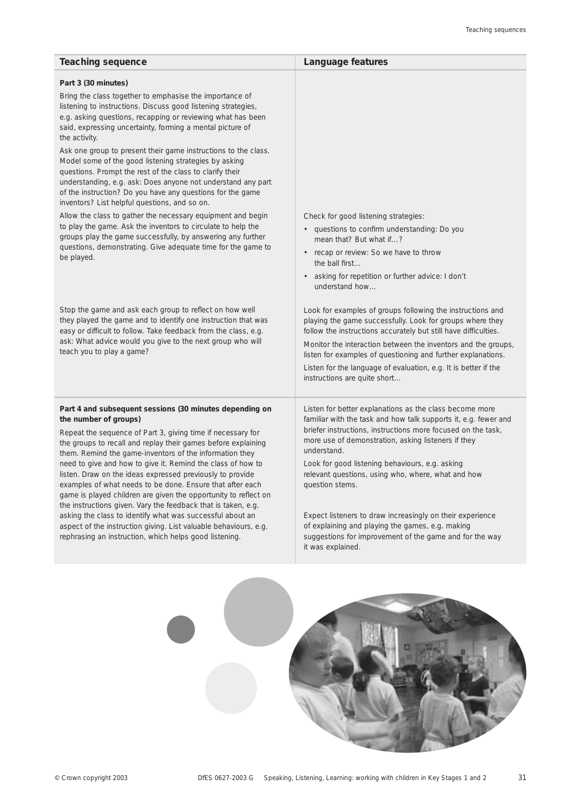| <b>Teaching sequence</b>                                                                                                                                                                                                                                                                                                                                                                                                                                                                                                                                                                                                                                                                                                                                                                            | Language features                                                                                                                                                                                                                                                                                                                                                                                                                                                                                                                                                                             |
|-----------------------------------------------------------------------------------------------------------------------------------------------------------------------------------------------------------------------------------------------------------------------------------------------------------------------------------------------------------------------------------------------------------------------------------------------------------------------------------------------------------------------------------------------------------------------------------------------------------------------------------------------------------------------------------------------------------------------------------------------------------------------------------------------------|-----------------------------------------------------------------------------------------------------------------------------------------------------------------------------------------------------------------------------------------------------------------------------------------------------------------------------------------------------------------------------------------------------------------------------------------------------------------------------------------------------------------------------------------------------------------------------------------------|
| Part 3 (30 minutes)<br>Bring the class together to emphasise the importance of<br>listening to instructions. Discuss good listening strategies,<br>e.g. asking questions, recapping or reviewing what has been<br>said, expressing uncertainty, forming a mental picture of<br>the activity.<br>Ask one group to present their game instructions to the class.<br>Model some of the good listening strategies by asking<br>questions. Prompt the rest of the class to clarify their<br>understanding, e.g. ask: Does anyone not understand any part<br>of the instruction? Do you have any questions for the game<br>inventors? List helpful questions, and so on.                                                                                                                                  |                                                                                                                                                                                                                                                                                                                                                                                                                                                                                                                                                                                               |
| Allow the class to gather the necessary equipment and begin<br>to play the game. Ask the inventors to circulate to help the<br>groups play the game successfully, by answering any further<br>questions, demonstrating. Give adequate time for the game to<br>be played.                                                                                                                                                                                                                                                                                                                                                                                                                                                                                                                            | Check for good listening strategies:<br>questions to confirm understanding: Do you<br>$\bullet$<br>mean that? But what if?<br>recap or review: So we have to throw<br>$\bullet$<br>the ball first<br>asking for repetition or further advice: I don't<br>$\bullet$<br>understand how                                                                                                                                                                                                                                                                                                          |
| Stop the game and ask each group to reflect on how well<br>they played the game and to identify one instruction that was<br>easy or difficult to follow. Take feedback from the class, e.g.<br>ask: What advice would you give to the next group who will<br>teach you to play a game?                                                                                                                                                                                                                                                                                                                                                                                                                                                                                                              | Look for examples of groups following the instructions and<br>playing the game successfully. Look for groups where they<br>follow the instructions accurately but still have difficulties.<br>Monitor the interaction between the inventors and the groups,<br>listen for examples of questioning and further explanations.<br>Listen for the language of evaluation, e.g. It is better if the<br>instructions are quite short                                                                                                                                                                |
| Part 4 and subsequent sessions (30 minutes depending on<br>the number of groups)<br>Repeat the sequence of Part 3, giving time if necessary for<br>the groups to recall and replay their games before explaining<br>them. Remind the game-inventors of the information they<br>need to give and how to give it. Remind the class of how to<br>listen. Draw on the ideas expressed previously to provide<br>examples of what needs to be done. Ensure that after each<br>game is played children are given the opportunity to reflect on<br>the instructions given. Vary the feedback that is taken, e.g.<br>asking the class to identify what was successful about an<br>aspect of the instruction giving. List valuable behaviours, e.g.<br>rephrasing an instruction, which helps good listening. | Listen for better explanations as the class become more<br>familiar with the task and how talk supports it, e.g. fewer and<br>briefer instructions, instructions more focused on the task,<br>more use of demonstration, asking listeners if they<br>understand.<br>Look for good listening behaviours, e.g. asking<br>relevant questions, using who, where, what and how<br>question stems.<br>Expect listeners to draw increasingly on their experience<br>of explaining and playing the games, e.g. making<br>suggestions for improvement of the game and for the way<br>it was explained. |
|                                                                                                                                                                                                                                                                                                                                                                                                                                                                                                                                                                                                                                                                                                                                                                                                     |                                                                                                                                                                                                                                                                                                                                                                                                                                                                                                                                                                                               |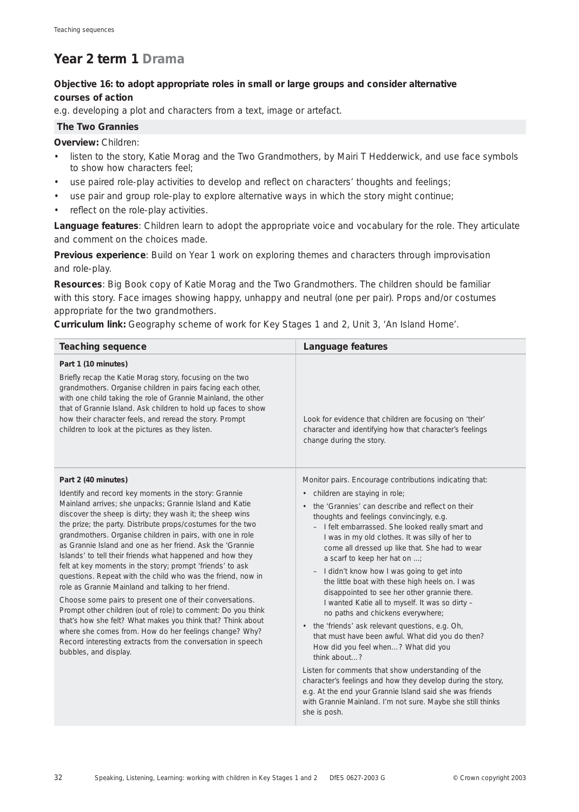### **Year 2 term 1 Drama**

#### **Objective 16: to adopt appropriate roles in small or large groups and consider alternative courses of action**

e.g. developing a plot and characters from a text, image or artefact.

#### *The Two Grannies*

#### **Overview:** Children:

- listen to the story, *Katie Morag and the Two Grandmothers*, by Mairi T Hedderwick, and use face symbols to show how characters feel;
- use paired role-play activities to develop and reflect on characters' thoughts and feelings;
- use pair and group role-play to explore alternative ways in which the story might continue;
- reflect on the role-play activities.

**Language features**: Children learn to adopt the appropriate voice and vocabulary for the role. They articulate and comment on the choices made.

**Previous experience**: Build on Year 1 work on exploring themes and characters through improvisation and role-play.

**Resources**: Big Book copy of *Katie Morag and the Two Grandmothers*. The children should be familiar with this story. Face images showing happy, unhappy and neutral (one per pair). Props and/or costumes appropriate for the two grandmothers.

**Curriculum link:** Geography scheme of work for Key Stages 1 and 2, Unit 3, 'An Island Home'.

| <b>Teaching sequence</b>                                                                                                                                                                                                                                                                                                                                                                                                                                                                                                                                                                                                                                                                                                                                                                                                                                                                                                                                                                    | Language features                                                                                                                                                                                                                                                                                                                                                                                                                                                                                                                                                                                                                                                                                                                                                                                                                                                                                                                                                                                                                                                                   |
|---------------------------------------------------------------------------------------------------------------------------------------------------------------------------------------------------------------------------------------------------------------------------------------------------------------------------------------------------------------------------------------------------------------------------------------------------------------------------------------------------------------------------------------------------------------------------------------------------------------------------------------------------------------------------------------------------------------------------------------------------------------------------------------------------------------------------------------------------------------------------------------------------------------------------------------------------------------------------------------------|-------------------------------------------------------------------------------------------------------------------------------------------------------------------------------------------------------------------------------------------------------------------------------------------------------------------------------------------------------------------------------------------------------------------------------------------------------------------------------------------------------------------------------------------------------------------------------------------------------------------------------------------------------------------------------------------------------------------------------------------------------------------------------------------------------------------------------------------------------------------------------------------------------------------------------------------------------------------------------------------------------------------------------------------------------------------------------------|
| Part 1 (10 minutes)<br>Briefly recap the Katie Morag story, focusing on the two<br>grandmothers. Organise children in pairs facing each other,<br>with one child taking the role of Grannie Mainland, the other<br>that of Grannie Island. Ask children to hold up faces to show<br>how their character feels, and reread the story. Prompt<br>children to look at the pictures as they listen.                                                                                                                                                                                                                                                                                                                                                                                                                                                                                                                                                                                             | Look for evidence that children are focusing on 'their'<br>character and identifying how that character's feelings<br>change during the story.                                                                                                                                                                                                                                                                                                                                                                                                                                                                                                                                                                                                                                                                                                                                                                                                                                                                                                                                      |
| Part 2 (40 minutes)<br>Identify and record key moments in the story: Grannie<br>Mainland arrives; she unpacks; Grannie Island and Katie<br>discover the sheep is dirty; they wash it; the sheep wins<br>the prize; the party. Distribute props/costumes for the two<br>grandmothers. Organise children in pairs, with one in role<br>as Grannie Island and one as her friend. Ask the 'Grannie<br>Islands' to tell their friends what happened and how they<br>felt at key moments in the story; prompt 'friends' to ask<br>questions. Repeat with the child who was the friend, now in<br>role as Grannie Mainland and talking to her friend.<br>Choose some pairs to present one of their conversations.<br>Prompt other children (out of role) to comment: Do you think<br>that's how she felt? What makes you think that? Think about<br>where she comes from. How do her feelings change? Why?<br>Record interesting extracts from the conversation in speech<br>bubbles, and display. | Monitor pairs. Encourage contributions indicating that:<br>children are staying in role;<br>the 'Grannies' can describe and reflect on their<br>$\bullet$<br>thoughts and feelings convincingly, e.g.<br>- I felt embarrassed. She looked really smart and<br>I was in my old clothes. It was silly of her to<br>come all dressed up like that. She had to wear<br>a scarf to keep her hat on ;<br>- I didn't know how I was going to get into<br>the little boat with these high heels on. I was<br>disappointed to see her other grannie there.<br>I wanted Katie all to myself. It was so dirty -<br>no paths and chickens everywhere;<br>the 'friends' ask relevant questions, e.g. Oh,<br>$\bullet$<br>that must have been awful. What did you do then?<br>How did you feel when? What did you<br>think about?<br>Listen for comments that show understanding of the<br>character's feelings and how they develop during the story,<br>e.g. At the end your Grannie Island said she was friends<br>with Grannie Mainland. I'm not sure. Maybe she still thinks<br>she is posh. |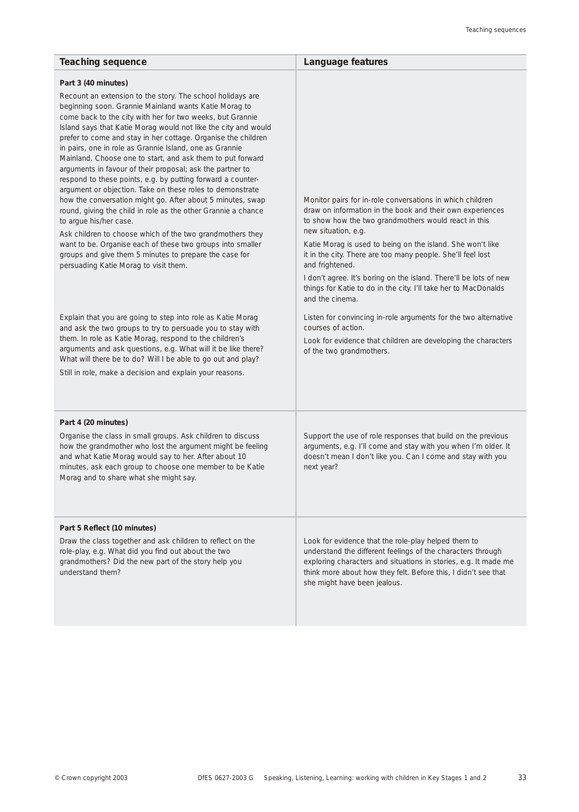| <b>Teaching sequence</b>                                                                                                                                                                                                                                                                                                                                                                                                                                                                                                                                                                                                                                                                                                                                                                                                                                                                                                                                                                                                                                                                                                                                                         | Language features                                                                                                                                                                                                                                                                                                                                                                                                                                                                                                                                                                                         |
|----------------------------------------------------------------------------------------------------------------------------------------------------------------------------------------------------------------------------------------------------------------------------------------------------------------------------------------------------------------------------------------------------------------------------------------------------------------------------------------------------------------------------------------------------------------------------------------------------------------------------------------------------------------------------------------------------------------------------------------------------------------------------------------------------------------------------------------------------------------------------------------------------------------------------------------------------------------------------------------------------------------------------------------------------------------------------------------------------------------------------------------------------------------------------------|-----------------------------------------------------------------------------------------------------------------------------------------------------------------------------------------------------------------------------------------------------------------------------------------------------------------------------------------------------------------------------------------------------------------------------------------------------------------------------------------------------------------------------------------------------------------------------------------------------------|
| Part 3 (40 minutes)<br>Recount an extension to the story. The school holidays are<br>beginning soon. Grannie Mainland wants Katie Morag to<br>come back to the city with her for two weeks, but Grannie<br>Island says that Katie Morag would not like the city and would<br>prefer to come and stay in her cottage. Organise the children<br>in pairs, one in role as Grannie Island, one as Grannie<br>Mainland. Choose one to start, and ask them to put forward<br>arguments in favour of their proposal; ask the partner to<br>respond to these points, e.g. by putting forward a counter-<br>argument or objection. Take on these roles to demonstrate<br>how the conversation might go. After about 5 minutes, swap<br>round, giving the child in role as the other Grannie a chance<br>to argue his/her case.<br>Ask children to choose which of the two grandmothers they<br>want to be. Organise each of these two groups into smaller<br>groups and give them 5 minutes to prepare the case for<br>persuading Katie Morag to visit them.<br>Explain that you are going to step into role as Katie Morag<br>and ask the two groups to try to persuade you to stay with | Monitor pairs for in-role conversations in which children<br>draw on information in the book and their own experiences<br>to show how the two grandmothers would react in this<br>new situation, e.g.<br>Katie Morag is used to being on the island. She won't like<br>it in the city. There are too many people. She'll feel lost<br>and frightened.<br>I don't agree. It's boring on the island. There'll be lots of new<br>things for Katie to do in the city. I'll take her to MacDonalds<br>and the cinema.<br>Listen for convincing in-role arguments for the two alternative<br>courses of action. |
| them. In role as Katie Morag, respond to the children's<br>arguments and ask questions, e.g. What will it be like there?<br>What will there be to do? Will I be able to go out and play?<br>Still in role, make a decision and explain your reasons.                                                                                                                                                                                                                                                                                                                                                                                                                                                                                                                                                                                                                                                                                                                                                                                                                                                                                                                             | Look for evidence that children are developing the characters<br>of the two grandmothers.                                                                                                                                                                                                                                                                                                                                                                                                                                                                                                                 |
|                                                                                                                                                                                                                                                                                                                                                                                                                                                                                                                                                                                                                                                                                                                                                                                                                                                                                                                                                                                                                                                                                                                                                                                  |                                                                                                                                                                                                                                                                                                                                                                                                                                                                                                                                                                                                           |
| Part 4 (20 minutes)<br>Organise the class in small groups. Ask children to discuss<br>how the grandmother who lost the argument might be feeling<br>and what Katie Morag would say to her. After about 10<br>minutes, ask each group to choose one member to be Katie<br>Morag and to share what she might say.                                                                                                                                                                                                                                                                                                                                                                                                                                                                                                                                                                                                                                                                                                                                                                                                                                                                  | Support the use of role responses that build on the previous<br>arguments, e.g. I'll come and stay with you when I'm older. It<br>doesn't mean I don't like you. Can I come and stay with you<br>next year?                                                                                                                                                                                                                                                                                                                                                                                               |
| Part 5 Reflect (10 minutes)<br>Draw the class together and ask children to reflect on the<br>role-play, e.g. What did you find out about the two<br>grandmothers? Did the new part of the story help you<br>understand them?                                                                                                                                                                                                                                                                                                                                                                                                                                                                                                                                                                                                                                                                                                                                                                                                                                                                                                                                                     | Look for evidence that the role-play helped them to<br>understand the different feelings of the characters through<br>exploring characters and situations in stories, e.g. It made me<br>think more about how they felt. Before this, I didn't see that<br>she might have been jealous.                                                                                                                                                                                                                                                                                                                   |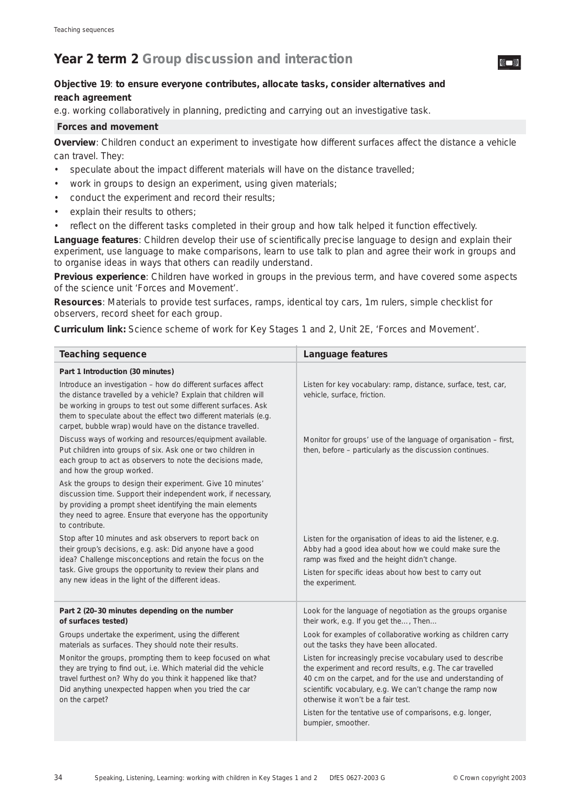### **Year 2 term 2 Group discussion and interaction**

#### **Objective 19**: **to ensure everyone contributes, allocate tasks, consider alternatives and reach agreement**

e.g. working collaboratively in planning, predicting and carrying out an investigative task.

#### *Forces and movement*

**Overview**: Children conduct an experiment to investigate how different surfaces affect the distance a vehicle can travel. They:

- speculate about the impact different materials will have on the distance travelled;
- work in groups to design an experiment, using given materials;
- conduct the experiment and record their results;
- explain their results to others;
- reflect on the different tasks completed in their group and how talk helped it function effectively.

**Language features**: Children develop their use of scientifically precise language to design and explain their experiment, use language to make comparisons, learn to use talk to plan and agree their work in groups and to organise ideas in ways that others can readily understand.

**Previous experience**: Children have worked in groups in the previous term, and have covered some aspects of the science unit 'Forces and Movement'.

**Resources**: Materials to provide test surfaces, ramps, identical toy cars, 1m rulers, simple checklist for observers, record sheet for each group.

**Curriculum link:** Science scheme of work for Key Stages 1 and 2, Unit 2E, 'Forces and Movement'.

| <b>Teaching sequence</b>                                                                                                                                                                                                                                                                                                            | Language features                                                                                                                                                                                                                                                                       |
|-------------------------------------------------------------------------------------------------------------------------------------------------------------------------------------------------------------------------------------------------------------------------------------------------------------------------------------|-----------------------------------------------------------------------------------------------------------------------------------------------------------------------------------------------------------------------------------------------------------------------------------------|
| Part 1 Introduction (30 minutes)                                                                                                                                                                                                                                                                                                    |                                                                                                                                                                                                                                                                                         |
| Introduce an investigation - how do different surfaces affect<br>the distance travelled by a vehicle? Explain that children will<br>be working in groups to test out some different surfaces. Ask<br>them to speculate about the effect two different materials (e.g.<br>carpet, bubble wrap) would have on the distance travelled. | Listen for key vocabulary: ramp, distance, surface, test, car,<br>vehicle, surface, friction.                                                                                                                                                                                           |
| Discuss ways of working and resources/equipment available.<br>Put children into groups of six. Ask one or two children in<br>each group to act as observers to note the decisions made,<br>and how the group worked.                                                                                                                | Monitor for groups' use of the language of organisation – first,<br>then, before - particularly as the discussion continues.                                                                                                                                                            |
| Ask the groups to design their experiment. Give 10 minutes'<br>discussion time. Support their independent work, if necessary,<br>by providing a prompt sheet identifying the main elements<br>they need to agree. Ensure that everyone has the opportunity<br>to contribute.                                                        |                                                                                                                                                                                                                                                                                         |
| Stop after 10 minutes and ask observers to report back on<br>their group's decisions, e.g. ask: Did anyone have a good<br>idea? Challenge misconceptions and retain the focus on the<br>task. Give groups the opportunity to review their plans and<br>any new ideas in the light of the different ideas.                           | Listen for the organisation of ideas to aid the listener, e.g.<br>Abby had a good idea about how we could make sure the<br>ramp was fixed and the height didn't change.<br>Listen for specific ideas about how best to carry out<br>the experiment.                                     |
| Part 2 (20-30 minutes depending on the number<br>of surfaces tested)                                                                                                                                                                                                                                                                | Look for the language of negotiation as the groups organise<br>their work, e.g. If you get the, Then                                                                                                                                                                                    |
| Groups undertake the experiment, using the different<br>materials as surfaces. They should note their results.                                                                                                                                                                                                                      | Look for examples of collaborative working as children carry<br>out the tasks they have been allocated.                                                                                                                                                                                 |
| Monitor the groups, prompting them to keep focused on what<br>they are trying to find out, i.e. Which material did the vehicle<br>travel furthest on? Why do you think it happened like that?<br>Did anything unexpected happen when you tried the car<br>on the carpet?                                                            | Listen for increasingly precise vocabulary used to describe<br>the experiment and record results, e.g. The car travelled<br>40 cm on the carpet, and for the use and understanding of<br>scientific vocabulary, e.g. We can't change the ramp now<br>otherwise it won't be a fair test. |
|                                                                                                                                                                                                                                                                                                                                     | Listen for the tentative use of comparisons, e.g. longer,<br>bumpier, smoother.                                                                                                                                                                                                         |

 $\left( -\right)$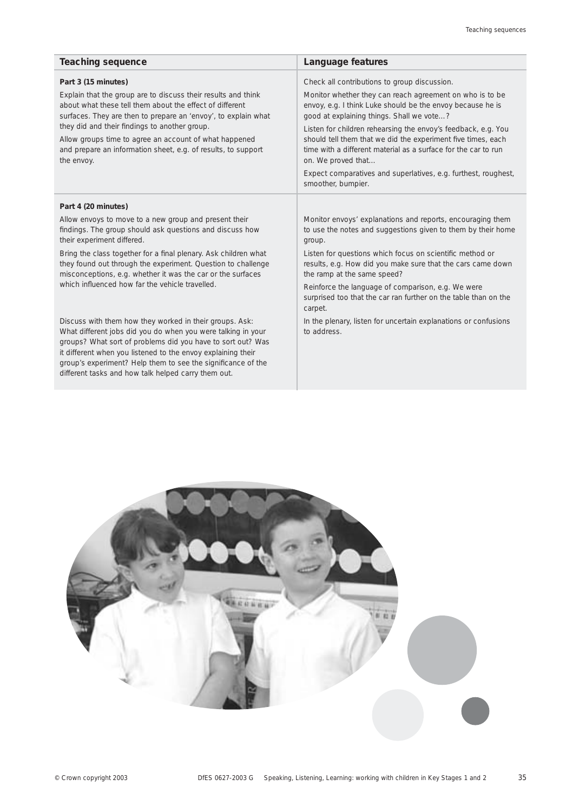| <b>Teaching sequence</b>                                                                                                                                                                                                                                                                                                                                                      | Language features                                                                                                                                                                                                     |
|-------------------------------------------------------------------------------------------------------------------------------------------------------------------------------------------------------------------------------------------------------------------------------------------------------------------------------------------------------------------------------|-----------------------------------------------------------------------------------------------------------------------------------------------------------------------------------------------------------------------|
| Part 3 (15 minutes)                                                                                                                                                                                                                                                                                                                                                           | Check all contributions to group discussion.                                                                                                                                                                          |
| Explain that the group are to discuss their results and think<br>about what these tell them about the effect of different<br>surfaces. They are then to prepare an 'envoy', to explain what                                                                                                                                                                                   | Monitor whether they can reach agreement on who is to be<br>envoy, e.g. I think Luke should be the envoy because he is<br>good at explaining things. Shall we vote?                                                   |
| they did and their findings to another group.<br>Allow groups time to agree an account of what happened<br>and prepare an information sheet, e.g. of results, to support<br>the envoy.                                                                                                                                                                                        | Listen for children rehearsing the envoy's feedback, e.g. You<br>should tell them that we did the experiment five times, each<br>time with a different material as a surface for the car to run<br>on. We proved that |
|                                                                                                                                                                                                                                                                                                                                                                               | Expect comparatives and superlatives, e.g. furthest, roughest,<br>smoother, bumpier.                                                                                                                                  |
| Part 4 (20 minutes)                                                                                                                                                                                                                                                                                                                                                           |                                                                                                                                                                                                                       |
| Allow envoys to move to a new group and present their<br>findings. The group should ask questions and discuss how<br>their experiment differed.                                                                                                                                                                                                                               | Monitor envoys' explanations and reports, encouraging them<br>to use the notes and suggestions given to them by their home<br>group.                                                                                  |
| Bring the class together for a final plenary. Ask children what<br>they found out through the experiment. Question to challenge<br>misconceptions, e.g. whether it was the car or the surfaces                                                                                                                                                                                | Listen for questions which focus on scientific method or<br>results, e.g. How did you make sure that the cars came down<br>the ramp at the same speed?                                                                |
| which influenced how far the vehicle travelled.                                                                                                                                                                                                                                                                                                                               | Reinforce the language of comparison, e.g. We were<br>surprised too that the car ran further on the table than on the<br>carpet.                                                                                      |
| Discuss with them how they worked in their groups. Ask:<br>What different jobs did you do when you were talking in your<br>groups? What sort of problems did you have to sort out? Was<br>it different when you listened to the envoy explaining their<br>group's experiment? Help them to see the significance of the<br>different tasks and how talk helped carry them out. | In the plenary, listen for uncertain explanations or confusions<br>to address.                                                                                                                                        |

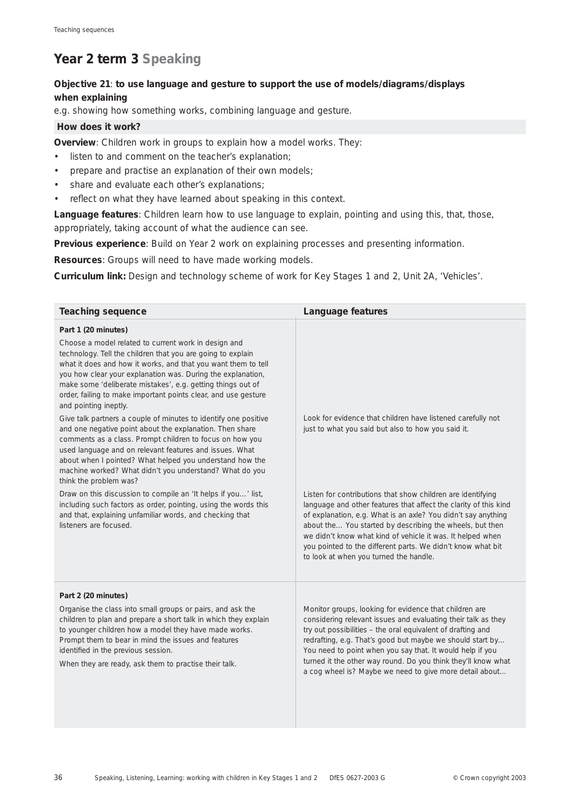# **Year 2 term 3 Speaking**

### **Objective 21**: **to use language and gesture to support the use of models/diagrams/displays when explaining**

e.g. showing how something works, combining language and gesture.

#### *How does it work?*

**Overview**: Children work in groups to explain how a model works. They:

- listen to and comment on the teacher's explanation;
- prepare and practise an explanation of their own models;
- share and evaluate each other's explanations;
- reflect on what they have learned about speaking in this context.

**Language features**: Children learn how to use language to explain, pointing and using *this*, *that*, *those*, appropriately, taking account of what the audience can see.

**Previous experience**: Build on Year 2 work on explaining processes and presenting information.

**Resources**: Groups will need to have made working models.

**Curriculum link:** Design and technology scheme of work for Key Stages 1 and 2, Unit 2A, 'Vehicles'.

| <b>Teaching sequence</b>                                                                                                                                                                                                                                                                                                                                                                                                                                                                                                                                                                                                                                                                                                                                                                                                                                                                                     | Language features                                                                                                                                                                                                                                                                                                                                                                                                                            |
|--------------------------------------------------------------------------------------------------------------------------------------------------------------------------------------------------------------------------------------------------------------------------------------------------------------------------------------------------------------------------------------------------------------------------------------------------------------------------------------------------------------------------------------------------------------------------------------------------------------------------------------------------------------------------------------------------------------------------------------------------------------------------------------------------------------------------------------------------------------------------------------------------------------|----------------------------------------------------------------------------------------------------------------------------------------------------------------------------------------------------------------------------------------------------------------------------------------------------------------------------------------------------------------------------------------------------------------------------------------------|
| Part 1 (20 minutes)<br>Choose a model related to current work in design and<br>technology. Tell the children that you are going to explain<br>what it does and how it works, and that you want them to tell<br>you how clear your explanation was. During the explanation,<br>make some 'deliberate mistakes', e.g. getting things out of<br>order, failing to make important points clear, and use gesture<br>and pointing ineptly.<br>Give talk partners a couple of minutes to identify one positive<br>and one negative point about the explanation. Then share<br>comments as a class. Prompt children to focus on how you<br>used language and on relevant features and issues. What<br>about when I pointed? What helped you understand how the<br>machine worked? What didn't you understand? What do you<br>think the problem was?<br>Draw on this discussion to compile an 'It helps if you' list, | Look for evidence that children have listened carefully not<br>just to what you said but also to how you said it.<br>Listen for contributions that show children are identifying                                                                                                                                                                                                                                                             |
| including such factors as order, pointing, using the words this<br>and that, explaining unfamiliar words, and checking that<br>listeners are focused.                                                                                                                                                                                                                                                                                                                                                                                                                                                                                                                                                                                                                                                                                                                                                        | language and other features that affect the clarity of this kind<br>of explanation, e.g. What is an axle? You didn't say anything<br>about the You started by describing the wheels, but then<br>we didn't know what kind of vehicle it was. It helped when<br>you pointed to the different parts. We didn't know what bit<br>to look at when you turned the handle.                                                                         |
| Part 2 (20 minutes)                                                                                                                                                                                                                                                                                                                                                                                                                                                                                                                                                                                                                                                                                                                                                                                                                                                                                          |                                                                                                                                                                                                                                                                                                                                                                                                                                              |
| Organise the class into small groups or pairs, and ask the<br>children to plan and prepare a short talk in which they explain<br>to younger children how a model they have made works.<br>Prompt them to bear in mind the issues and features<br>identified in the previous session.<br>When they are ready, ask them to practise their talk.                                                                                                                                                                                                                                                                                                                                                                                                                                                                                                                                                                | Monitor groups, looking for evidence that children are<br>considering relevant issues and evaluating their talk as they<br>try out possibilities - the oral equivalent of drafting and<br>redrafting, e.g. That's good but maybe we should start by<br>You need to point when you say that. It would help if you<br>turned it the other way round. Do you think they'll know what<br>a cog wheel is? Maybe we need to give more detail about |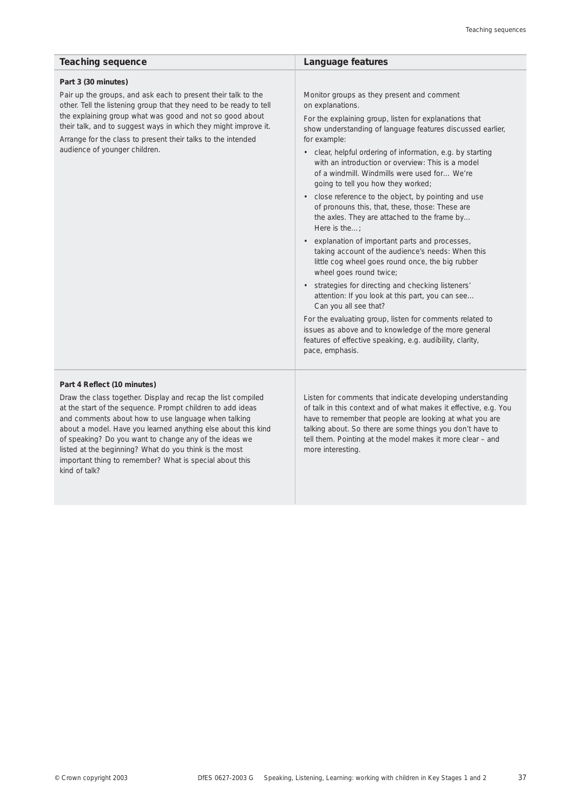| <b>Teaching sequence</b>                                                                                                                                                                                                                                                                                                                                            | Language features                                                                                                                                                                                                     |
|---------------------------------------------------------------------------------------------------------------------------------------------------------------------------------------------------------------------------------------------------------------------------------------------------------------------------------------------------------------------|-----------------------------------------------------------------------------------------------------------------------------------------------------------------------------------------------------------------------|
| Part 3 (30 minutes)                                                                                                                                                                                                                                                                                                                                                 |                                                                                                                                                                                                                       |
| Pair up the groups, and ask each to present their talk to the<br>other. Tell the listening group that they need to be ready to tell<br>the explaining group what was good and not so good about<br>their talk, and to suggest ways in which they might improve it.<br>Arrange for the class to present their talks to the intended<br>audience of younger children. | Monitor groups as they present and comment<br>on explanations.                                                                                                                                                        |
|                                                                                                                                                                                                                                                                                                                                                                     | For the explaining group, listen for explanations that<br>show understanding of language features discussed earlier,                                                                                                  |
|                                                                                                                                                                                                                                                                                                                                                                     | for example:<br>• clear, helpful ordering of information, e.g. by starting<br>with an introduction or overview: This is a model<br>of a windmill. Windmills were used for We're<br>going to tell you how they worked; |
|                                                                                                                                                                                                                                                                                                                                                                     | • close reference to the object, by pointing and use<br>of pronouns this, that, these, those: These are<br>the axles. They are attached to the frame by<br>Here is the:                                               |
|                                                                                                                                                                                                                                                                                                                                                                     | explanation of important parts and processes,<br>taking account of the audience's needs: When this<br>little cog wheel goes round once, the big rubber<br>wheel goes round twice;                                     |
|                                                                                                                                                                                                                                                                                                                                                                     | • strategies for directing and checking listeners'<br>attention: If you look at this part, you can see<br>Can you all see that?                                                                                       |
|                                                                                                                                                                                                                                                                                                                                                                     | For the evaluating group, listen for comments related to<br>issues as above and to knowledge of the more general<br>features of effective speaking, e.g. audibility, clarity,<br>pace, emphasis.                      |
|                                                                                                                                                                                                                                                                                                                                                                     |                                                                                                                                                                                                                       |

#### **Part 4 Reflect (10 minutes)**

Draw the class together. Display and recap the list compiled at the start of the sequence. Prompt children to add ideas and comments about how to use language when talking about a model. *Have you learned anything else about this kind of speaking? Do you want to change any of the ideas we listed at the beginning? What do you think is the most important thing to remember? What is special about this kind of talk?*

Listen for comments that indicate developing understanding of talk in this context and of what makes it effective, e.g. *You have to remember that people are looking at what you are talking about. So there are some things you don't have to tell them. Pointing at the model makes it more clear – and more interesting.*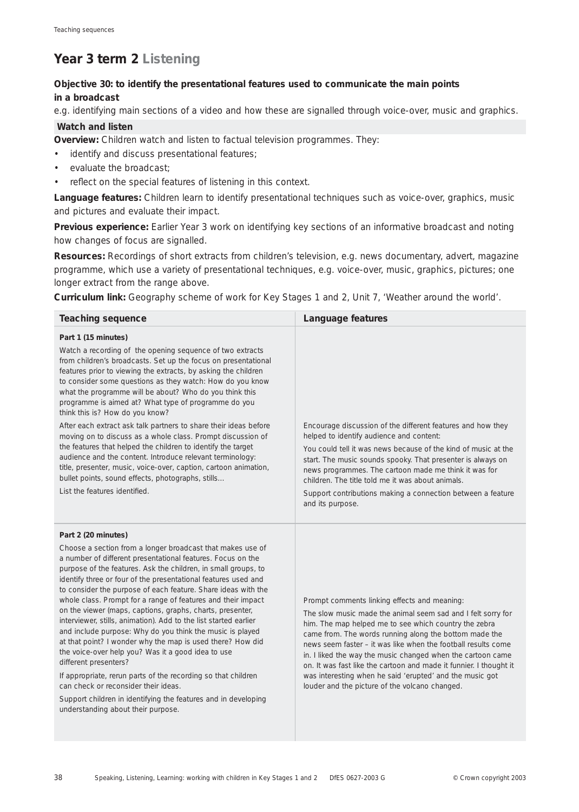# **Year 3 term 2 Listening**

#### **Objective 30: to identify the presentational features used to communicate the main points in a broadcast**

e.g. identifying main sections of a video and how these are signalled through voice-over, music and graphics.

#### *Watch and listen*

**Overview:** Children watch and listen to factual television programmes. They:

- identify and discuss presentational features;
- evaluate the broadcast;
- reflect on the special features of listening in this context.

**Language features:** Children learn to identify presentational techniques such as voice-over, graphics, music and pictures and evaluate their impact.

**Previous experience:** Earlier Year 3 work on identifying key sections of an informative broadcast and noting how changes of focus are signalled.

**Resources:** Recordings of short extracts from children's television, e.g. news documentary, advert, magazine programme, which use a variety of presentational techniques, e.g. voice-over, music, graphics, pictures; one longer extract from the range above.

**Curriculum link:** Geography scheme of work for Key Stages 1 and 2, Unit 7, 'Weather around the world'.

| <b>Teaching sequence</b>                                                                                                                                                                                                                                                                                                                                                                                                                                                                                                                                                                                                                                                                                                                                                                                                                                                                                                                                                          | Language features                                                                                                                                                                                                                                                                                                                                                                                                                                                                                                                                   |
|-----------------------------------------------------------------------------------------------------------------------------------------------------------------------------------------------------------------------------------------------------------------------------------------------------------------------------------------------------------------------------------------------------------------------------------------------------------------------------------------------------------------------------------------------------------------------------------------------------------------------------------------------------------------------------------------------------------------------------------------------------------------------------------------------------------------------------------------------------------------------------------------------------------------------------------------------------------------------------------|-----------------------------------------------------------------------------------------------------------------------------------------------------------------------------------------------------------------------------------------------------------------------------------------------------------------------------------------------------------------------------------------------------------------------------------------------------------------------------------------------------------------------------------------------------|
| Part 1 (15 minutes)<br>Watch a recording of the opening sequence of two extracts<br>from children's broadcasts. Set up the focus on presentational<br>features prior to viewing the extracts, by asking the children<br>to consider some questions as they watch: How do you know<br>what the programme will be about? Who do you think this<br>programme is aimed at? What type of programme do you<br>think this is? How do you know?<br>After each extract ask talk partners to share their ideas before<br>moving on to discuss as a whole class. Prompt discussion of<br>the features that helped the children to identify the target<br>audience and the content. Introduce relevant terminology:<br>title, presenter, music, voice-over, caption, cartoon animation,<br>bullet points, sound effects, photographs, stills<br>List the features identified.                                                                                                                 | Encourage discussion of the different features and how they<br>helped to identify audience and content:<br>You could tell it was news because of the kind of music at the<br>start. The music sounds spooky. That presenter is always on<br>news programmes. The cartoon made me think it was for<br>children. The title told me it was about animals.<br>Support contributions making a connection between a feature<br>and its purpose.                                                                                                           |
| Part 2 (20 minutes)<br>Choose a section from a longer broadcast that makes use of<br>a number of different presentational features. Focus on the<br>purpose of the features. Ask the children, in small groups, to<br>identify three or four of the presentational features used and<br>to consider the purpose of each feature. Share ideas with the<br>whole class. Prompt for a range of features and their impact<br>on the viewer (maps, captions, graphs, charts, presenter,<br>interviewer, stills, animation). Add to the list started earlier<br>and include purpose: Why do you think the music is played<br>at that point? I wonder why the map is used there? How did<br>the voice-over help you? Was it a good idea to use<br>different presenters?<br>If appropriate, rerun parts of the recording so that children<br>can check or reconsider their ideas.<br>Support children in identifying the features and in developing<br>understanding about their purpose. | Prompt comments linking effects and meaning:<br>The slow music made the animal seem sad and I felt sorry for<br>him. The map helped me to see which country the zebra<br>came from. The words running along the bottom made the<br>news seem faster - it was like when the football results come<br>in. I liked the way the music changed when the cartoon came<br>on. It was fast like the cartoon and made it funnier. I thought it<br>was interesting when he said 'erupted' and the music got<br>louder and the picture of the volcano changed. |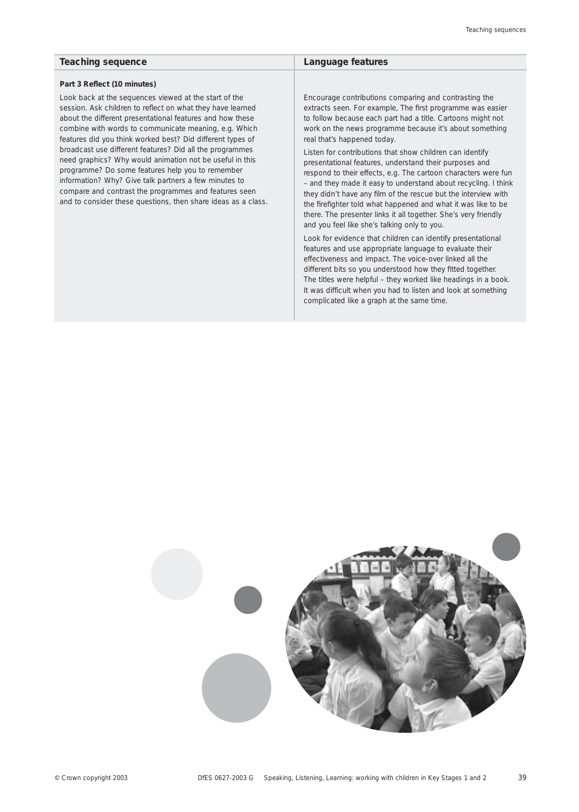# **Teaching sequence Language features**

#### **Part 3 Reflect (10 minutes)**

Look back at the sequences viewed at the start of the session. Ask children to reflect on what they have learned about the different presentational features and how these combine with words to communicate meaning, e.g. *Which features did you think worked best? Did different types of broadcast use different features? Did all the programmes need graphics? Why would animation not be useful in this programme? Do some features help you to remember information? Why?* Give talk partners a few minutes to compare and contrast the programmes and features seen and to consider these questions, then share ideas as a class.

Encourage contributions comparing and contrasting the extracts seen. For example, *The first programme was easier to follow because each part had a title. Cartoons might not work on the news programme because it's about something real that's happened today*.

Listen for contributions that show children can identify presentational features, understand their purposes and respond to their effects, e.g. *The cartoon characters were fun – and they made it easy to understand about recycling. I think they didn't have any film of the rescue but the interview with the firefighter told what happened and what it was like to be there. The presenter links it all together. She's very friendly and you feel like she's talking only to you*.

Look for evidence that children can identify presentational features and use appropriate language to evaluate their effectiveness and impact. *The voice-over linked all the different bits so you understood how they fitted together. The titles were helpful – they worked like headings in a book. It was difficult when you had to listen and look at something complicated like a graph at the same time*.

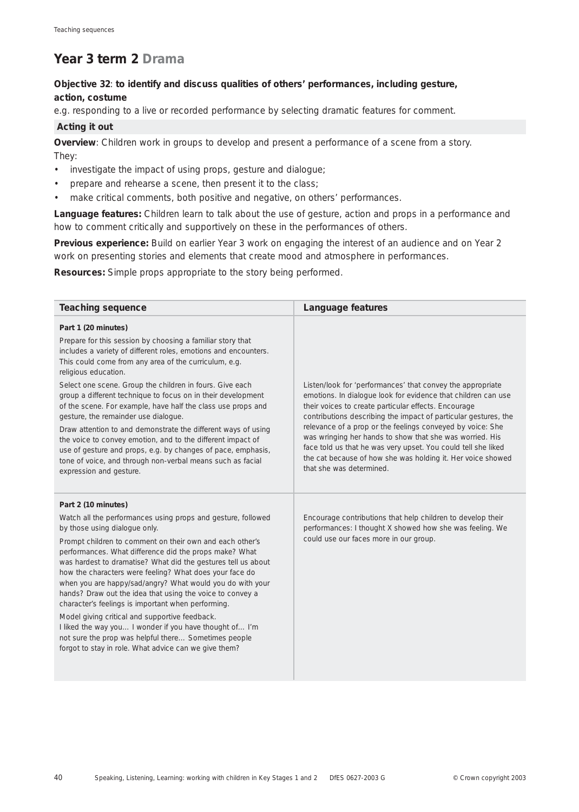### **Year 3 term 2 Drama**

#### **Objective 32**: **to identify and discuss qualities of others' performances, including gesture, action, costume**

e.g. responding to a live or recorded performance by selecting dramatic features for comment.

#### *Acting it out*

**Overview**: Children work in groups to develop and present a performance of a scene from a story. They:

- investigate the impact of using props, gesture and dialogue;
- prepare and rehearse a scene, then present it to the class;
- make critical comments, both positive and negative, on others' performances.

**Language features:** Children learn to talk about the use of gesture, action and props in a performance and how to comment critically and supportively on these in the performances of others.

**Previous experience:** Build on earlier Year 3 work on engaging the interest of an audience and on Year 2 work on presenting stories and elements that create mood and atmosphere in performances.

**Resources:** Simple props appropriate to the story being performed.

| <b>Teaching sequence</b>                                                                                                                                                                                                                                                                                                                                                                                                                                                                                                                                                                                                                                                                                                                                                             | Language features                                                                                                                                                                                                                                                                  |
|--------------------------------------------------------------------------------------------------------------------------------------------------------------------------------------------------------------------------------------------------------------------------------------------------------------------------------------------------------------------------------------------------------------------------------------------------------------------------------------------------------------------------------------------------------------------------------------------------------------------------------------------------------------------------------------------------------------------------------------------------------------------------------------|------------------------------------------------------------------------------------------------------------------------------------------------------------------------------------------------------------------------------------------------------------------------------------|
| Part 1 (20 minutes)<br>Prepare for this session by choosing a familiar story that<br>includes a variety of different roles, emotions and encounters.<br>This could come from any area of the curriculum, e.g.<br>religious education.<br>Select one scene. Group the children in fours. Give each<br>group a different technique to focus on in their development<br>of the scene. For example, have half the class use props and<br>gesture, the remainder use dialogue.                                                                                                                                                                                                                                                                                                            | Listen/look for 'performances' that convey the appropriate<br>emotions. In dialogue look for evidence that children can use<br>their voices to create particular effects. Encourage<br>contributions describing the impact of particular gestures, the                             |
| Draw attention to and demonstrate the different ways of using<br>the voice to convey emotion, and to the different impact of<br>use of gesture and props, e.g. by changes of pace, emphasis,<br>tone of voice, and through non-verbal means such as facial<br>expression and gesture.                                                                                                                                                                                                                                                                                                                                                                                                                                                                                                | relevance of a prop or the feelings conveyed by voice: She<br>was wringing her hands to show that she was worried. His<br>face told us that he was very upset. You could tell she liked<br>the cat because of how she was holding it. Her voice showed<br>that she was determined. |
| Part 2 (10 minutes)<br>Watch all the performances using props and gesture, followed<br>by those using dialogue only.<br>Prompt children to comment on their own and each other's<br>performances. What difference did the props make? What<br>was hardest to dramatise? What did the gestures tell us about<br>how the characters were feeling? What does your face do<br>when you are happy/sad/angry? What would you do with your<br>hands? Draw out the idea that using the voice to convey a<br>character's feelings is important when performing.<br>Model giving critical and supportive feedback.<br>I liked the way you I wonder if you have thought of I'm<br>not sure the prop was helpful there Sometimes people<br>forgot to stay in role. What advice can we give them? | Encourage contributions that help children to develop their<br>performances: I thought X showed how she was feeling. We<br>could use our faces more in our group.                                                                                                                  |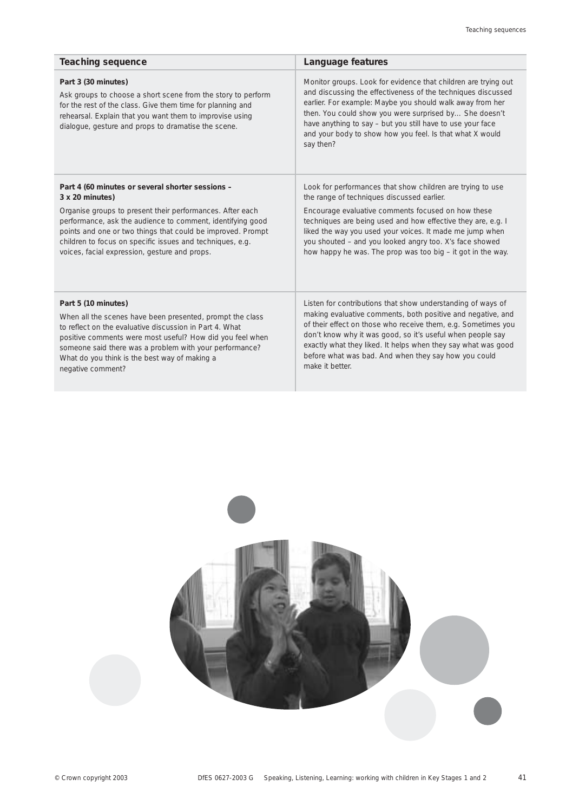| <b>Teaching sequence</b>                                                                                                                                                                                                                                             | Language features                                                                                                                                                                                                                                                                                                                                                                            |
|----------------------------------------------------------------------------------------------------------------------------------------------------------------------------------------------------------------------------------------------------------------------|----------------------------------------------------------------------------------------------------------------------------------------------------------------------------------------------------------------------------------------------------------------------------------------------------------------------------------------------------------------------------------------------|
| Part 3 (30 minutes)<br>Ask groups to choose a short scene from the story to perform<br>for the rest of the class. Give them time for planning and<br>rehearsal. Explain that you want them to improvise using<br>dialogue, gesture and props to dramatise the scene. | Monitor groups. Look for evidence that children are trying out<br>and discussing the effectiveness of the techniques discussed<br>earlier. For example: Maybe you should walk away from her<br>then. You could show you were surprised by She doesn't<br>have anything to say - but you still have to use your face<br>and your body to show how you feel. Is that what X would<br>say then? |
| Part 4 (60 minutes or several shorter sessions -                                                                                                                                                                                                                     | Look for performances that show children are trying to use                                                                                                                                                                                                                                                                                                                                   |
| 3 x 20 minutes)                                                                                                                                                                                                                                                      | the range of techniques discussed earlier.                                                                                                                                                                                                                                                                                                                                                   |
| Organise groups to present their performances. After each                                                                                                                                                                                                            | Encourage evaluative comments focused on how these                                                                                                                                                                                                                                                                                                                                           |
| performance, ask the audience to comment, identifying good                                                                                                                                                                                                           | techniques are being used and how effective they are, e.g. I                                                                                                                                                                                                                                                                                                                                 |
| points and one or two things that could be improved. Prompt                                                                                                                                                                                                          | liked the way you used your voices. It made me jump when                                                                                                                                                                                                                                                                                                                                     |
| children to focus on specific issues and techniques, e.g.                                                                                                                                                                                                            | you shouted - and you looked angry too. X's face showed                                                                                                                                                                                                                                                                                                                                      |
| voices, facial expression, gesture and props.                                                                                                                                                                                                                        | how happy he was. The prop was too big - it got in the way.                                                                                                                                                                                                                                                                                                                                  |
| Part 5 (10 minutes)                                                                                                                                                                                                                                                  | Listen for contributions that show understanding of ways of                                                                                                                                                                                                                                                                                                                                  |
| When all the scenes have been presented, prompt the class                                                                                                                                                                                                            | making evaluative comments, both positive and negative, and                                                                                                                                                                                                                                                                                                                                  |
| to reflect on the evaluative discussion in Part 4. What                                                                                                                                                                                                              | of their effect on those who receive them, e.g. Sometimes you                                                                                                                                                                                                                                                                                                                                |
| positive comments were most useful? How did you feel when                                                                                                                                                                                                            | don't know why it was good, so it's useful when people say                                                                                                                                                                                                                                                                                                                                   |
| someone said there was a problem with your performance?                                                                                                                                                                                                              | exactly what they liked. It helps when they say what was good                                                                                                                                                                                                                                                                                                                                |
| What do you think is the best way of making a                                                                                                                                                                                                                        | before what was bad. And when they say how you could                                                                                                                                                                                                                                                                                                                                         |
| negative comment?                                                                                                                                                                                                                                                    | make it better.                                                                                                                                                                                                                                                                                                                                                                              |

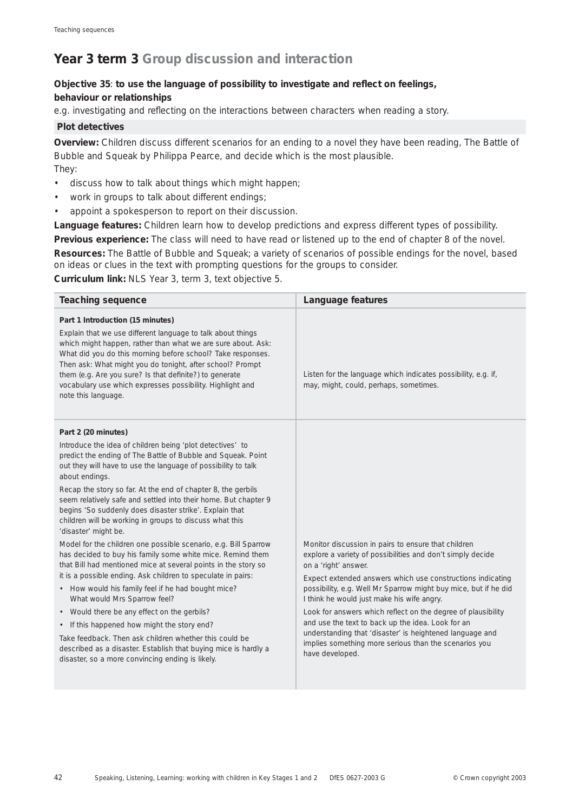# **Year 3 term 3 Group discussion and interaction**

# **Objective 35**: **to use the language of possibility to investigate and reflect on feelings,**

#### **behaviour or relationships**

e.g. investigating and reflecting on the interactions between characters when reading a story.

#### *Plot detectives*

**Overview:** Children discuss different scenarios for an ending to a novel they have been reading, *The Battle of Bubble and Squeak* by Philippa Pearce, and decide which is the most plausible. They:

- discuss how to talk about things which might happen;
- work in groups to talk about different endings;
- appoint a spokesperson to report on their discussion.

**Language features:** Children learn how to develop predictions and express different types of possibility.

**Previous experience:** The class will need to have read or listened up to the end of chapter 8 of the novel.

**Resources:** *The Battle of Bubble and Squeak*; a variety of scenarios of possible endings for the novel, based on ideas or clues in the text with prompting questions for the groups to consider.

**Curriculum link:** NLS Year 3, term 3, text objective 5.

| <b>Teaching sequence</b>                                                                                                                                                                                                                                                                                                                                                                                                                                                                                                                                                                                                                                                                                                                                                                                                                                                                                                                                                                                                                                                                                                                                     | Language features                                                                                                                                                                                                                                                                                                                                                                                                                                                                                                                                                                     |
|--------------------------------------------------------------------------------------------------------------------------------------------------------------------------------------------------------------------------------------------------------------------------------------------------------------------------------------------------------------------------------------------------------------------------------------------------------------------------------------------------------------------------------------------------------------------------------------------------------------------------------------------------------------------------------------------------------------------------------------------------------------------------------------------------------------------------------------------------------------------------------------------------------------------------------------------------------------------------------------------------------------------------------------------------------------------------------------------------------------------------------------------------------------|---------------------------------------------------------------------------------------------------------------------------------------------------------------------------------------------------------------------------------------------------------------------------------------------------------------------------------------------------------------------------------------------------------------------------------------------------------------------------------------------------------------------------------------------------------------------------------------|
| Part 1 Introduction (15 minutes)<br>Explain that we use different language to talk about things<br>which might happen, rather than what we are sure about. Ask:<br>What did you do this morning before school? Take responses.<br>Then ask: What might you do tonight, after school? Prompt<br>them (e.g. Are you sure? Is that definite?) to generate<br>vocabulary use which expresses possibility. Highlight and<br>note this language.                                                                                                                                                                                                                                                                                                                                                                                                                                                                                                                                                                                                                                                                                                                   | Listen for the language which indicates possibility, e.g. if,<br>may, might, could, perhaps, sometimes.                                                                                                                                                                                                                                                                                                                                                                                                                                                                               |
| Part 2 (20 minutes)<br>Introduce the idea of children being 'plot detectives' to<br>predict the ending of The Battle of Bubble and Squeak. Point<br>out they will have to use the language of possibility to talk<br>about endings.<br>Recap the story so far. At the end of chapter 8, the gerbils<br>seem relatively safe and settled into their home. But chapter 9<br>begins 'So suddenly does disaster strike'. Explain that<br>children will be working in groups to discuss what this<br>'disaster' might be.<br>Model for the children one possible scenario, e.g. Bill Sparrow<br>has decided to buy his family some white mice. Remind them<br>that Bill had mentioned mice at several points in the story so<br>it is a possible ending. Ask children to speculate in pairs:<br>• How would his family feel if he had bought mice?<br>What would Mrs Sparrow feel?<br>• Would there be any effect on the gerbils?<br>• If this happened how might the story end?<br>Take feedback. Then ask children whether this could be<br>described as a disaster. Establish that buying mice is hardly a<br>disaster, so a more convincing ending is likely. | Monitor discussion in pairs to ensure that children<br>explore a variety of possibilities and don't simply decide<br>on a 'right' answer.<br>Expect extended answers which use constructions indicating<br>possibility, e.g. Well Mr Sparrow might buy mice, but if he did<br>I think he would just make his wife angry.<br>Look for answers which reflect on the degree of plausibility<br>and use the text to back up the idea. Look for an<br>understanding that 'disaster' is heightened language and<br>implies something more serious than the scenarios you<br>have developed. |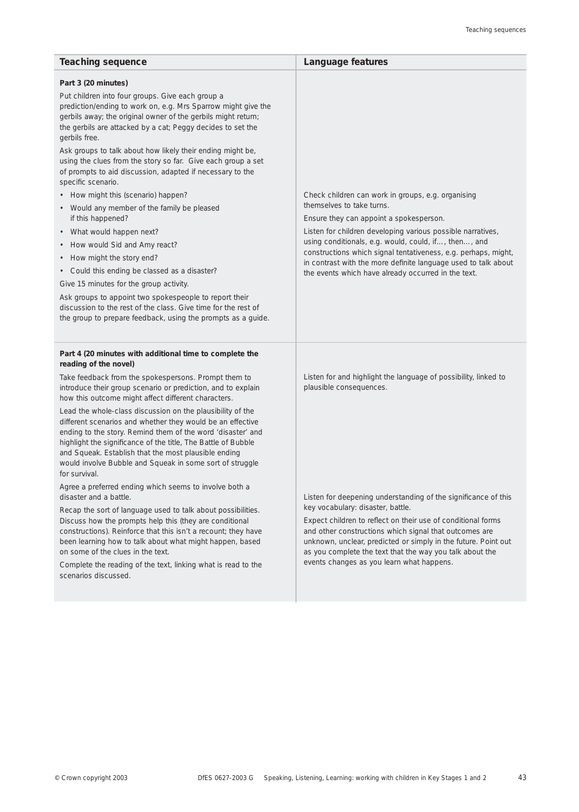| <b>Teaching sequence</b>                                                                                                                                                                                                                                                                                                                                                                                                                                                                                                                                                                                                                                                                                                                                                                                                                                                 | Language features                                                                                                                                                                                                                                                                                                                                                                                                                            |
|--------------------------------------------------------------------------------------------------------------------------------------------------------------------------------------------------------------------------------------------------------------------------------------------------------------------------------------------------------------------------------------------------------------------------------------------------------------------------------------------------------------------------------------------------------------------------------------------------------------------------------------------------------------------------------------------------------------------------------------------------------------------------------------------------------------------------------------------------------------------------|----------------------------------------------------------------------------------------------------------------------------------------------------------------------------------------------------------------------------------------------------------------------------------------------------------------------------------------------------------------------------------------------------------------------------------------------|
| Part 3 (20 minutes)<br>Put children into four groups. Give each group a<br>prediction/ending to work on, e.g. Mrs Sparrow might give the<br>gerbils away; the original owner of the gerbils might return;<br>the gerbils are attacked by a cat; Peggy decides to set the<br>gerbils free.<br>Ask groups to talk about how likely their ending might be,<br>using the clues from the story so far. Give each group a set<br>of prompts to aid discussion, adapted if necessary to the<br>specific scenario.<br>• How might this (scenario) happen?<br>• Would any member of the family be pleased<br>if this happened?<br>• What would happen next?<br>• How would Sid and Amy react?<br>• How might the story end?<br>• Could this ending be classed as a disaster?<br>Give 15 minutes for the group activity.<br>Ask groups to appoint two spokespeople to report their | Check children can work in groups, e.g. organising<br>themselves to take turns.<br>Ensure they can appoint a spokesperson.<br>Listen for children developing various possible narratives,<br>using conditionals, e.g. would, could, if, then, and<br>constructions which signal tentativeness, e.g. perhaps, might,<br>in contrast with the more definite language used to talk about<br>the events which have already occurred in the text. |
| discussion to the rest of the class. Give time for the rest of<br>the group to prepare feedback, using the prompts as a guide.                                                                                                                                                                                                                                                                                                                                                                                                                                                                                                                                                                                                                                                                                                                                           |                                                                                                                                                                                                                                                                                                                                                                                                                                              |
| Part 4 (20 minutes with additional time to complete the<br>reading of the novel)<br>Take feedback from the spokespersons. Prompt them to<br>introduce their group scenario or prediction, and to explain<br>how this outcome might affect different characters.<br>Lead the whole-class discussion on the plausibility of the<br>different scenarios and whether they would be an effective<br>ending to the story. Remind them of the word 'disaster' and                                                                                                                                                                                                                                                                                                                                                                                                               | Listen for and highlight the language of possibility, linked to<br>plausible consequences.                                                                                                                                                                                                                                                                                                                                                   |
| highlight the significance of the title, The Battle of Bubble<br>and Squeak. Establish that the most plausible ending<br>would involve Bubble and Squeak in some sort of struggle<br>for survival.<br>Agree a preferred ending which seems to involve both a<br>disaster and a battle.<br>Recap the sort of language used to talk about possibilities.<br>Discuss how the prompts help this (they are conditional<br>constructions). Reinforce that this isn't a recount; they have<br>been learning how to talk about what might happen, based<br>on some of the clues in the text.<br>Complete the reading of the text, linking what is read to the<br>scenarios discussed.                                                                                                                                                                                            | Listen for deepening understanding of the significance of this<br>key vocabulary: disaster, battle.<br>Expect children to reflect on their use of conditional forms<br>and other constructions which signal that outcomes are<br>unknown, unclear, predicted or simply in the future. Point out<br>as you complete the text that the way you talk about the<br>events changes as you learn what happens.                                     |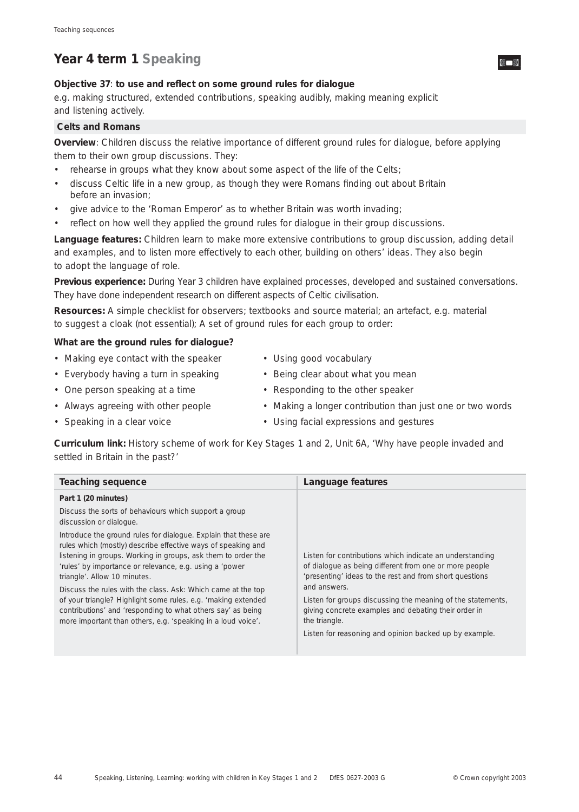# **Year 4 term 1 Speaking**

### **Objective 37**: **to use and reflect on some ground rules for dialogue**

e.g. making structured, extended contributions, speaking audibly, making meaning explicit and listening actively.

### *Celts and Romans*

**Overview**: Children discuss the relative importance of different ground rules for dialogue, before applying them to their own group discussions. They:

- rehearse in groups what they know about some aspect of the life of the Celts;
- discuss Celtic life in a new group, as though they were Romans finding out about Britain before an invasion;
- give advice to the 'Roman Emperor' as to whether Britain was worth invading;
- reflect on how well they applied the ground rules for dialogue in their group discussions.

**Language features:** Children learn to make more extensive contributions to group discussion, adding detail and examples, and to listen more effectively to each other, building on others' ideas. They also begin to adopt the language of role.

**Previous experience:** During Year 3 children have explained processes, developed and sustained conversations. They have done independent research on different aspects of Celtic civilisation.

**Resources:** A simple checklist for observers; textbooks and source material; an artefact, e.g. material to suggest a cloak (not essential); A set of ground rules for each group to order:

#### **What are the ground rules for dialogue?**

- Making eye contact with the speaker • Using good vocabulary
- Everybody having a turn in speaking

• Always agreeing with other people

- One person speaking at a time
- Being clear about what you mean
- Responding to the other speaker
- Making a longer contribution than just one or two words
- Speaking in a clear voice

• Using facial expressions and gestures

**Curriculum link:** History scheme of work for Key Stages 1 and 2, Unit 6A, 'Why have people invaded and settled in Britain in the past?'

| <b>Teaching sequence</b>                                                                                                                                                                                                                                                                                                                                                                                                                                                                                                                                    | Language features                                                                                                                                                                                                                                                                                                                     |
|-------------------------------------------------------------------------------------------------------------------------------------------------------------------------------------------------------------------------------------------------------------------------------------------------------------------------------------------------------------------------------------------------------------------------------------------------------------------------------------------------------------------------------------------------------------|---------------------------------------------------------------------------------------------------------------------------------------------------------------------------------------------------------------------------------------------------------------------------------------------------------------------------------------|
| Part 1 (20 minutes)                                                                                                                                                                                                                                                                                                                                                                                                                                                                                                                                         |                                                                                                                                                                                                                                                                                                                                       |
| Discuss the sorts of behaviours which support a group<br>discussion or dialoque.                                                                                                                                                                                                                                                                                                                                                                                                                                                                            |                                                                                                                                                                                                                                                                                                                                       |
| Introduce the ground rules for dialogue. Explain that these are<br>rules which (mostly) describe effective ways of speaking and<br>listening in groups. Working in groups, ask them to order the<br>'rules' by importance or relevance, e.g. using a 'power<br>triangle'. Allow 10 minutes.<br>Discuss the rules with the class. Ask: Which came at the top<br>of your triangle? Highlight some rules, e.g. 'making extended<br>contributions' and 'responding to what others say' as being<br>more important than others, e.g. 'speaking in a loud voice'. | Listen for contributions which indicate an understanding<br>of dialogue as being different from one or more people<br>'presenting' ideas to the rest and from short questions<br>and answers.<br>Listen for groups discussing the meaning of the statements,<br>giving concrete examples and debating their order in<br>the triangle. |
|                                                                                                                                                                                                                                                                                                                                                                                                                                                                                                                                                             | Listen for reasoning and opinion backed up by example.                                                                                                                                                                                                                                                                                |

Speaking, Listening, Learning: working with children in Key Stages 1 and 2 DfES 0627-2003 G 44 © Crown copyright 2003

 $\left( -\right)$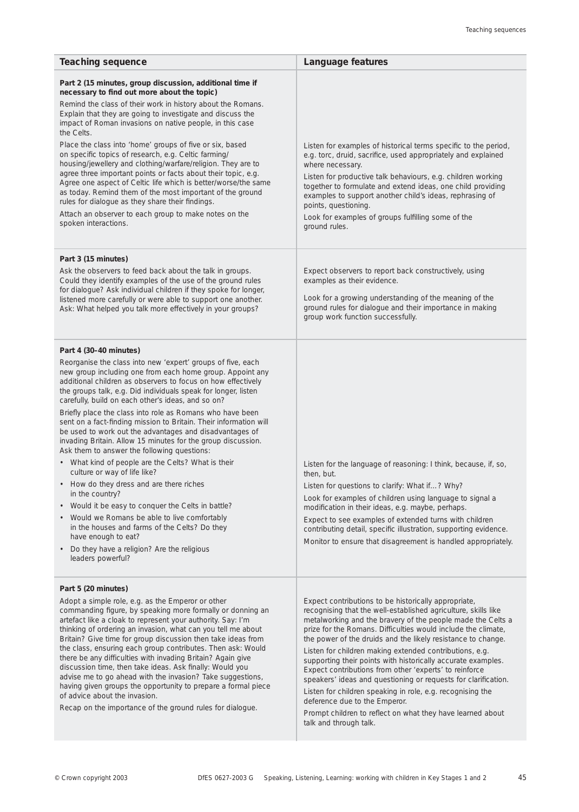| <b>Teaching sequence</b>                                                                                                                                                                                                                                                                                                                                                                                                                                                                                                                                                                                                                                                                                                                                                                                                                                                                                                                                                                                                                                               | Language features                                                                                                                                                                                                                                                                                                                                                                                                                                                                                                                                                                                                                                                                                                                                                    |
|------------------------------------------------------------------------------------------------------------------------------------------------------------------------------------------------------------------------------------------------------------------------------------------------------------------------------------------------------------------------------------------------------------------------------------------------------------------------------------------------------------------------------------------------------------------------------------------------------------------------------------------------------------------------------------------------------------------------------------------------------------------------------------------------------------------------------------------------------------------------------------------------------------------------------------------------------------------------------------------------------------------------------------------------------------------------|----------------------------------------------------------------------------------------------------------------------------------------------------------------------------------------------------------------------------------------------------------------------------------------------------------------------------------------------------------------------------------------------------------------------------------------------------------------------------------------------------------------------------------------------------------------------------------------------------------------------------------------------------------------------------------------------------------------------------------------------------------------------|
| Part 2 (15 minutes, group discussion, additional time if<br>necessary to find out more about the topic)<br>Remind the class of their work in history about the Romans.<br>Explain that they are going to investigate and discuss the<br>impact of Roman invasions on native people, in this case<br>the Celts.<br>Place the class into 'home' groups of five or six, based<br>on specific topics of research, e.g. Celtic farming/<br>housing/jewellery and clothing/warfare/religion. They are to<br>agree three important points or facts about their topic, e.g.<br>Agree one aspect of Celtic life which is better/worse/the same<br>as today. Remind them of the most important of the ground<br>rules for dialogue as they share their findings.<br>Attach an observer to each group to make notes on the<br>spoken interactions.                                                                                                                                                                                                                                | Listen for examples of historical terms specific to the period,<br>e.g. torc, druid, sacrifice, used appropriately and explained<br>where necessary.<br>Listen for productive talk behaviours, e.g. children working<br>together to formulate and extend ideas, one child providing<br>examples to support another child's ideas, rephrasing of<br>points, questioning.<br>Look for examples of groups fulfilling some of the<br>ground rules.                                                                                                                                                                                                                                                                                                                       |
| Part 3 (15 minutes)<br>Ask the observers to feed back about the talk in groups.<br>Could they identify examples of the use of the ground rules<br>for dialogue? Ask individual children if they spoke for longer,<br>listened more carefully or were able to support one another.<br>Ask: What helped you talk more effectively in your groups?                                                                                                                                                                                                                                                                                                                                                                                                                                                                                                                                                                                                                                                                                                                        | Expect observers to report back constructively, using<br>examples as their evidence.<br>Look for a growing understanding of the meaning of the<br>ground rules for dialogue and their importance in making<br>group work function successfully.                                                                                                                                                                                                                                                                                                                                                                                                                                                                                                                      |
| Part 4 (30-40 minutes)<br>Reorganise the class into new 'expert' groups of five, each<br>new group including one from each home group. Appoint any<br>additional children as observers to focus on how effectively<br>the groups talk, e.g. Did individuals speak for longer, listen<br>carefully, build on each other's ideas, and so on?<br>Briefly place the class into role as Romans who have been<br>sent on a fact-finding mission to Britain. Their information will<br>be used to work out the advantages and disadvantages of<br>invading Britain. Allow 15 minutes for the group discussion.<br>Ask them to answer the following questions:<br>• What kind of people are the Celts? What is their<br>culture or way of life like?<br>• How do they dress and are there riches<br>in the country?<br>Would it be easy to conquer the Celts in battle?<br>$\bullet$<br>Would we Romans be able to live comfortably<br>in the houses and farms of the Celts? Do they<br>have enough to eat?<br>Do they have a religion? Are the religious<br>leaders powerful? | Listen for the language of reasoning: I think, because, if, so,<br>then, but.<br>Listen for questions to clarify: What if? Why?<br>Look for examples of children using language to signal a<br>modification in their ideas, e.g. maybe, perhaps.<br>Expect to see examples of extended turns with children<br>contributing detail, specific illustration, supporting evidence.<br>Monitor to ensure that disagreement is handled appropriately.                                                                                                                                                                                                                                                                                                                      |
| Part 5 (20 minutes)<br>Adopt a simple role, e.g. as the Emperor or other<br>commanding figure, by speaking more formally or donning an<br>artefact like a cloak to represent your authority. Say: I'm<br>thinking of ordering an invasion, what can you tell me about<br>Britain? Give time for group discussion then take ideas from<br>the class, ensuring each group contributes. Then ask: Would<br>there be any difficulties with invading Britain? Again give<br>discussion time, then take ideas. Ask finally: Would you<br>advise me to go ahead with the invasion? Take suggestions,<br>having given groups the opportunity to prepare a formal piece<br>of advice about the invasion.<br>Recap on the importance of the ground rules for dialogue.                                                                                                                                                                                                                                                                                                           | Expect contributions to be historically appropriate,<br>recognising that the well-established agriculture, skills like<br>metalworking and the bravery of the people made the Celts a<br>prize for the Romans. Difficulties would include the climate,<br>the power of the druids and the likely resistance to change.<br>Listen for children making extended contributions, e.g.<br>supporting their points with historically accurate examples.<br>Expect contributions from other 'experts' to reinforce<br>speakers' ideas and questioning or requests for clarification.<br>Listen for children speaking in role, e.g. recognising the<br>deference due to the Emperor.<br>Prompt children to reflect on what they have learned about<br>talk and through talk. |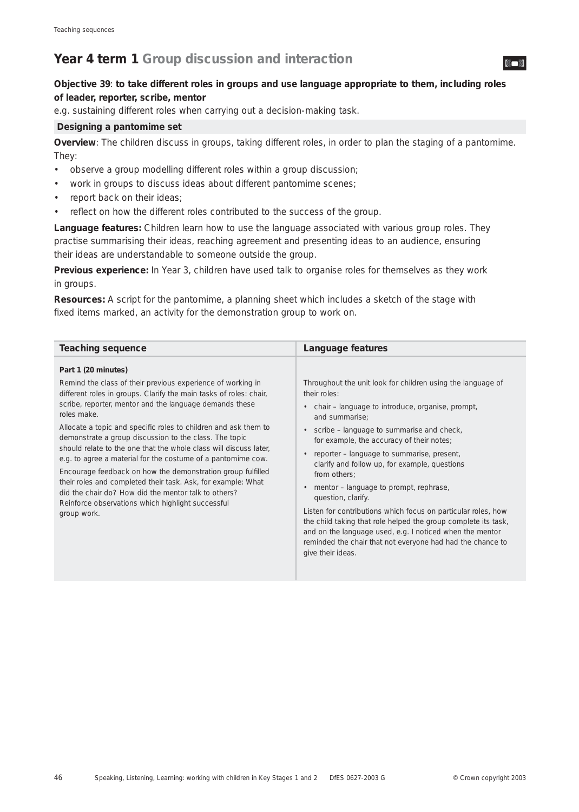# **Year 4 term 1 Group discussion and interaction**

### **Objective 39**: **to take different roles in groups and use language appropriate to them, including roles of leader, reporter, scribe, mentor**

e.g. sustaining different roles when carrying out a decision-making task.

#### *Designing a pantomime set*

**Overview**: The children discuss in groups, taking different roles, in order to plan the staging of a pantomime. They:

- observe a group modelling different roles within a group discussion;
- work in groups to discuss ideas about different pantomime scenes;
- report back on their ideas;
- reflect on how the different roles contributed to the success of the group.

**Language features:** Children learn how to use the language associated with various group roles. They practise summarising their ideas, reaching agreement and presenting ideas to an audience, ensuring their ideas are understandable to someone outside the group.

**Previous experience:** In Year 3, children have used talk to organise roles for themselves as they work in groups.

**Resources:** A script for the pantomime, a planning sheet which includes a sketch of the stage with fixed items marked, an activity for the demonstration group to work on.

| <b>Teaching sequence</b>                                                                                                                                                                                                                                                                                                                                                                                                                                                                                                                                                                                                                                                                                                                                        | Language features                                                                                                                                                                                                                                                                                                                                                                                                                                                                                                                                                                                                                                                                                                                                                |
|-----------------------------------------------------------------------------------------------------------------------------------------------------------------------------------------------------------------------------------------------------------------------------------------------------------------------------------------------------------------------------------------------------------------------------------------------------------------------------------------------------------------------------------------------------------------------------------------------------------------------------------------------------------------------------------------------------------------------------------------------------------------|------------------------------------------------------------------------------------------------------------------------------------------------------------------------------------------------------------------------------------------------------------------------------------------------------------------------------------------------------------------------------------------------------------------------------------------------------------------------------------------------------------------------------------------------------------------------------------------------------------------------------------------------------------------------------------------------------------------------------------------------------------------|
| Part 1 (20 minutes)<br>Remind the class of their previous experience of working in<br>different roles in groups. Clarify the main tasks of roles: chair,<br>scribe, reporter, mentor and the language demands these<br>roles make.<br>Allocate a topic and specific roles to children and ask them to<br>demonstrate a group discussion to the class. The topic<br>should relate to the one that the whole class will discuss later,<br>e.g. to agree a material for the costume of a pantomime cow.<br>Encourage feedback on how the demonstration group fulfilled<br>their roles and completed their task. Ask, for example: What<br>did the chair do? How did the mentor talk to others?<br>Reinforce observations which highlight successful<br>group work. | Throughout the unit look for children using the language of<br>their roles:<br>chair – language to introduce, organise, prompt,<br>$\bullet$<br>and summarise;<br>scribe – language to summarise and check,<br>$\bullet$<br>for example, the accuracy of their notes;<br>reporter – language to summarise, present,<br>$\bullet$<br>clarify and follow up, for example, questions<br>from others;<br>mentor – language to prompt, rephrase,<br>$\bullet$<br>question, clarify.<br>Listen for contributions which focus on particular roles, how<br>the child taking that role helped the group complete its task,<br>and on the language used, e.g. I noticed when the mentor<br>reminded the chair that not everyone had had the chance to<br>give their ideas. |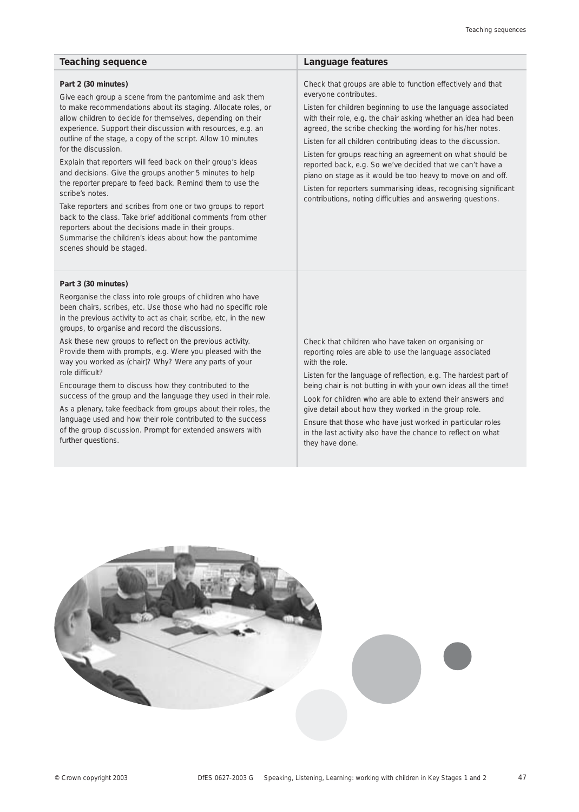| <b>Teaching sequence</b>                                                                                                                                                                                                                                                                                                                                                                                                                                                                                                                                                                                                                                                                                                                                                                                                                                      | Language features                                                                                                                                                                                                                                                                                                                                                                                                                                                                                                                                                                                                                                                                 |
|---------------------------------------------------------------------------------------------------------------------------------------------------------------------------------------------------------------------------------------------------------------------------------------------------------------------------------------------------------------------------------------------------------------------------------------------------------------------------------------------------------------------------------------------------------------------------------------------------------------------------------------------------------------------------------------------------------------------------------------------------------------------------------------------------------------------------------------------------------------|-----------------------------------------------------------------------------------------------------------------------------------------------------------------------------------------------------------------------------------------------------------------------------------------------------------------------------------------------------------------------------------------------------------------------------------------------------------------------------------------------------------------------------------------------------------------------------------------------------------------------------------------------------------------------------------|
| Part 2 (30 minutes)<br>Give each group a scene from the pantomime and ask them<br>to make recommendations about its staging. Allocate roles, or<br>allow children to decide for themselves, depending on their<br>experience. Support their discussion with resources, e.g. an<br>outline of the stage, a copy of the script. Allow 10 minutes<br>for the discussion.<br>Explain that reporters will feed back on their group's ideas<br>and decisions. Give the groups another 5 minutes to help<br>the reporter prepare to feed back. Remind them to use the<br>scribe's notes.<br>Take reporters and scribes from one or two groups to report<br>back to the class. Take brief additional comments from other<br>reporters about the decisions made in their groups.<br>Summarise the children's ideas about how the pantomime<br>scenes should be staged. | Check that groups are able to function effectively and that<br>everyone contributes.<br>Listen for children beginning to use the language associated<br>with their role, e.g. the chair asking whether an idea had been<br>agreed, the scribe checking the wording for his/her notes.<br>Listen for all children contributing ideas to the discussion.<br>Listen for groups reaching an agreement on what should be<br>reported back, e.g. So we've decided that we can't have a<br>piano on stage as it would be too heavy to move on and off.<br>Listen for reporters summarising ideas, recognising significant<br>contributions, noting difficulties and answering questions. |
| Part 3 (30 minutes)<br>Reorganise the class into role groups of children who have<br>been chairs, scribes, etc. Use those who had no specific role<br>in the previous activity to act as chair, scribe, etc, in the new<br>groups, to organise and record the discussions.<br>Ask these new groups to reflect on the previous activity.<br>Provide them with prompts, e.g. Were you pleased with the<br>way you worked as (chair)? Why? Were any parts of your<br>role difficult?<br>Encourage them to discuss how they contributed to the<br>success of the group and the language they used in their role.<br>As a plenary, take feedback from groups about their roles, the<br>language used and how their role contributed to the success<br>of the group discussion. Prompt for extended answers with<br>further questions.                              | Check that children who have taken on organising or<br>reporting roles are able to use the language associated<br>with the role.<br>Listen for the language of reflection, e.g. The hardest part of<br>being chair is not butting in with your own ideas all the time!<br>Look for children who are able to extend their answers and<br>give detail about how they worked in the group role.<br>Ensure that those who have just worked in particular roles<br>in the last activity also have the chance to reflect on what<br>they have done.                                                                                                                                     |

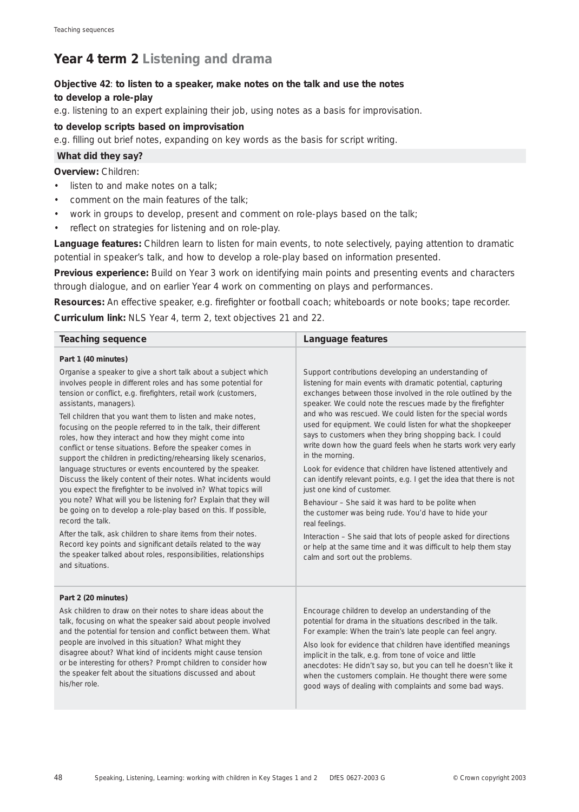# **Year 4 term 2 Listening and drama**

### **Objective 42**: **to listen to a speaker, make notes on the talk and use the notes**

### **to develop a role-play**

e.g. listening to an expert explaining their job, using notes as a basis for improvisation.

#### **to develop scripts based on improvisation**

e.g. filling out brief notes, expanding on key words as the basis for script writing.

#### *What did they say?*

**Overview:** Children:

- listen to and make notes on a talk:
- comment on the main features of the talk;
- work in groups to develop, present and comment on role-plays based on the talk;
- reflect on strategies for listening and on role-play.

**Language features:** Children learn to listen for main events, to note selectively, paying attention to dramatic potential in speaker's talk, and how to develop a role-play based on information presented.

**Previous experience:** Build on Year 3 work on identifying main points and presenting events and characters through dialogue, and on earlier Year 4 work on commenting on plays and performances.

**Resources:** An effective speaker, e.g. firefighter or football coach; whiteboards or note books; tape recorder.

**Curriculum link:** NLS Year 4, term 2, text objectives 21 and 22.

| <b>Teaching sequence</b>                                                                                                                                                                                                                                                                                                                                                                                                                                                                                                                                                                                                                                                                                                                                                                                                                                                                                                                                                                                                                                                                                                                 | Language features                                                                                                                                                                                                                                                                                                                                                                                                                                                                                                                                                                                                                                                                                                                                                                                                                                                                                                                                                                                              |
|------------------------------------------------------------------------------------------------------------------------------------------------------------------------------------------------------------------------------------------------------------------------------------------------------------------------------------------------------------------------------------------------------------------------------------------------------------------------------------------------------------------------------------------------------------------------------------------------------------------------------------------------------------------------------------------------------------------------------------------------------------------------------------------------------------------------------------------------------------------------------------------------------------------------------------------------------------------------------------------------------------------------------------------------------------------------------------------------------------------------------------------|----------------------------------------------------------------------------------------------------------------------------------------------------------------------------------------------------------------------------------------------------------------------------------------------------------------------------------------------------------------------------------------------------------------------------------------------------------------------------------------------------------------------------------------------------------------------------------------------------------------------------------------------------------------------------------------------------------------------------------------------------------------------------------------------------------------------------------------------------------------------------------------------------------------------------------------------------------------------------------------------------------------|
| Part 1 (40 minutes)                                                                                                                                                                                                                                                                                                                                                                                                                                                                                                                                                                                                                                                                                                                                                                                                                                                                                                                                                                                                                                                                                                                      |                                                                                                                                                                                                                                                                                                                                                                                                                                                                                                                                                                                                                                                                                                                                                                                                                                                                                                                                                                                                                |
| Organise a speaker to give a short talk about a subject which<br>involves people in different roles and has some potential for<br>tension or conflict, e.g. firefighters, retail work (customers,<br>assistants, managers).<br>Tell children that you want them to listen and make notes,<br>focusing on the people referred to in the talk, their different<br>roles, how they interact and how they might come into<br>conflict or tense situations. Before the speaker comes in<br>support the children in predicting/rehearsing likely scenarios,<br>language structures or events encountered by the speaker.<br>Discuss the likely content of their notes. What incidents would<br>you expect the firefighter to be involved in? What topics will<br>you note? What will you be listening for? Explain that they will<br>be going on to develop a role-play based on this. If possible,<br>record the talk.<br>After the talk, ask children to share items from their notes.<br>Record key points and significant details related to the way<br>the speaker talked about roles, responsibilities, relationships<br>and situations. | Support contributions developing an understanding of<br>listening for main events with dramatic potential, capturing<br>exchanges between those involved in the role outlined by the<br>speaker. We could note the rescues made by the firefighter<br>and who was rescued. We could listen for the special words<br>used for equipment. We could listen for what the shopkeeper<br>says to customers when they bring shopping back. I could<br>write down how the guard feels when he starts work very early<br>in the morning.<br>Look for evidence that children have listened attentively and<br>can identify relevant points, e.g. I get the idea that there is not<br>just one kind of customer.<br>Behaviour - She said it was hard to be polite when<br>the customer was being rude. You'd have to hide your<br>real feelings.<br>Interaction - She said that lots of people asked for directions<br>or help at the same time and it was difficult to help them stay<br>calm and sort out the problems. |
| Part 2 (20 minutes)                                                                                                                                                                                                                                                                                                                                                                                                                                                                                                                                                                                                                                                                                                                                                                                                                                                                                                                                                                                                                                                                                                                      |                                                                                                                                                                                                                                                                                                                                                                                                                                                                                                                                                                                                                                                                                                                                                                                                                                                                                                                                                                                                                |
| Ask children to draw on their notes to share ideas about the<br>talk, focusing on what the speaker said about people involved<br>and the potential for tension and conflict between them. What<br>people are involved in this situation? What might they<br>disagree about? What kind of incidents might cause tension<br>or be interesting for others? Prompt children to consider how<br>the speaker felt about the situations discussed and about<br>his/her role.                                                                                                                                                                                                                                                                                                                                                                                                                                                                                                                                                                                                                                                                    | Encourage children to develop an understanding of the<br>potential for drama in the situations described in the talk.<br>For example: When the train's late people can feel angry.<br>Also look for evidence that children have identified meanings<br>implicit in the talk, e.g. from tone of voice and little<br>anecdotes: He didn't say so, but you can tell he doesn't like it<br>when the customers complain. He thought there were some<br>good ways of dealing with complaints and some bad ways.                                                                                                                                                                                                                                                                                                                                                                                                                                                                                                      |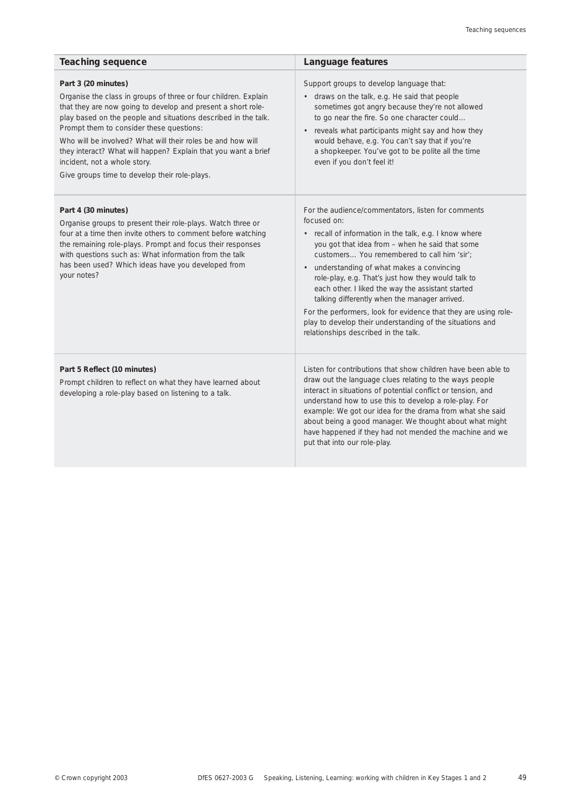| <b>Teaching sequence</b>                                                                                                                                                                                                                                                                                                                                                                                                                                                               | Language features                                                                                                                                                                                                                                                                                                                                                                                                                                                                                                                                                                                           |
|----------------------------------------------------------------------------------------------------------------------------------------------------------------------------------------------------------------------------------------------------------------------------------------------------------------------------------------------------------------------------------------------------------------------------------------------------------------------------------------|-------------------------------------------------------------------------------------------------------------------------------------------------------------------------------------------------------------------------------------------------------------------------------------------------------------------------------------------------------------------------------------------------------------------------------------------------------------------------------------------------------------------------------------------------------------------------------------------------------------|
| Part 3 (20 minutes)<br>Organise the class in groups of three or four children. Explain<br>that they are now going to develop and present a short role-<br>play based on the people and situations described in the talk.<br>Prompt them to consider these questions:<br>Who will be involved? What will their roles be and how will<br>they interact? What will happen? Explain that you want a brief<br>incident, not a whole story.<br>Give groups time to develop their role-plays. | Support groups to develop language that:<br>draws on the talk, e.g. He said that people<br>sometimes got angry because they're not allowed<br>to go near the fire. So one character could<br>reveals what participants might say and how they<br>would behave, e.g. You can't say that if you're<br>a shopkeeper. You've got to be polite all the time<br>even if you don't feel it!                                                                                                                                                                                                                        |
| Part 4 (30 minutes)<br>Organise groups to present their role-plays. Watch three or<br>four at a time then invite others to comment before watching<br>the remaining role-plays. Prompt and focus their responses<br>with questions such as: What information from the talk<br>has been used? Which ideas have you developed from<br>your notes?                                                                                                                                        | For the audience/commentators, listen for comments<br>focused on:<br>recall of information in the talk, e.g. I know where<br>you got that idea from - when he said that some<br>customers You remembered to call him 'sir';<br>understanding of what makes a convincing<br>role-play, e.g. That's just how they would talk to<br>each other. I liked the way the assistant started<br>talking differently when the manager arrived.<br>For the performers, look for evidence that they are using role-<br>play to develop their understanding of the situations and<br>relationships described in the talk. |
| Part 5 Reflect (10 minutes)<br>Prompt children to reflect on what they have learned about<br>developing a role-play based on listening to a talk.                                                                                                                                                                                                                                                                                                                                      | Listen for contributions that show children have been able to<br>draw out the language clues relating to the ways people<br>interact in situations of potential conflict or tension, and<br>understand how to use this to develop a role-play. For<br>example: We got our idea for the drama from what she said<br>about being a good manager. We thought about what might<br>have happened if they had not mended the machine and we<br>put that into our role-play.                                                                                                                                       |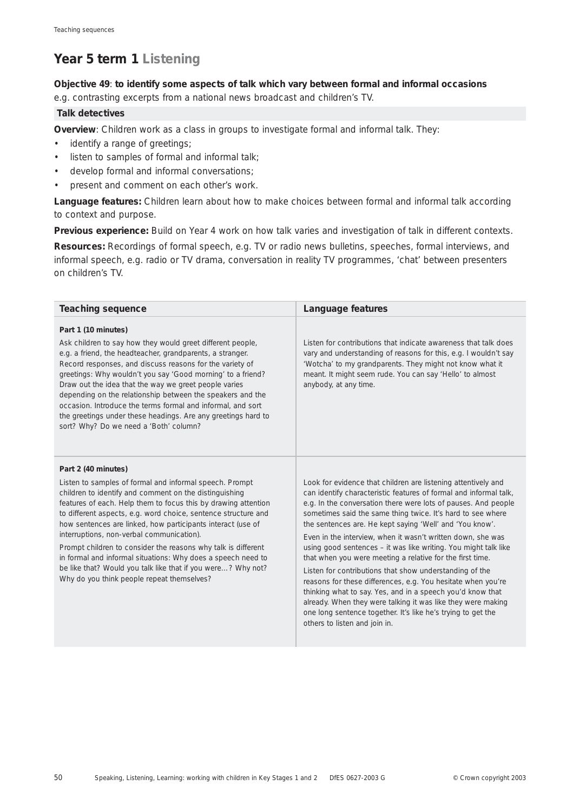# **Year 5 term 1 Listening**

#### **Objective 49**: **to identify some aspects of talk which vary between formal and informal occasions**

e.g. contrasting excerpts from a national news broadcast and children's TV.

#### *Talk detectives*

**Overview**: Children work as a class in groups to investigate formal and informal talk. They:

- identify a range of greetings;
- listen to samples of formal and informal talk;
- develop formal and informal conversations;
- present and comment on each other's work.

**Language features:** Children learn about how to make choices between formal and informal talk according to context and purpose.

**Previous experience:** Build on Year 4 work on how talk varies and investigation of talk in different contexts.

**Resources:** Recordings of formal speech, e.g. TV or radio news bulletins, speeches, formal interviews, and informal speech, e.g. radio or TV drama, conversation in reality TV programmes, 'chat' between presenters on children's TV.

| <b>Teaching sequence</b>                                                                                                                                                                                                                                                                                                                                                                                                                                                                                                                                                                                                                | Language features                                                                                                                                                                                                                                                                                                                                                                                                                                                                                                                                                                                                                                                                                                                                                                                                                                                                        |
|-----------------------------------------------------------------------------------------------------------------------------------------------------------------------------------------------------------------------------------------------------------------------------------------------------------------------------------------------------------------------------------------------------------------------------------------------------------------------------------------------------------------------------------------------------------------------------------------------------------------------------------------|------------------------------------------------------------------------------------------------------------------------------------------------------------------------------------------------------------------------------------------------------------------------------------------------------------------------------------------------------------------------------------------------------------------------------------------------------------------------------------------------------------------------------------------------------------------------------------------------------------------------------------------------------------------------------------------------------------------------------------------------------------------------------------------------------------------------------------------------------------------------------------------|
| Part 1 (10 minutes)<br>Ask children to say how they would greet different people,<br>e.g. a friend, the headteacher, grandparents, a stranger.<br>Record responses, and discuss reasons for the variety of<br>greetings: Why wouldn't you say 'Good morning' to a friend?<br>Draw out the idea that the way we greet people varies<br>depending on the relationship between the speakers and the<br>occasion. Introduce the terms formal and informal, and sort<br>the greetings under these headings. Are any greetings hard to<br>sort? Why? Do we need a 'Both' column?                                                              | Listen for contributions that indicate awareness that talk does<br>vary and understanding of reasons for this, e.g. I wouldn't say<br>'Wotcha' to my grandparents. They might not know what it<br>meant. It might seem rude. You can say 'Hello' to almost<br>anybody, at any time.                                                                                                                                                                                                                                                                                                                                                                                                                                                                                                                                                                                                      |
| Part 2 (40 minutes)<br>Listen to samples of formal and informal speech. Prompt<br>children to identify and comment on the distinguishing<br>features of each. Help them to focus this by drawing attention<br>to different aspects, e.g. word choice, sentence structure and<br>how sentences are linked, how participants interact (use of<br>interruptions, non-verbal communication).<br>Prompt children to consider the reasons why talk is different<br>in formal and informal situations: Why does a speech need to<br>be like that? Would you talk like that if you were? Why not?<br>Why do you think people repeat themselves? | Look for evidence that children are listening attentively and<br>can identify characteristic features of formal and informal talk,<br>e.g. In the conversation there were lots of pauses. And people<br>sometimes said the same thing twice. It's hard to see where<br>the sentences are. He kept saying 'Well' and 'You know'.<br>Even in the interview, when it wasn't written down, she was<br>using good sentences - it was like writing. You might talk like<br>that when you were meeting a relative for the first time.<br>Listen for contributions that show understanding of the<br>reasons for these differences, e.g. You hesitate when you're<br>thinking what to say. Yes, and in a speech you'd know that<br>already. When they were talking it was like they were making<br>one long sentence together. It's like he's trying to get the<br>others to listen and join in. |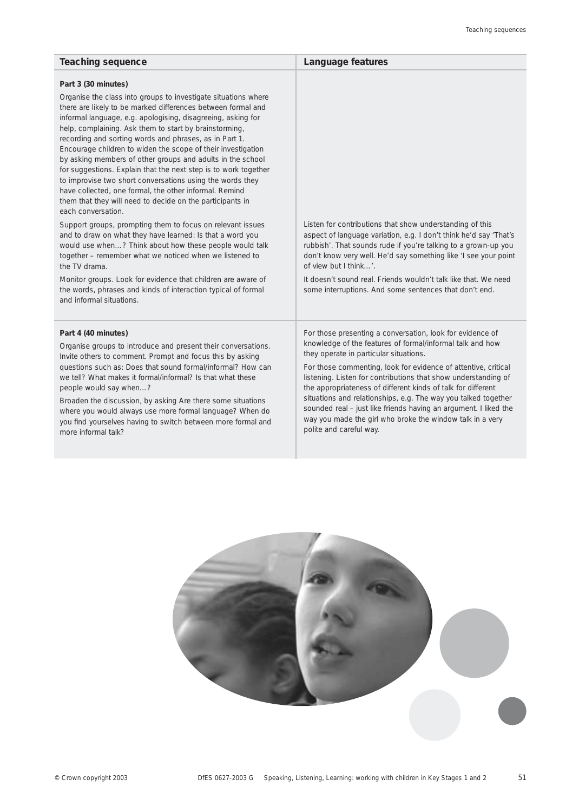| <b>Teaching sequence</b>                                                                                                                                                                                                                                                                                                                                                                                                                                                                                                                                                                                                                                                                                                                                                                                                                                                                                                                                                                                                                                                                                                                                                            | Language features                                                                                                                                                                                                                                                                                                                                                                                                                                                                                                                                                                                  |
|-------------------------------------------------------------------------------------------------------------------------------------------------------------------------------------------------------------------------------------------------------------------------------------------------------------------------------------------------------------------------------------------------------------------------------------------------------------------------------------------------------------------------------------------------------------------------------------------------------------------------------------------------------------------------------------------------------------------------------------------------------------------------------------------------------------------------------------------------------------------------------------------------------------------------------------------------------------------------------------------------------------------------------------------------------------------------------------------------------------------------------------------------------------------------------------|----------------------------------------------------------------------------------------------------------------------------------------------------------------------------------------------------------------------------------------------------------------------------------------------------------------------------------------------------------------------------------------------------------------------------------------------------------------------------------------------------------------------------------------------------------------------------------------------------|
| Part 3 (30 minutes)<br>Organise the class into groups to investigate situations where<br>there are likely to be marked differences between formal and<br>informal language, e.g. apologising, disagreeing, asking for<br>help, complaining. Ask them to start by brainstorming,<br>recording and sorting words and phrases, as in Part 1.<br>Encourage children to widen the scope of their investigation<br>by asking members of other groups and adults in the school<br>for suggestions. Explain that the next step is to work together<br>to improvise two short conversations using the words they<br>have collected, one formal, the other informal. Remind<br>them that they will need to decide on the participants in<br>each conversation.<br>Support groups, prompting them to focus on relevant issues<br>and to draw on what they have learned: Is that a word you<br>would use when? Think about how these people would talk<br>together - remember what we noticed when we listened to<br>the TV drama.<br>Monitor groups. Look for evidence that children are aware of<br>the words, phrases and kinds of interaction typical of formal<br>and informal situations. | Listen for contributions that show understanding of this<br>aspect of language variation, e.g. I don't think he'd say 'That's<br>rubbish'. That sounds rude if you're talking to a grown-up you<br>don't know very well. He'd say something like 'I see your point<br>of view but I think'.<br>It doesn't sound real. Friends wouldn't talk like that. We need<br>some interruptions. And some sentences that don't end.                                                                                                                                                                           |
| Part 4 (40 minutes)<br>Organise groups to introduce and present their conversations.<br>Invite others to comment. Prompt and focus this by asking<br>questions such as: Does that sound formal/informal? How can<br>we tell? What makes it formal/informal? Is that what these<br>people would say when?<br>Broaden the discussion, by asking Are there some situations<br>where you would always use more formal language? When do<br>you find yourselves having to switch between more formal and<br>more informal talk?                                                                                                                                                                                                                                                                                                                                                                                                                                                                                                                                                                                                                                                          | For those presenting a conversation, look for evidence of<br>knowledge of the features of formal/informal talk and how<br>they operate in particular situations.<br>For those commenting, look for evidence of attentive, critical<br>listening. Listen for contributions that show understanding of<br>the appropriateness of different kinds of talk for different<br>situations and relationships, e.g. The way you talked together<br>sounded real - just like friends having an argument. I liked the<br>way you made the girl who broke the window talk in a very<br>polite and careful way. |

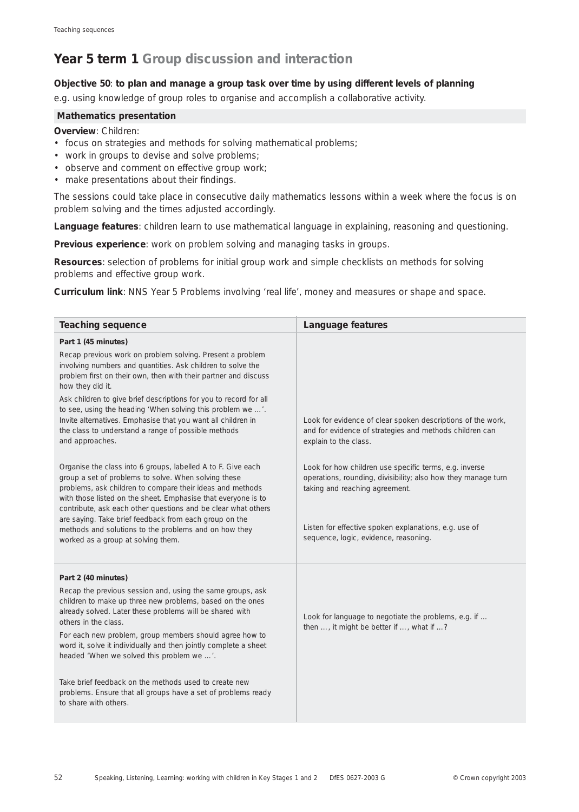# **Year 5 term 1 Group discussion and interaction**

#### **Objective 50**: **to plan and manage a group task over time by using different levels of planning**

e.g. using knowledge of group roles to organise and accomplish a collaborative activity.

#### *Mathematics presentation*

**Overview**: Children:

- focus on strategies and methods for solving mathematical problems;
- work in groups to devise and solve problems;
- observe and comment on effective group work;
- make presentations about their findings.

The sessions could take place in consecutive daily mathematics lessons within a week where the focus is on problem solving and the times adjusted accordingly.

**Language features**: children learn to use mathematical language in explaining, reasoning and questioning.

**Previous experience**: work on problem solving and managing tasks in groups.

**Resources**: selection of problems for initial group work and simple checklists on methods for solving problems and effective group work.

**Curriculum link**: NNS Year 5 Problems involving 'real life', money and measures or shape and space.

| <b>Teaching sequence</b>                                                                                                                                                                                                                                                                                                                                                                                                                                                                                                                                          | Language features                                                                                                                                                                                                                                           |
|-------------------------------------------------------------------------------------------------------------------------------------------------------------------------------------------------------------------------------------------------------------------------------------------------------------------------------------------------------------------------------------------------------------------------------------------------------------------------------------------------------------------------------------------------------------------|-------------------------------------------------------------------------------------------------------------------------------------------------------------------------------------------------------------------------------------------------------------|
| Part 1 (45 minutes)                                                                                                                                                                                                                                                                                                                                                                                                                                                                                                                                               |                                                                                                                                                                                                                                                             |
| Recap previous work on problem solving. Present a problem<br>involving numbers and quantities. Ask children to solve the<br>problem first on their own, then with their partner and discuss<br>how they did it.<br>Ask children to give brief descriptions for you to record for all<br>to see, using the heading 'When solving this problem we '.<br>Invite alternatives. Emphasise that you want all children in<br>the class to understand a range of possible methods                                                                                         | Look for evidence of clear spoken descriptions of the work,<br>and for evidence of strategies and methods children can                                                                                                                                      |
| and approaches.                                                                                                                                                                                                                                                                                                                                                                                                                                                                                                                                                   | explain to the class.                                                                                                                                                                                                                                       |
| Organise the class into 6 groups, labelled A to F. Give each<br>group a set of problems to solve. When solving these<br>problems, ask children to compare their ideas and methods<br>with those listed on the sheet. Emphasise that everyone is to<br>contribute, ask each other questions and be clear what others<br>are saying. Take brief feedback from each group on the<br>methods and solutions to the problems and on how they<br>worked as a group at solving them.                                                                                      | Look for how children use specific terms, e.g. inverse<br>operations, rounding, divisibility; also how they manage turn<br>taking and reaching agreement.<br>Listen for effective spoken explanations, e.g. use of<br>sequence, logic, evidence, reasoning. |
| Part 2 (40 minutes)<br>Recap the previous session and, using the same groups, ask<br>children to make up three new problems, based on the ones<br>already solved. Later these problems will be shared with<br>others in the class.<br>For each new problem, group members should agree how to<br>word it, solve it individually and then jointly complete a sheet<br>headed 'When we solved this problem we '.<br>Take brief feedback on the methods used to create new<br>problems. Ensure that all groups have a set of problems ready<br>to share with others. | Look for language to negotiate the problems, e.g. if<br>then , it might be better if , what if ?                                                                                                                                                            |
|                                                                                                                                                                                                                                                                                                                                                                                                                                                                                                                                                                   |                                                                                                                                                                                                                                                             |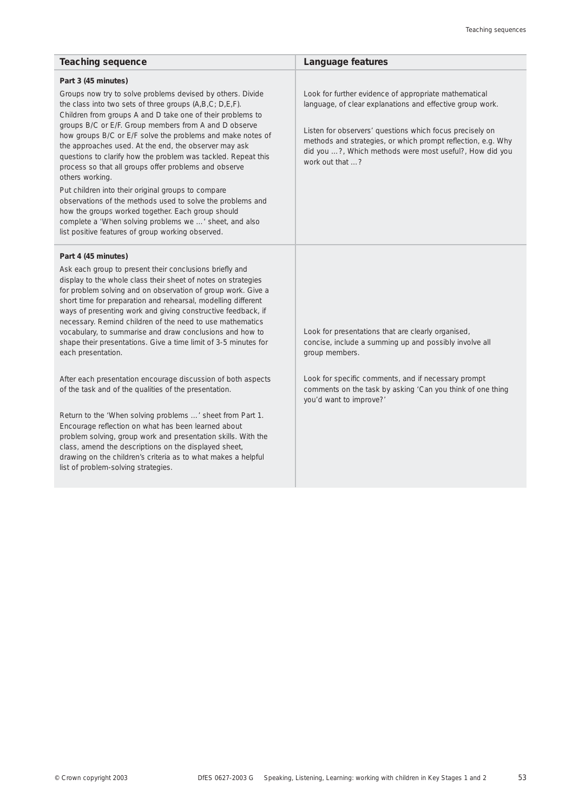| <b>Teaching sequence</b>                                                                                                                                                                                                                                                                                                                                                                                                                                                                                                                                                                                                                                                                                                                                                                                                        | Language features                                                                                                                                                                                                                                                                                                            |
|---------------------------------------------------------------------------------------------------------------------------------------------------------------------------------------------------------------------------------------------------------------------------------------------------------------------------------------------------------------------------------------------------------------------------------------------------------------------------------------------------------------------------------------------------------------------------------------------------------------------------------------------------------------------------------------------------------------------------------------------------------------------------------------------------------------------------------|------------------------------------------------------------------------------------------------------------------------------------------------------------------------------------------------------------------------------------------------------------------------------------------------------------------------------|
| Part 3 (45 minutes)<br>Groups now try to solve problems devised by others. Divide<br>the class into two sets of three groups (A,B,C; D,E,F).<br>Children from groups A and D take one of their problems to<br>groups B/C or E/F. Group members from A and D observe<br>how groups B/C or E/F solve the problems and make notes of<br>the approaches used. At the end, the observer may ask<br>questions to clarify how the problem was tackled. Repeat this<br>process so that all groups offer problems and observe<br>others working.<br>Put children into their original groups to compare<br>observations of the methods used to solve the problems and<br>how the groups worked together. Each group should<br>complete a 'When solving problems we ' sheet, and also<br>list positive features of group working observed. | Look for further evidence of appropriate mathematical<br>language, of clear explanations and effective group work.<br>Listen for observers' questions which focus precisely on<br>methods and strategies, or which prompt reflection, e.g. Why<br>did you ?, Which methods were most useful?, How did you<br>work out that ? |
| Part 4 (45 minutes)<br>Ask each group to present their conclusions briefly and<br>display to the whole class their sheet of notes on strategies<br>for problem solving and on observation of group work. Give a<br>short time for preparation and rehearsal, modelling different<br>ways of presenting work and giving constructive feedback, if<br>necessary. Remind children of the need to use mathematics<br>vocabulary, to summarise and draw conclusions and how to<br>shape their presentations. Give a time limit of 3-5 minutes for<br>each presentation.                                                                                                                                                                                                                                                              | Look for presentations that are clearly organised,<br>concise, include a summing up and possibly involve all<br>group members.                                                                                                                                                                                               |
| After each presentation encourage discussion of both aspects<br>of the task and of the qualities of the presentation.<br>Return to the 'When solving problems ' sheet from Part 1.<br>Encourage reflection on what has been learned about<br>problem solving, group work and presentation skills. With the<br>class, amend the descriptions on the displayed sheet,                                                                                                                                                                                                                                                                                                                                                                                                                                                             | Look for specific comments, and if necessary prompt<br>comments on the task by asking 'Can you think of one thing<br>you'd want to improve?'                                                                                                                                                                                 |

drawing on the children's criteria as to what makes a helpful

list of problem-solving strategies.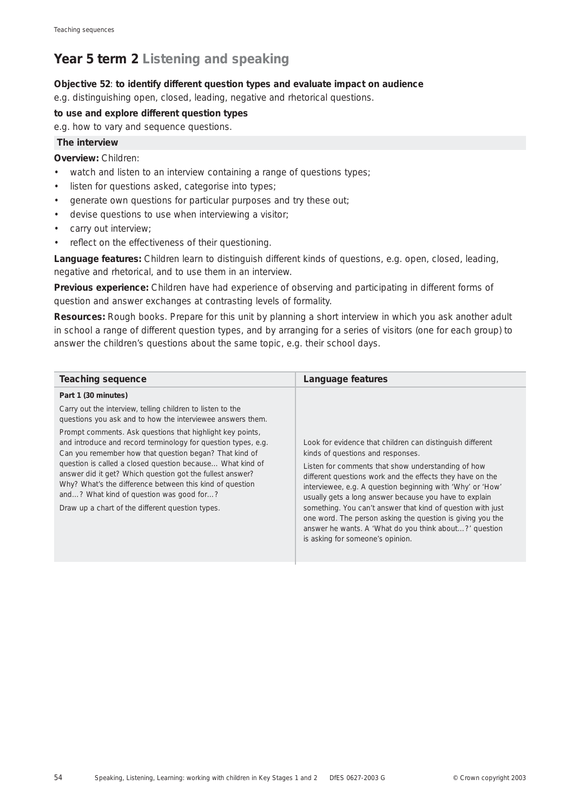# **Year 5 term 2 Listening and speaking**

#### **Objective 52**: **to identify different question types and evaluate impact on audience**

e.g. distinguishing open, closed, leading, negative and rhetorical questions.

#### **to use and explore different question types**

e.g. how to vary and sequence questions.

#### *The interview*

**Overview:** Children:

- watch and listen to an interview containing a range of questions types;
- listen for questions asked, categorise into types;
- generate own questions for particular purposes and try these out;
- devise questions to use when interviewing a visitor;
- carry out interview;
- reflect on the effectiveness of their questioning.

**Language features:** Children learn to distinguish different kinds of questions, e.g. open, closed, leading, negative and rhetorical, and to use them in an interview.

**Previous experience:** Children have had experience of observing and participating in different forms of question and answer exchanges at contrasting levels of formality.

**Resources:** Rough books. Prepare for this unit by planning a short interview in which you ask another adult in school a range of different question types, and by arranging for a series of visitors (one for each group) to answer the children's questions about the same topic, e.g. their school days.

| Teaching sequence                                                                                                                                                                                                                                                                                                                                                                                                                                                                                                                                                                                                             | Language features                                                                                                                                                                                                                                                                                                                                                                                                                                                                                                                                                    |
|-------------------------------------------------------------------------------------------------------------------------------------------------------------------------------------------------------------------------------------------------------------------------------------------------------------------------------------------------------------------------------------------------------------------------------------------------------------------------------------------------------------------------------------------------------------------------------------------------------------------------------|----------------------------------------------------------------------------------------------------------------------------------------------------------------------------------------------------------------------------------------------------------------------------------------------------------------------------------------------------------------------------------------------------------------------------------------------------------------------------------------------------------------------------------------------------------------------|
| Part 1 (30 minutes)<br>Carry out the interview, telling children to listen to the<br>questions you ask and to how the interviewee answers them.<br>Prompt comments. Ask questions that highlight key points,<br>and introduce and record terminology for question types, e.g.<br>Can you remember how that question began? That kind of<br>question is called a closed question because What kind of<br>answer did it get? Which question got the fullest answer?<br>Why? What's the difference between this kind of question<br>and? What kind of question was good for?<br>Draw up a chart of the different question types. | Look for evidence that children can distinguish different<br>kinds of questions and responses.<br>Listen for comments that show understanding of how<br>different questions work and the effects they have on the<br>interviewee, e.g. A question beginning with 'Why' or 'How'<br>usually gets a long answer because you have to explain<br>something. You can't answer that kind of question with just<br>one word. The person asking the question is giving you the<br>answer he wants. A 'What do you think about?' question<br>is asking for someone's opinion. |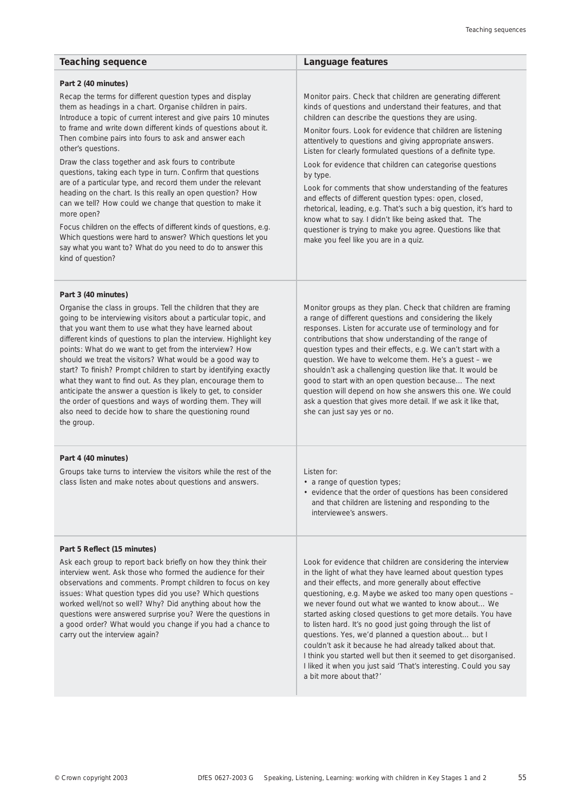| <b>Teaching sequence</b>                                                                                                                                                                                                                                                                                                                                                                                                                                                                                                                                                                                                                                                                                                           | Language features                                                                                                                                                                                                                                                                                                                                                                                                                                                                                                                                                                                                                                                                                                                |
|------------------------------------------------------------------------------------------------------------------------------------------------------------------------------------------------------------------------------------------------------------------------------------------------------------------------------------------------------------------------------------------------------------------------------------------------------------------------------------------------------------------------------------------------------------------------------------------------------------------------------------------------------------------------------------------------------------------------------------|----------------------------------------------------------------------------------------------------------------------------------------------------------------------------------------------------------------------------------------------------------------------------------------------------------------------------------------------------------------------------------------------------------------------------------------------------------------------------------------------------------------------------------------------------------------------------------------------------------------------------------------------------------------------------------------------------------------------------------|
| Part 2 (40 minutes)                                                                                                                                                                                                                                                                                                                                                                                                                                                                                                                                                                                                                                                                                                                |                                                                                                                                                                                                                                                                                                                                                                                                                                                                                                                                                                                                                                                                                                                                  |
| Recap the terms for different question types and display<br>them as headings in a chart. Organise children in pairs.<br>Introduce a topic of current interest and give pairs 10 minutes                                                                                                                                                                                                                                                                                                                                                                                                                                                                                                                                            | Monitor pairs. Check that children are generating different<br>kinds of questions and understand their features, and that<br>children can describe the questions they are using.                                                                                                                                                                                                                                                                                                                                                                                                                                                                                                                                                 |
| to frame and write down different kinds of questions about it.<br>Then combine pairs into fours to ask and answer each<br>other's questions.                                                                                                                                                                                                                                                                                                                                                                                                                                                                                                                                                                                       | Monitor fours. Look for evidence that children are listening<br>attentively to questions and giving appropriate answers.<br>Listen for clearly formulated questions of a definite type.                                                                                                                                                                                                                                                                                                                                                                                                                                                                                                                                          |
| Draw the class together and ask fours to contribute<br>questions, taking each type in turn. Confirm that questions                                                                                                                                                                                                                                                                                                                                                                                                                                                                                                                                                                                                                 | Look for evidence that children can categorise questions<br>by type.                                                                                                                                                                                                                                                                                                                                                                                                                                                                                                                                                                                                                                                             |
| are of a particular type, and record them under the relevant<br>heading on the chart. Is this really an open question? How<br>can we tell? How could we change that question to make it<br>more open?                                                                                                                                                                                                                                                                                                                                                                                                                                                                                                                              | Look for comments that show understanding of the features<br>and effects of different question types: open, closed,<br>rhetorical, leading, e.g. That's such a big question, it's hard to                                                                                                                                                                                                                                                                                                                                                                                                                                                                                                                                        |
| Focus children on the effects of different kinds of questions, e.g.<br>Which questions were hard to answer? Which questions let you<br>say what you want to? What do you need to do to answer this<br>kind of question?                                                                                                                                                                                                                                                                                                                                                                                                                                                                                                            | know what to say. I didn't like being asked that. The<br>questioner is trying to make you agree. Questions like that<br>make you feel like you are in a quiz.                                                                                                                                                                                                                                                                                                                                                                                                                                                                                                                                                                    |
| Part 3 (40 minutes)                                                                                                                                                                                                                                                                                                                                                                                                                                                                                                                                                                                                                                                                                                                |                                                                                                                                                                                                                                                                                                                                                                                                                                                                                                                                                                                                                                                                                                                                  |
| Organise the class in groups. Tell the children that they are<br>going to be interviewing visitors about a particular topic, and<br>that you want them to use what they have learned about<br>different kinds of questions to plan the interview. Highlight key<br>points: What do we want to get from the interview? How<br>should we treat the visitors? What would be a good way to<br>start? To finish? Prompt children to start by identifying exactly<br>what they want to find out. As they plan, encourage them to<br>anticipate the answer a question is likely to get, to consider<br>the order of questions and ways of wording them. They will<br>also need to decide how to share the questioning round<br>the group. | Monitor groups as they plan. Check that children are framing<br>a range of different questions and considering the likely<br>responses. Listen for accurate use of terminology and for<br>contributions that show understanding of the range of<br>question types and their effects, e.g. We can't start with a<br>question. We have to welcome them. He's a guest - we<br>shouldn't ask a challenging question like that. It would be<br>good to start with an open question because The next<br>question will depend on how she answers this one. We could<br>ask a question that gives more detail. If we ask it like that,<br>she can just say yes or no.                                                                    |
| Part 4 (40 minutes)                                                                                                                                                                                                                                                                                                                                                                                                                                                                                                                                                                                                                                                                                                                |                                                                                                                                                                                                                                                                                                                                                                                                                                                                                                                                                                                                                                                                                                                                  |
| Groups take turns to interview the visitors while the rest of the<br>class listen and make notes about questions and answers.                                                                                                                                                                                                                                                                                                                                                                                                                                                                                                                                                                                                      | Listen for:<br>• a range of question types;<br>• evidence that the order of questions has been considered<br>and that children are listening and responding to the<br>interviewee's answers.                                                                                                                                                                                                                                                                                                                                                                                                                                                                                                                                     |
| Part 5 Reflect (15 minutes)                                                                                                                                                                                                                                                                                                                                                                                                                                                                                                                                                                                                                                                                                                        |                                                                                                                                                                                                                                                                                                                                                                                                                                                                                                                                                                                                                                                                                                                                  |
| Ask each group to report back briefly on how they think their<br>interview went. Ask those who formed the audience for their<br>observations and comments. Prompt children to focus on key<br>issues: What question types did you use? Which questions<br>worked well/not so well? Why? Did anything about how the<br>questions were answered surprise you? Were the questions in<br>a good order? What would you change if you had a chance to<br>carry out the interview again?                                                                                                                                                                                                                                                  | Look for evidence that children are considering the interview<br>in the light of what they have learned about question types<br>and their effects, and more generally about effective<br>questioning, e.g. Maybe we asked too many open questions -<br>we never found out what we wanted to know about We<br>started asking closed questions to get more details. You have<br>to listen hard. It's no good just going through the list of<br>questions. Yes, we'd planned a question about but I<br>couldn't ask it because he had already talked about that.<br>I think you started well but then it seemed to get disorganised.<br>I liked it when you just said 'That's interesting. Could you say<br>a bit more about that?' |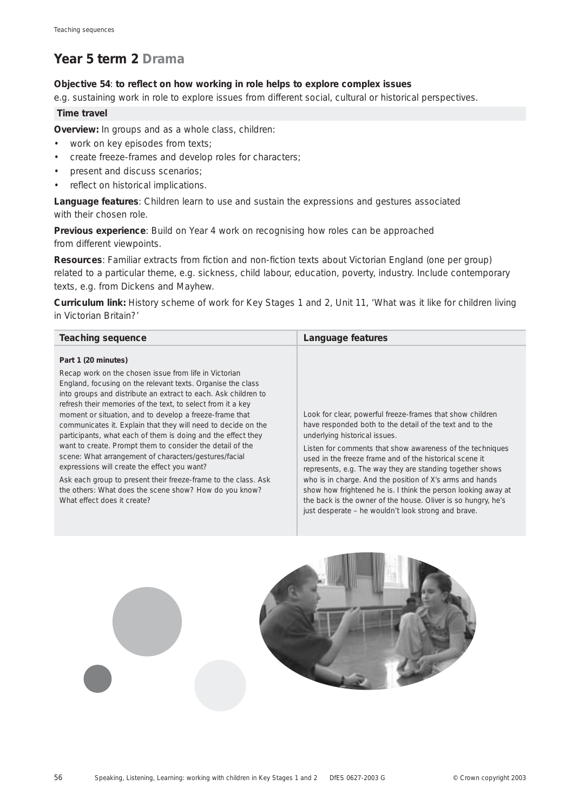### **Year 5 term 2 Drama**

#### **Objective 54**: **to reflect on how working in role helps to explore complex issues**

e.g. sustaining work in role to explore issues from different social, cultural or historical perspectives.

#### *Time travel*

**Overview:** In groups and as a whole class, children:

- work on key episodes from texts;
- create freeze-frames and develop roles for characters;
- present and discuss scenarios;
- reflect on historical implications.

**Language features**: Children learn to use and sustain the expressions and gestures associated with their chosen role.

**Previous experience**: Build on Year 4 work on recognising how roles can be approached from different viewpoints.

**Resources**: Familiar extracts from fiction and non-fiction texts about Victorian England (one per group) related to a particular theme, e.g. sickness, child labour, education, poverty, industry. Include contemporary texts, e.g. from Dickens and Mayhew.

**Curriculum link:** History scheme of work for Key Stages 1 and 2, Unit 11, 'What was it like for children living in Victorian Britain?'

| Teaching sequence                                                                                                                                                                                                                                                                                                                                                                                                                                                                                                                                                                                                                                                                                                                                                                                         | Language features                                                                                                                                                                                                                                                                                                                                                                                                                                                                                                                                                                                |
|-----------------------------------------------------------------------------------------------------------------------------------------------------------------------------------------------------------------------------------------------------------------------------------------------------------------------------------------------------------------------------------------------------------------------------------------------------------------------------------------------------------------------------------------------------------------------------------------------------------------------------------------------------------------------------------------------------------------------------------------------------------------------------------------------------------|--------------------------------------------------------------------------------------------------------------------------------------------------------------------------------------------------------------------------------------------------------------------------------------------------------------------------------------------------------------------------------------------------------------------------------------------------------------------------------------------------------------------------------------------------------------------------------------------------|
| Part 1 (20 minutes)<br>Recap work on the chosen issue from life in Victorian<br>England, focusing on the relevant texts. Organise the class<br>into groups and distribute an extract to each. Ask children to<br>refresh their memories of the text, to select from it a key<br>moment or situation, and to develop a freeze-frame that<br>communicates it. Explain that they will need to decide on the<br>participants, what each of them is doing and the effect they<br>want to create. Prompt them to consider the detail of the<br>scene: What arrangement of characters/gestures/facial<br>expressions will create the effect you want?<br>Ask each group to present their freeze-frame to the class. Ask<br>the others: What does the scene show? How do you know?<br>What effect does it create? | Look for clear, powerful freeze-frames that show children<br>have responded both to the detail of the text and to the<br>underlying historical issues.<br>Listen for comments that show awareness of the techniques<br>used in the freeze frame and of the historical scene it<br>represents, e.g. The way they are standing together shows<br>who is in charge. And the position of X's arms and hands<br>show how frightened he is. I think the person looking away at<br>the back is the owner of the house. Oliver is so hungry, he's<br>just desperate – he wouldn't look strong and brave. |

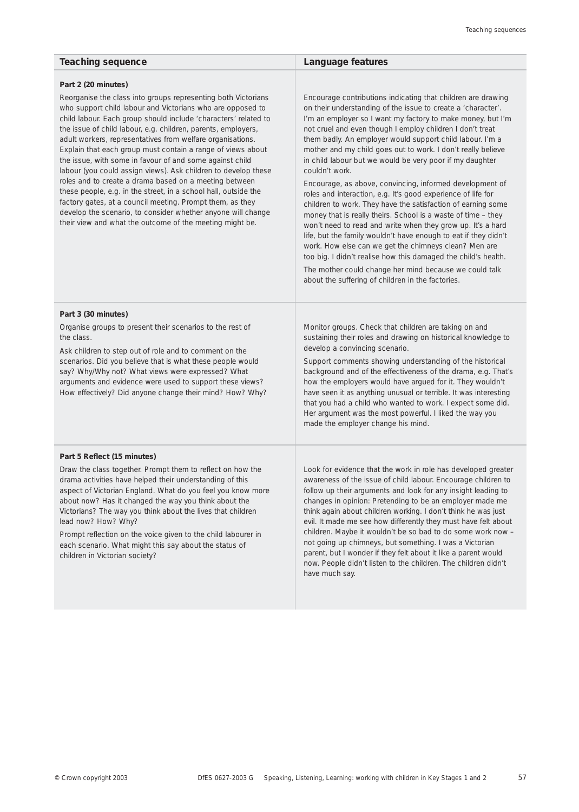| <b>Teaching sequence</b>                                                                                                                                                                                                                                                                                                                                                                                                                                                                                                                                                                                                                                                                                                                                                                                                                                                | Language features                                                                                                                                                                                                                                                                                                                                                                                                                                                                                                                                                                                                                                                                                                                                                                                                                                                                                                                                                                                                                                                                                            |
|-------------------------------------------------------------------------------------------------------------------------------------------------------------------------------------------------------------------------------------------------------------------------------------------------------------------------------------------------------------------------------------------------------------------------------------------------------------------------------------------------------------------------------------------------------------------------------------------------------------------------------------------------------------------------------------------------------------------------------------------------------------------------------------------------------------------------------------------------------------------------|--------------------------------------------------------------------------------------------------------------------------------------------------------------------------------------------------------------------------------------------------------------------------------------------------------------------------------------------------------------------------------------------------------------------------------------------------------------------------------------------------------------------------------------------------------------------------------------------------------------------------------------------------------------------------------------------------------------------------------------------------------------------------------------------------------------------------------------------------------------------------------------------------------------------------------------------------------------------------------------------------------------------------------------------------------------------------------------------------------------|
|                                                                                                                                                                                                                                                                                                                                                                                                                                                                                                                                                                                                                                                                                                                                                                                                                                                                         |                                                                                                                                                                                                                                                                                                                                                                                                                                                                                                                                                                                                                                                                                                                                                                                                                                                                                                                                                                                                                                                                                                              |
| Part 2 (20 minutes)<br>Reorganise the class into groups representing both Victorians<br>who support child labour and Victorians who are opposed to<br>child labour. Each group should include 'characters' related to<br>the issue of child labour, e.g. children, parents, employers,<br>adult workers, representatives from welfare organisations.<br>Explain that each group must contain a range of views about<br>the issue, with some in favour of and some against child<br>labour (you could assign views). Ask children to develop these<br>roles and to create a drama based on a meeting between<br>these people, e.g. in the street, in a school hall, outside the<br>factory gates, at a council meeting. Prompt them, as they<br>develop the scenario, to consider whether anyone will change<br>their view and what the outcome of the meeting might be. | Encourage contributions indicating that children are drawing<br>on their understanding of the issue to create a 'character'.<br>I'm an employer so I want my factory to make money, but I'm<br>not cruel and even though I employ children I don't treat<br>them badly. An employer would support child labour. I'm a<br>mother and my child goes out to work. I don't really believe<br>in child labour but we would be very poor if my daughter<br>couldn't work.<br>Encourage, as above, convincing, informed development of<br>roles and interaction, e.g. It's good experience of life for<br>children to work. They have the satisfaction of earning some<br>money that is really theirs. School is a waste of time - they<br>won't need to read and write when they grow up. It's a hard<br>life, but the family wouldn't have enough to eat if they didn't<br>work. How else can we get the chimneys clean? Men are<br>too big. I didn't realise how this damaged the child's health.<br>The mother could change her mind because we could talk<br>about the suffering of children in the factories. |
| Part 3 (30 minutes)<br>Organise groups to present their scenarios to the rest of<br>the class.<br>Ask children to step out of role and to comment on the<br>scenarios. Did you believe that is what these people would<br>say? Why/Why not? What views were expressed? What<br>arguments and evidence were used to support these views?<br>How effectively? Did anyone change their mind? How? Why?                                                                                                                                                                                                                                                                                                                                                                                                                                                                     | Monitor groups. Check that children are taking on and<br>sustaining their roles and drawing on historical knowledge to<br>develop a convincing scenario.<br>Support comments showing understanding of the historical<br>background and of the effectiveness of the drama, e.g. That's<br>how the employers would have argued for it. They wouldn't<br>have seen it as anything unusual or terrible. It was interesting<br>that you had a child who wanted to work. I expect some did.<br>Her argument was the most powerful. I liked the way you<br>made the employer change his mind.                                                                                                                                                                                                                                                                                                                                                                                                                                                                                                                       |
| Part 5 Reflect (15 minutes)<br>Draw the class together. Prompt them to reflect on how the<br>drama activities have helped their understanding of this<br>aspect of Victorian England. What do you feel you know more<br>about now? Has it changed the way you think about the<br>Victorians? The way you think about the lives that children<br>lead now? How? Why?<br>Prompt reflection on the voice given to the child labourer in<br>each scenario. What might this say about the status of<br>children in Victorian society?                                                                                                                                                                                                                                                                                                                                        | Look for evidence that the work in role has developed greater<br>awareness of the issue of child labour. Encourage children to<br>follow up their arguments and look for any insight leading to<br>changes in opinion: Pretending to be an employer made me<br>think again about children working. I don't think he was just<br>evil. It made me see how differently they must have felt about<br>children. Maybe it wouldn't be so bad to do some work now -<br>not going up chimneys, but something. I was a Victorian<br>parent, but I wonder if they felt about it like a parent would<br>now. People didn't listen to the children. The children didn't<br>have much say.                                                                                                                                                                                                                                                                                                                                                                                                                               |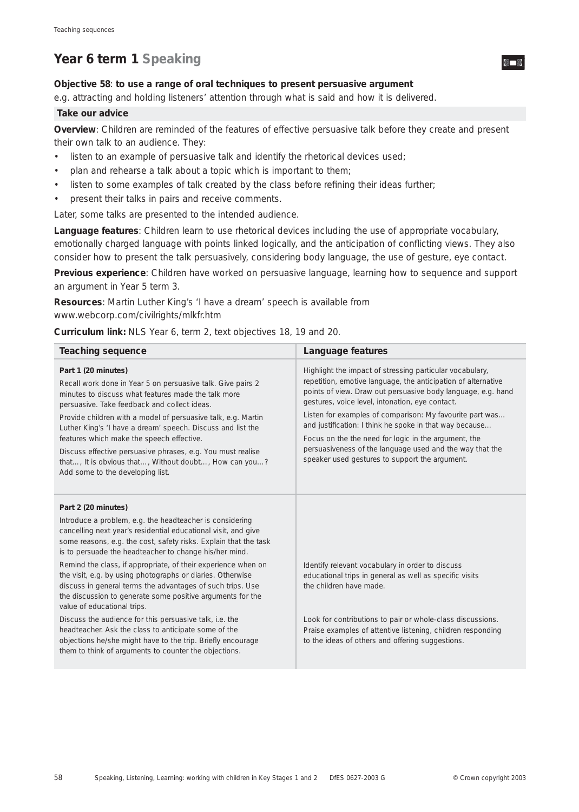# **Year 6 term 1 Speaking**

#### **Objective 58**: **to use a range of oral techniques to present persuasive argument**

e.g. attracting and holding listeners' attention through what is said and how it is delivered.

#### *Take our advice*

**Overview**: Children are reminded of the features of effective persuasive talk before they create and present their own talk to an audience. They:

- listen to an example of persuasive talk and identify the rhetorical devices used;
- plan and rehearse a talk about a topic which is important to them;
- listen to some examples of talk created by the class before refining their ideas further;
- present their talks in pairs and receive comments.

Later, some talks are presented to the intended audience.

**Language features**: Children learn to use rhetorical devices including the use of appropriate vocabulary, emotionally charged language with points linked logically, and the anticipation of conflicting views. They also consider how to present the talk persuasively, considering body language, the use of gesture, eye contact.

**Previous experience**: Children have worked on persuasive language, learning how to sequence and support an argument in Year 5 term 3.

**Resources**: Martin Luther King's 'I have a dream' speech is available from www.webcorp.com/civilrights/mlkfr.htm

**Curriculum link:** NLS Year 6, term 2, text objectives 18, 19 and 20.

| <b>Teaching sequence</b>                                                                                                                                                                                                                                                                                                                                                                                                                                                                                                                                                                                                                                                                                                                                                                                             | Language features                                                                                                                                                                                                                                                                                                                                                                                                                                                                                                                         |
|----------------------------------------------------------------------------------------------------------------------------------------------------------------------------------------------------------------------------------------------------------------------------------------------------------------------------------------------------------------------------------------------------------------------------------------------------------------------------------------------------------------------------------------------------------------------------------------------------------------------------------------------------------------------------------------------------------------------------------------------------------------------------------------------------------------------|-------------------------------------------------------------------------------------------------------------------------------------------------------------------------------------------------------------------------------------------------------------------------------------------------------------------------------------------------------------------------------------------------------------------------------------------------------------------------------------------------------------------------------------------|
| Part 1 (20 minutes)<br>Recall work done in Year 5 on persuasive talk. Give pairs 2<br>minutes to discuss what features made the talk more<br>persuasive. Take feedback and collect ideas.<br>Provide children with a model of persuasive talk, e.g. Martin<br>Luther King's 'I have a dream' speech. Discuss and list the<br>features which make the speech effective.<br>Discuss effective persuasive phrases, e.g. You must realise<br>that, It is obvious that, Without doubt, How can you?<br>Add some to the developing list.                                                                                                                                                                                                                                                                                   | Highlight the impact of stressing particular vocabulary,<br>repetition, emotive language, the anticipation of alternative<br>points of view. Draw out persuasive body language, e.g. hand<br>gestures, voice level, intonation, eye contact.<br>Listen for examples of comparison: My favourite part was<br>and justification: I think he spoke in that way because<br>Focus on the the need for logic in the argument, the<br>persuasiveness of the language used and the way that the<br>speaker used gestures to support the argument. |
| Part 2 (20 minutes)<br>Introduce a problem, e.g. the headteacher is considering<br>cancelling next year's residential educational visit, and give<br>some reasons, e.g. the cost, safety risks. Explain that the task<br>is to persuade the headteacher to change his/her mind.<br>Remind the class, if appropriate, of their experience when on<br>the visit, e.g. by using photographs or diaries. Otherwise<br>discuss in general terms the advantages of such trips. Use<br>the discussion to generate some positive arguments for the<br>value of educational trips.<br>Discuss the audience for this persuasive talk, i.e. the<br>headteacher. Ask the class to anticipate some of the<br>objections he/she might have to the trip. Briefly encourage<br>them to think of arguments to counter the objections. | Identify relevant vocabulary in order to discuss<br>educational trips in general as well as specific visits<br>the children have made.<br>Look for contributions to pair or whole-class discussions.<br>Praise examples of attentive listening, children responding<br>to the ideas of others and offering suggestions.                                                                                                                                                                                                                   |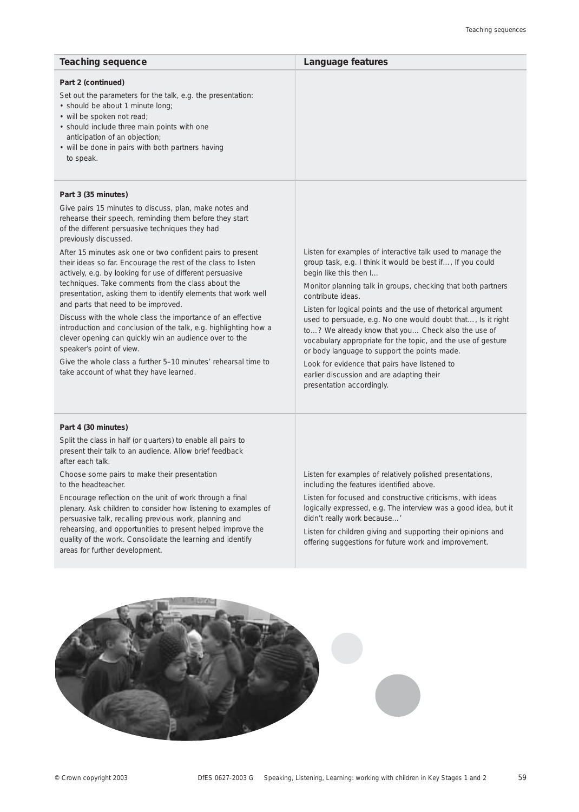| <b>Teaching sequence</b>                                                                                                                                                                                                                                                                                                                                                                                                                                                                                                                                                                                                                                                                                                                                                                                                                                                                                             | Language features                                                                                                                                                                                                                                                                                                                                                                                                                                                                                                                                                                                                                                                       |
|----------------------------------------------------------------------------------------------------------------------------------------------------------------------------------------------------------------------------------------------------------------------------------------------------------------------------------------------------------------------------------------------------------------------------------------------------------------------------------------------------------------------------------------------------------------------------------------------------------------------------------------------------------------------------------------------------------------------------------------------------------------------------------------------------------------------------------------------------------------------------------------------------------------------|-------------------------------------------------------------------------------------------------------------------------------------------------------------------------------------------------------------------------------------------------------------------------------------------------------------------------------------------------------------------------------------------------------------------------------------------------------------------------------------------------------------------------------------------------------------------------------------------------------------------------------------------------------------------------|
| Part 2 (continued)<br>Set out the parameters for the talk, e.g. the presentation:<br>• should be about 1 minute long;<br>· will be spoken not read;<br>• should include three main points with one<br>anticipation of an objection;<br>• will be done in pairs with both partners having<br>to speak.                                                                                                                                                                                                                                                                                                                                                                                                                                                                                                                                                                                                                |                                                                                                                                                                                                                                                                                                                                                                                                                                                                                                                                                                                                                                                                         |
| Part 3 (35 minutes)<br>Give pairs 15 minutes to discuss, plan, make notes and<br>rehearse their speech, reminding them before they start<br>of the different persuasive techniques they had<br>previously discussed.<br>After 15 minutes ask one or two confident pairs to present<br>their ideas so far. Encourage the rest of the class to listen<br>actively, e.g. by looking for use of different persuasive<br>techniques. Take comments from the class about the<br>presentation, asking them to identify elements that work well<br>and parts that need to be improved.<br>Discuss with the whole class the importance of an effective<br>introduction and conclusion of the talk, e.g. highlighting how a<br>clever opening can quickly win an audience over to the<br>speaker's point of view.<br>Give the whole class a further 5–10 minutes' rehearsal time to<br>take account of what they have learned. | Listen for examples of interactive talk used to manage the<br>group task, e.g. I think it would be best if, If you could<br>begin like this then I<br>Monitor planning talk in groups, checking that both partners<br>contribute ideas.<br>Listen for logical points and the use of rhetorical argument<br>used to persuade, e.g. No one would doubt that, Is it right<br>to? We already know that you Check also the use of<br>vocabulary appropriate for the topic, and the use of gesture<br>or body language to support the points made.<br>Look for evidence that pairs have listened to<br>earlier discussion and are adapting their<br>presentation accordingly. |
| Part 4 (30 minutes)<br>Split the class in half (or quarters) to enable all pairs to<br>present their talk to an audience. Allow brief feedback<br>after each talk.<br>Choose some pairs to make their presentation<br>to the headteacher.<br>Encourage reflection on the unit of work through a final<br>plenary. Ask children to consider how listening to examples of<br>persuasive talk, recalling previous work, planning and<br>rehearsing, and opportunities to present helped improve the<br>quality of the work. Consolidate the learning and identify<br>areas for further development.                                                                                                                                                                                                                                                                                                                     | Listen for examples of relatively polished presentations,<br>including the features identified above.<br>Listen for focused and constructive criticisms, with ideas<br>logically expressed, e.g. The interview was a good idea, but it<br>didn't really work because'<br>Listen for children giving and supporting their opinions and<br>offering suggestions for future work and improvement.                                                                                                                                                                                                                                                                          |

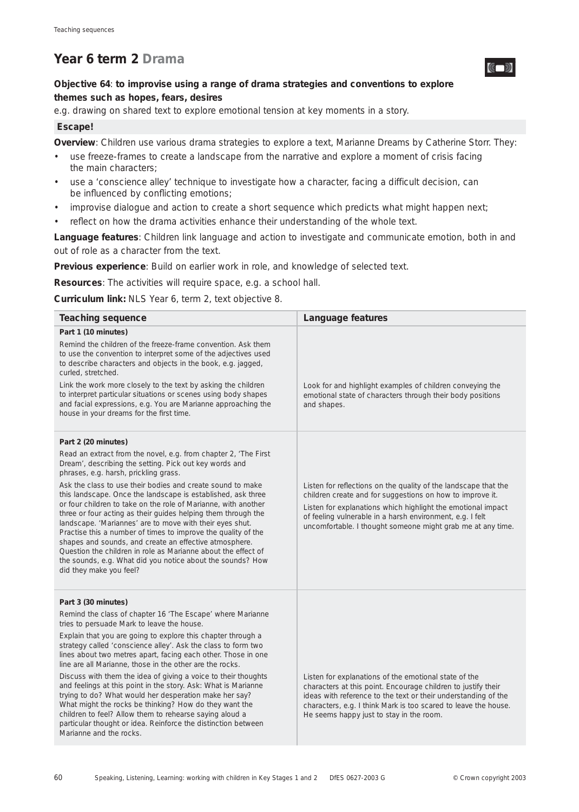# **Year 6 term 2 Drama**



e.g. drawing on shared text to explore emotional tension at key moments in a story.

#### *Escape!*

**Overview**: Children use various drama strategies to explore a text, *Marianne Dreams* by Catherine Storr. They:

- use freeze-frames to create a landscape from the narrative and explore a moment of crisis facing the main characters;
- use a 'conscience alley' technique to investigate how a character, facing a difficult decision, can be influenced by conflicting emotions;
- improvise dialogue and action to create a short sequence which predicts what might happen next;
- reflect on how the drama activities enhance their understanding of the whole text.

**Language features**: Children link language and action to investigate and communicate emotion, both in and out of role as a character from the text.

**Previous experience**: Build on earlier work in role, and knowledge of selected text.

**Resources**: The activities will require space, e.g. a school hall.

**Curriculum link:** NLS Year 6, term 2, text objective 8.

| <b>Teaching sequence</b>                                                                                                                                                                                                                                                                                                                                                                                                                                                                                                                                                                                       | Language features                                                                                                                                                                                                                                                                                                        |  |  |  |  |
|----------------------------------------------------------------------------------------------------------------------------------------------------------------------------------------------------------------------------------------------------------------------------------------------------------------------------------------------------------------------------------------------------------------------------------------------------------------------------------------------------------------------------------------------------------------------------------------------------------------|--------------------------------------------------------------------------------------------------------------------------------------------------------------------------------------------------------------------------------------------------------------------------------------------------------------------------|--|--|--|--|
| Part 1 (10 minutes)<br>Remind the children of the freeze-frame convention. Ask them<br>to use the convention to interpret some of the adjectives used<br>to describe characters and objects in the book, e.g. jagged,<br>curled, stretched.                                                                                                                                                                                                                                                                                                                                                                    |                                                                                                                                                                                                                                                                                                                          |  |  |  |  |
| Link the work more closely to the text by asking the children<br>to interpret particular situations or scenes using body shapes<br>and facial expressions, e.g. You are Marianne approaching the<br>house in your dreams for the first time.                                                                                                                                                                                                                                                                                                                                                                   | Look for and highlight examples of children conveying the<br>emotional state of characters through their body positions<br>and shapes.                                                                                                                                                                                   |  |  |  |  |
| Part 2 (20 minutes)                                                                                                                                                                                                                                                                                                                                                                                                                                                                                                                                                                                            |                                                                                                                                                                                                                                                                                                                          |  |  |  |  |
| Read an extract from the novel, e.g. from chapter 2, 'The First<br>Dream', describing the setting. Pick out key words and<br>phrases, e.g. harsh, prickling grass.                                                                                                                                                                                                                                                                                                                                                                                                                                             |                                                                                                                                                                                                                                                                                                                          |  |  |  |  |
| Ask the class to use their bodies and create sound to make<br>this landscape. Once the landscape is established, ask three<br>or four children to take on the role of Marianne, with another<br>three or four acting as their guides helping them through the<br>landscape. 'Mariannes' are to move with their eyes shut.<br>Practise this a number of times to improve the quality of the<br>shapes and sounds, and create an effective atmosphere.<br>Question the children in role as Marianne about the effect of<br>the sounds, e.g. What did you notice about the sounds? How<br>did they make you feel? | Listen for reflections on the quality of the landscape that the<br>children create and for suggestions on how to improve it.<br>Listen for explanations which highlight the emotional impact<br>of feeling vulnerable in a harsh environment, e.g. I felt<br>uncomfortable. I thought someone might grab me at any time. |  |  |  |  |
| Part 3 (30 minutes)                                                                                                                                                                                                                                                                                                                                                                                                                                                                                                                                                                                            |                                                                                                                                                                                                                                                                                                                          |  |  |  |  |
| Remind the class of chapter 16 'The Escape' where Marianne<br>tries to persuade Mark to leave the house.                                                                                                                                                                                                                                                                                                                                                                                                                                                                                                       |                                                                                                                                                                                                                                                                                                                          |  |  |  |  |
| Explain that you are going to explore this chapter through a<br>strategy called 'conscience alley'. Ask the class to form two<br>lines about two metres apart, facing each other. Those in one<br>line are all Marianne, those in the other are the rocks.                                                                                                                                                                                                                                                                                                                                                     |                                                                                                                                                                                                                                                                                                                          |  |  |  |  |
| Discuss with them the idea of giving a voice to their thoughts<br>and feelings at this point in the story. Ask: What is Marianne<br>trying to do? What would her desperation make her say?<br>What might the rocks be thinking? How do they want the<br>children to feel? Allow them to rehearse saying aloud a<br>particular thought or idea. Reinforce the distinction between<br>Marianne and the rocks.                                                                                                                                                                                                    | Listen for explanations of the emotional state of the<br>characters at this point. Encourage children to justify their<br>ideas with reference to the text or their understanding of the<br>characters, e.g. I think Mark is too scared to leave the house.<br>He seems happy just to stay in the room.                  |  |  |  |  |

Speaking, Listening, Learning: working with children in Key Stages 1 and 2 DfES 0627-2003 G 60 © Crown copyright 2003

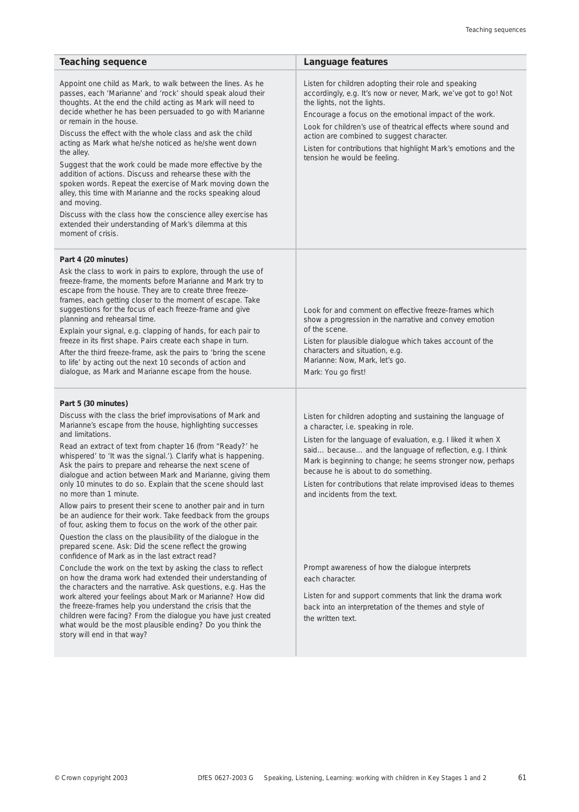| <b>Teaching sequence</b>                                                                                                                                                                                                                                                                                                                                                                                                                                                                                                                                                                                                                                                                                                                                                                                                                | Language features                                                                                                                                                                                                                                                                                                                                                                                                                 |  |  |
|-----------------------------------------------------------------------------------------------------------------------------------------------------------------------------------------------------------------------------------------------------------------------------------------------------------------------------------------------------------------------------------------------------------------------------------------------------------------------------------------------------------------------------------------------------------------------------------------------------------------------------------------------------------------------------------------------------------------------------------------------------------------------------------------------------------------------------------------|-----------------------------------------------------------------------------------------------------------------------------------------------------------------------------------------------------------------------------------------------------------------------------------------------------------------------------------------------------------------------------------------------------------------------------------|--|--|
|                                                                                                                                                                                                                                                                                                                                                                                                                                                                                                                                                                                                                                                                                                                                                                                                                                         |                                                                                                                                                                                                                                                                                                                                                                                                                                   |  |  |
| Appoint one child as Mark, to walk between the lines. As he<br>passes, each 'Marianne' and 'rock' should speak aloud their<br>thoughts. At the end the child acting as Mark will need to<br>decide whether he has been persuaded to go with Marianne<br>or remain in the house.<br>Discuss the effect with the whole class and ask the child<br>acting as Mark what he/she noticed as he/she went down<br>the alley.<br>Suggest that the work could be made more effective by the<br>addition of actions. Discuss and rehearse these with the<br>spoken words. Repeat the exercise of Mark moving down the<br>alley, this time with Marianne and the rocks speaking aloud<br>and moving.<br>Discuss with the class how the conscience alley exercise has<br>extended their understanding of Mark's dilemma at this<br>moment of crisis. | Listen for children adopting their role and speaking<br>accordingly, e.g. It's now or never, Mark, we've got to go! Not<br>the lights, not the lights.<br>Encourage a focus on the emotional impact of the work.<br>Look for children's use of theatrical effects where sound and<br>action are combined to suggest character.<br>Listen for contributions that highlight Mark's emotions and the<br>tension he would be feeling. |  |  |
| Part 4 (20 minutes)                                                                                                                                                                                                                                                                                                                                                                                                                                                                                                                                                                                                                                                                                                                                                                                                                     |                                                                                                                                                                                                                                                                                                                                                                                                                                   |  |  |
| Ask the class to work in pairs to explore, through the use of<br>freeze-frame, the moments before Marianne and Mark try to<br>escape from the house. They are to create three freeze-<br>frames, each getting closer to the moment of escape. Take<br>suggestions for the focus of each freeze-frame and give<br>planning and rehearsal time.<br>Explain your signal, e.g. clapping of hands, for each pair to<br>freeze in its first shape. Pairs create each shape in turn.<br>After the third freeze-frame, ask the pairs to 'bring the scene<br>to life' by acting out the next 10 seconds of action and<br>dialogue, as Mark and Marianne escape from the house.                                                                                                                                                                   | Look for and comment on effective freeze-frames which<br>show a progression in the narrative and convey emotion<br>of the scene.<br>Listen for plausible dialogue which takes account of the<br>characters and situation, e.g.<br>Marianne: Now, Mark, let's go.<br>Mark: You go first!                                                                                                                                           |  |  |
| Part 5 (30 minutes)                                                                                                                                                                                                                                                                                                                                                                                                                                                                                                                                                                                                                                                                                                                                                                                                                     |                                                                                                                                                                                                                                                                                                                                                                                                                                   |  |  |
| Discuss with the class the brief improvisations of Mark and<br>Marianne's escape from the house, highlighting successes<br>and limitations.                                                                                                                                                                                                                                                                                                                                                                                                                                                                                                                                                                                                                                                                                             | Listen for children adopting and sustaining the language of<br>a character, i.e. speaking in role.<br>Listen for the language of evaluation, e.g. I liked it when X                                                                                                                                                                                                                                                               |  |  |
| Read an extract of text from chapter 16 (from "Ready?' he<br>whispered' to 'It was the signal.'). Clarify what is happening.<br>Ask the pairs to prepare and rehearse the next scene of<br>dialogue and action between Mark and Marianne, giving them                                                                                                                                                                                                                                                                                                                                                                                                                                                                                                                                                                                   | said because and the language of reflection, e.g. I think<br>Mark is beginning to change; he seems stronger now, perhaps<br>because he is about to do something.                                                                                                                                                                                                                                                                  |  |  |
| only 10 minutes to do so. Explain that the scene should last<br>no more than 1 minute.                                                                                                                                                                                                                                                                                                                                                                                                                                                                                                                                                                                                                                                                                                                                                  | Listen for contributions that relate improvised ideas to themes<br>and incidents from the text.                                                                                                                                                                                                                                                                                                                                   |  |  |
| Allow pairs to present their scene to another pair and in turn<br>be an audience for their work. Take feedback from the groups<br>of four, asking them to focus on the work of the other pair.                                                                                                                                                                                                                                                                                                                                                                                                                                                                                                                                                                                                                                          |                                                                                                                                                                                                                                                                                                                                                                                                                                   |  |  |
| Question the class on the plausibility of the dialogue in the<br>prepared scene. Ask: Did the scene reflect the growing<br>confidence of Mark as in the last extract read?                                                                                                                                                                                                                                                                                                                                                                                                                                                                                                                                                                                                                                                              |                                                                                                                                                                                                                                                                                                                                                                                                                                   |  |  |
| Conclude the work on the text by asking the class to reflect<br>on how the drama work had extended their understanding of<br>the characters and the narrative. Ask questions, e.g. Has the<br>work altered your feelings about Mark or Marianne? How did<br>the freeze-frames help you understand the crisis that the<br>children were facing? From the dialogue you have just created<br>what would be the most plausible ending? Do you think the<br>story will end in that way?                                                                                                                                                                                                                                                                                                                                                      | Prompt awareness of how the dialogue interprets<br>each character.<br>Listen for and support comments that link the drama work<br>back into an interpretation of the themes and style of<br>the written text.                                                                                                                                                                                                                     |  |  |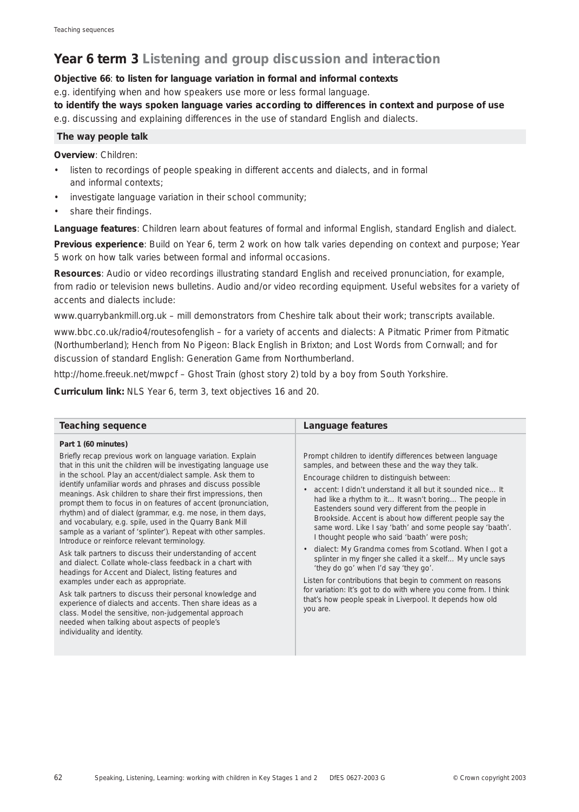# **Year 6 term 3 Listening and group discussion and interaction**

#### **Objective 66**: **to listen for language variation in formal and informal contexts**

e.g. identifying when and how speakers use more or less formal language.

**to identify the ways spoken language varies according to differences in context and purpose of use** e.g. discussing and explaining differences in the use of standard English and dialects.

#### *The way people talk*

**Overview**: Children:

- listen to recordings of people speaking in different accents and dialects, and in formal and informal contexts;
- investigate language variation in their school community;
- share their findings.

**Language features**: Children learn about features of formal and informal English, standard English and dialect.

**Previous experience**: Build on Year 6, term 2 work on how talk varies depending on context and purpose; Year 5 work on how talk varies between formal and informal occasions.

**Resources**: Audio or video recordings illustrating standard English and received pronunciation, for example, from radio or television news bulletins. Audio and/or video recording equipment. Useful websites for a variety of accents and dialects include:

www.quarrybankmill.org.uk – mill demonstrators from Cheshire talk about their work; transcripts available.

www.bbc.co.uk/radio4/routesofenglish – for a variety of accents and dialects: *A Pitmatic Primer* from *Pitmatic* (Northumberland); *Hench* from *No Pigeon: Black English in Brixton*; and *Lost Words* from *Cornwall*; and for discussion of standard English: *Generation Game* from *Northumberland*.

http://home.freeuk.net/mwpcf – Ghost Train (ghost story 2) told by a boy from South Yorkshire.

**Curriculum link:** NLS Year 6, term 3, text objectives 16 and 20.

| Teaching sequence                                                                                                                                                                                                                                                                                                                                                                                                                                                                                                                                                                                                                                                                                                                                                                                                                                                                                                                                                                                                                                                                                                                                              | Language features                                                                                                                                                                                                                                                                                                                                                                                                                                                                                                                                                                                                                                                                                                                                                                                                                                                                                                |
|----------------------------------------------------------------------------------------------------------------------------------------------------------------------------------------------------------------------------------------------------------------------------------------------------------------------------------------------------------------------------------------------------------------------------------------------------------------------------------------------------------------------------------------------------------------------------------------------------------------------------------------------------------------------------------------------------------------------------------------------------------------------------------------------------------------------------------------------------------------------------------------------------------------------------------------------------------------------------------------------------------------------------------------------------------------------------------------------------------------------------------------------------------------|------------------------------------------------------------------------------------------------------------------------------------------------------------------------------------------------------------------------------------------------------------------------------------------------------------------------------------------------------------------------------------------------------------------------------------------------------------------------------------------------------------------------------------------------------------------------------------------------------------------------------------------------------------------------------------------------------------------------------------------------------------------------------------------------------------------------------------------------------------------------------------------------------------------|
| Part 1 (60 minutes)<br>Briefly recap previous work on language variation. Explain<br>that in this unit the children will be investigating language use<br>in the school. Play an accent/dialect sample. Ask them to<br>identify unfamiliar words and phrases and discuss possible<br>meanings. Ask children to share their first impressions, then<br>prompt them to focus in on features of accent (pronunciation,<br>rhythm) and of dialect (grammar, e.g. me nose, in them days,<br>and vocabulary, e.g. spile, used in the Quarry Bank Mill<br>sample as a variant of 'splinter'). Repeat with other samples.<br>Introduce or reinforce relevant terminology.<br>Ask talk partners to discuss their understanding of accent<br>and dialect. Collate whole-class feedback in a chart with<br>headings for Accent and Dialect, listing features and<br>examples under each as appropriate.<br>Ask talk partners to discuss their personal knowledge and<br>experience of dialects and accents. Then share ideas as a<br>class. Model the sensitive, non-judgemental approach<br>needed when talking about aspects of people's<br>individuality and identity. | Prompt children to identify differences between language<br>samples, and between these and the way they talk.<br>Encourage children to distinguish between:<br>accent: I didn't understand it all but it sounded nice It<br>$\bullet$<br>had like a rhythm to it It wasn't boring The people in<br>Eastenders sound very different from the people in<br>Brookside. Accent is about how different people say the<br>same word. Like I say 'bath' and some people say 'baath'.<br>I thought people who said 'baath' were posh;<br>dialect: My Grandma comes from Scotland. When I got a<br>$\bullet$<br>splinter in my finger she called it a skelf My uncle says<br>'they do go' when I'd say 'they go'.<br>Listen for contributions that begin to comment on reasons<br>for variation: It's got to do with where you come from. I think<br>that's how people speak in Liverpool. It depends how old<br>you are. |

#### Speaking, Listening, Learning: working with children in Key Stages 1 and 2 DfES 0627-2003 G 62 © Crown copyright 2003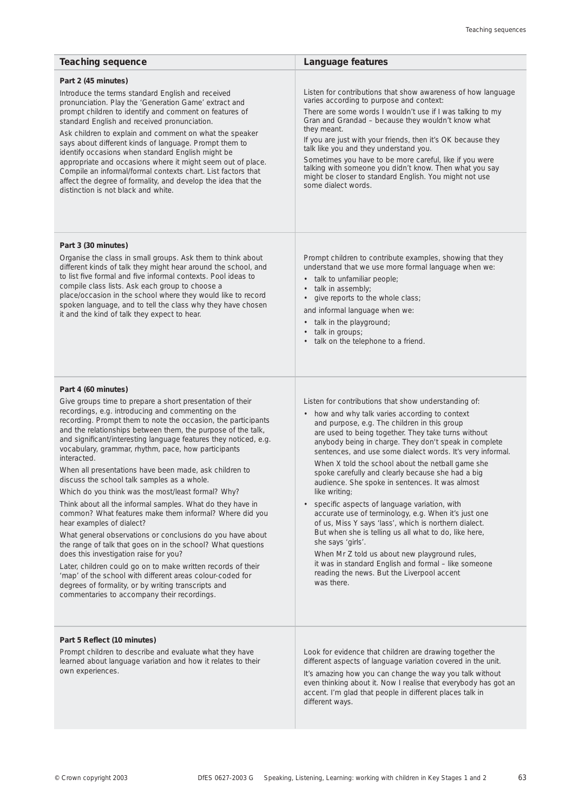| <b>Teaching sequence</b>                                                                                                                                                                                                                                                                                                                                                                                                                                                                                                                                                                                                                                                                                                                                                                                                                                                                                                                                                                                                                                                                                                                          | Language features                                                                                                                                                                                                                                                                                                                                                                                                                                                                                                                                                                                                                                                                                                                                                                                                                                                                                                                    |
|---------------------------------------------------------------------------------------------------------------------------------------------------------------------------------------------------------------------------------------------------------------------------------------------------------------------------------------------------------------------------------------------------------------------------------------------------------------------------------------------------------------------------------------------------------------------------------------------------------------------------------------------------------------------------------------------------------------------------------------------------------------------------------------------------------------------------------------------------------------------------------------------------------------------------------------------------------------------------------------------------------------------------------------------------------------------------------------------------------------------------------------------------|--------------------------------------------------------------------------------------------------------------------------------------------------------------------------------------------------------------------------------------------------------------------------------------------------------------------------------------------------------------------------------------------------------------------------------------------------------------------------------------------------------------------------------------------------------------------------------------------------------------------------------------------------------------------------------------------------------------------------------------------------------------------------------------------------------------------------------------------------------------------------------------------------------------------------------------|
| Part 2 (45 minutes)<br>Introduce the terms standard English and received<br>pronunciation. Play the 'Generation Game' extract and<br>prompt children to identify and comment on features of<br>standard English and received pronunciation.<br>Ask children to explain and comment on what the speaker<br>says about different kinds of language. Prompt them to<br>identify occasions when standard English might be<br>appropriate and occasions where it might seem out of place.<br>Compile an informal/formal contexts chart. List factors that<br>affect the degree of formality, and develop the idea that the<br>distinction is not black and white.                                                                                                                                                                                                                                                                                                                                                                                                                                                                                      | Listen for contributions that show awareness of how language<br>varies according to purpose and context:<br>There are some words I wouldn't use if I was talking to my<br>Gran and Grandad - because they wouldn't know what<br>they meant.<br>If you are just with your friends, then it's OK because they<br>talk like you and they understand you.<br>Sometimes you have to be more careful, like if you were<br>talking with someone you didn't know. Then what you say<br>might be closer to standard English. You might not use<br>some dialect words.                                                                                                                                                                                                                                                                                                                                                                         |
| Part 3 (30 minutes)<br>Organise the class in small groups. Ask them to think about<br>different kinds of talk they might hear around the school, and<br>to list five formal and five informal contexts. Pool ideas to<br>compile class lists. Ask each group to choose a<br>place/occasion in the school where they would like to record<br>spoken language, and to tell the class why they have chosen<br>it and the kind of talk they expect to hear.                                                                                                                                                                                                                                                                                                                                                                                                                                                                                                                                                                                                                                                                                           | Prompt children to contribute examples, showing that they<br>understand that we use more formal language when we:<br>• talk to unfamiliar people;<br>talk in assembly;<br>give reports to the whole class;<br>$\bullet$<br>and informal language when we:<br>talk in the playground;<br>talk in groups;<br>$\bullet$<br>talk on the telephone to a friend.                                                                                                                                                                                                                                                                                                                                                                                                                                                                                                                                                                           |
| Part 4 (60 minutes)<br>Give groups time to prepare a short presentation of their<br>recordings, e.g. introducing and commenting on the<br>recording. Prompt them to note the occasion, the participants<br>and the relationships between them, the purpose of the talk,<br>and significant/interesting language features they noticed, e.g.<br>vocabulary, grammar, rhythm, pace, how participants<br>interacted.<br>When all presentations have been made, ask children to<br>discuss the school talk samples as a whole.<br>Which do you think was the most/least formal? Why?<br>Think about all the informal samples. What do they have in<br>common? What features make them informal? Where did you<br>hear examples of dialect?<br>What general observations or conclusions do you have about<br>the range of talk that goes on in the school? What questions<br>does this investigation raise for you?<br>Later, children could go on to make written records of their<br>'map' of the school with different areas colour-coded for<br>degrees of formality, or by writing transcripts and<br>commentaries to accompany their recordings. | Listen for contributions that show understanding of:<br>how and why talk varies according to context<br>and purpose, e.g. The children in this group<br>are used to being together. They take turns without<br>anybody being in charge. They don't speak in complete<br>sentences, and use some dialect words. It's very informal.<br>When X told the school about the netball game she<br>spoke carefully and clearly because she had a big<br>audience. She spoke in sentences. It was almost<br>like writing;<br>specific aspects of language variation, with<br>accurate use of terminology, e.g. When it's just one<br>of us, Miss Y says 'lass', which is northern dialect.<br>But when she is telling us all what to do, like here,<br>she says 'girls'.<br>When Mr Z told us about new playground rules,<br>it was in standard English and formal - like someone<br>reading the news. But the Liverpool accent<br>was there. |
| Part 5 Reflect (10 minutes)<br>Prompt children to describe and evaluate what they have<br>learned about language variation and how it relates to their<br>own experiences.                                                                                                                                                                                                                                                                                                                                                                                                                                                                                                                                                                                                                                                                                                                                                                                                                                                                                                                                                                        | Look for evidence that children are drawing together the<br>different aspects of language variation covered in the unit.<br>It's amazing how you can change the way you talk without<br>even thinking about it. Now I realise that everybody has got an<br>accent. I'm glad that people in different places talk in<br>different ways.                                                                                                                                                                                                                                                                                                                                                                                                                                                                                                                                                                                               |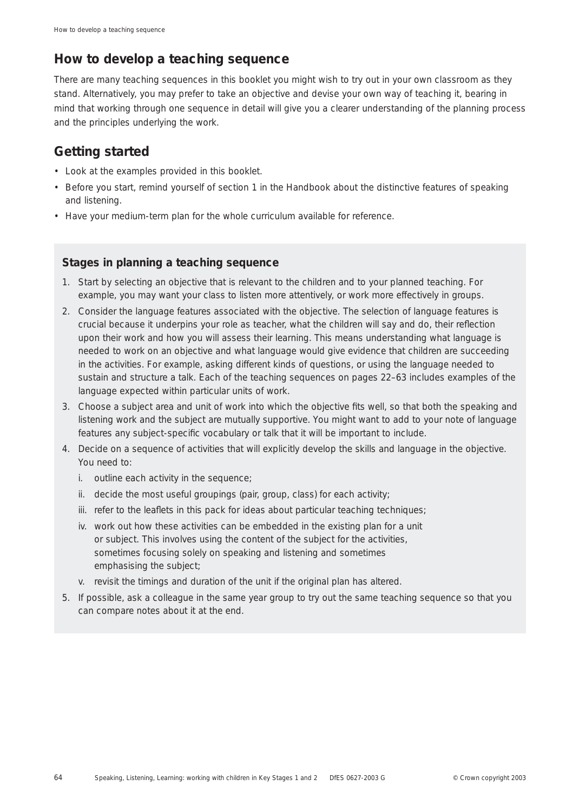### **How to develop a teaching sequence**

There are many teaching sequences in this booklet you might wish to try out in your own classroom as they stand. Alternatively, you may prefer to take an objective and devise your own way of teaching it, bearing in mind that working through one sequence in detail will give you a clearer understanding of the planning process and the principles underlying the work.

# **Getting started**

- Look at the examples provided in this booklet.
- Before you start, remind yourself of section 1 in the Handbook about the distinctive features of speaking and listening.
- Have your medium-term plan for the whole curriculum available for reference.

### **Stages in planning a teaching sequence**

- 1. Start by selecting an objective that is relevant to the children and to your planned teaching. For example, you may want your class to listen more attentively, or work more effectively in groups.
- 2. Consider the language features associated with the objective. The selection of language features is crucial because it underpins your role as teacher, what the children will say and do, their reflection upon their work and how you will assess their learning. This means understanding what language is needed to work on an objective and what language would give evidence that children are succeeding in the activities. For example, asking different kinds of questions, or using the language needed to sustain and structure a talk. Each of the teaching sequences on pages 22–63 includes examples of the language expected within particular units of work.
- 3. Choose a subject area and unit of work into which the objective fits well, so that both the speaking and listening work and the subject are mutually supportive. You might want to add to your note of language features any subject-specific vocabulary or talk that it will be important to include.
- 4. Decide on a sequence of activities that will explicitly develop the skills and language in the objective. You need to:
	- i. outline each activity in the sequence;
	- ii. decide the most useful groupings (pair, group, class) for each activity;
	- iii. refer to the leaflets in this pack for ideas about particular teaching techniques;
	- iv. work out how these activities can be embedded in the existing plan for a unit or subject. This involves using the content of the subject for the activities, sometimes focusing solely on speaking and listening and sometimes emphasising the subject;
	- v. revisit the timings and duration of the unit if the original plan has altered.
- 5. If possible, ask a colleague in the same year group to try out the same teaching sequence so that you can compare notes about it at the end.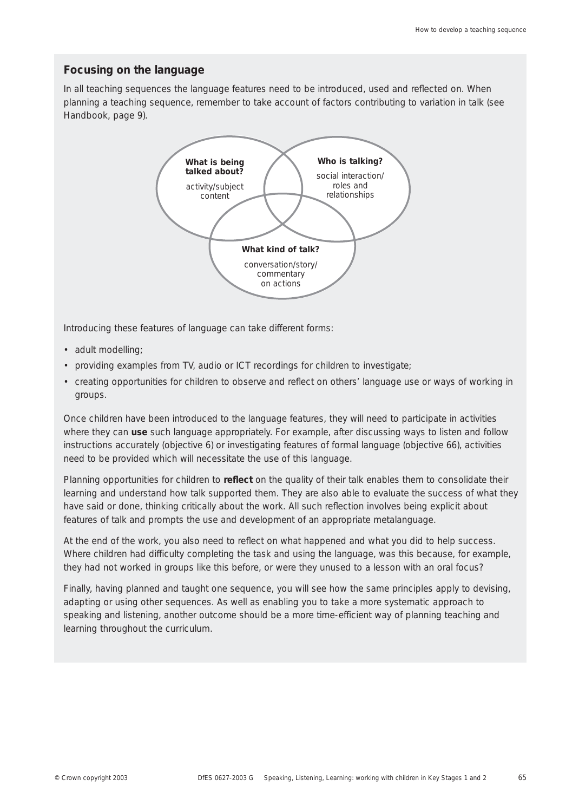### **Focusing on the language**

In all teaching sequences the language features need to be introduced, used and reflected on. When planning a teaching sequence, remember to take account of factors contributing to variation in talk (see Handbook, page 9).



Introducing these features of language can take different forms:

- adult modelling;
- providing examples from TV, audio or ICT recordings for children to investigate;
- creating opportunities for children to observe and reflect on others' language use or ways of working in groups.

Once children have been introduced to the language features, they will need to participate in activities where they can **use** such language appropriately. For example, after discussing ways to listen and follow instructions accurately (objective 6) or investigating features of formal language (objective 66), activities need to be provided which will necessitate the use of this language.

Planning opportunities for children to **reflect** on the quality of their talk enables them to consolidate their learning and understand how talk supported them. They are also able to evaluate the success of what they have said or done, thinking critically about the work. All such reflection involves being explicit about features of talk and prompts the use and development of an appropriate metalanguage.

At the end of the work, you also need to reflect on what happened and what you did to help success. Where children had difficulty completing the task and using the language, was this because, for example, they had not worked in groups like this before, or were they unused to a lesson with an oral focus?

Finally, having planned and taught one sequence, you will see how the same principles apply to devising, adapting or using other sequences. As well as enabling you to take a more systematic approach to speaking and listening, another outcome should be a more time-efficient way of planning teaching and learning throughout the curriculum.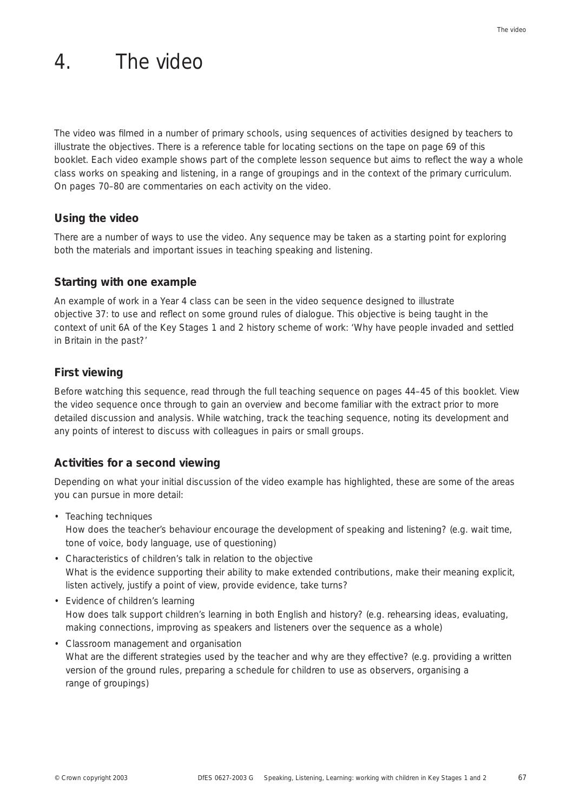# 4. The video

The video was filmed in a number of primary schools, using sequences of activities designed by teachers to illustrate the objectives. There is a reference table for locating sections on the tape on page 69 of this booklet. Each video example shows part of the complete lesson sequence but aims to reflect the way a whole class works on speaking and listening, in a range of groupings and in the context of the primary curriculum. On pages 70–80 are commentaries on each activity on the video.

### **Using the video**

There are a number of ways to use the video. Any sequence may be taken as a starting point for exploring both the materials and important issues in teaching speaking and listening.

### **Starting with one example**

An example of work in a Year 4 class can be seen in the video sequence designed to illustrate objective 37: to use and reflect on some ground rules of dialogue. This objective is being taught in the context of unit 6A of the Key Stages 1 and 2 history scheme of work: 'Why have people invaded and settled in Britain in the past?'

### **First viewing**

Before watching this sequence, read through the full teaching sequence on pages 44–45 of this booklet. View the video sequence once through to gain an overview and become familiar with the extract prior to more detailed discussion and analysis. While watching, track the teaching sequence, noting its development and any points of interest to discuss with colleagues in pairs or small groups.

### **Activities for a second viewing**

Depending on what your initial discussion of the video example has highlighted, these are some of the areas you can pursue in more detail:

• *Teaching techniques* 

How does the teacher's behaviour encourage the development of speaking and listening? (e.g. wait time, tone of voice, body language, use of questioning)

- *Characteristics of children's talk in relation to the objective* What is the evidence supporting their ability to make extended contributions, make their meaning explicit, listen actively, justify a point of view, provide evidence, take turns?
- *Evidence of children's learning* How does talk support children's learning in both English and history? (e.g. rehearsing ideas, evaluating, making connections, improving as speakers and listeners over the sequence as a whole)
- *Classroom management and organisation* What are the different strategies used by the teacher and why are they effective? (e.g. providing a written version of the ground rules, preparing a schedule for children to use as observers, organising a range of groupings)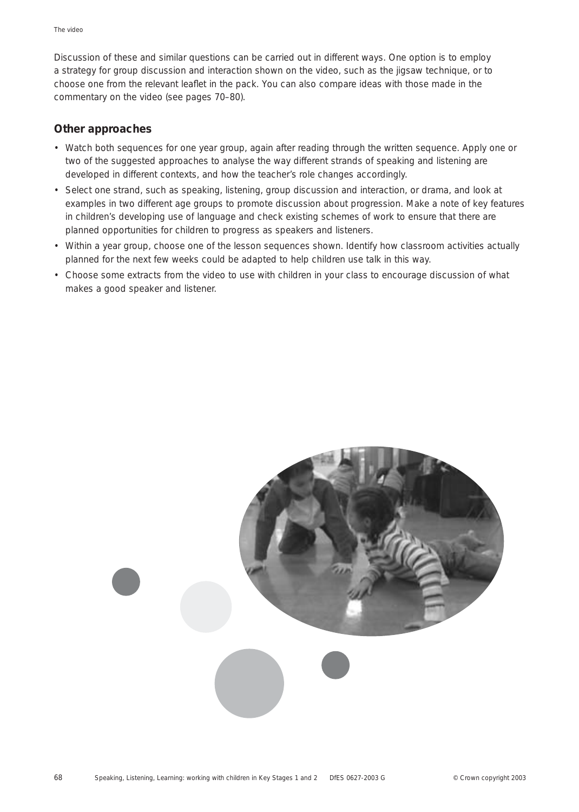Discussion of these and similar questions can be carried out in different ways. One option is to employ a strategy for group discussion and interaction shown on the video, such as the jigsaw technique, or to choose one from the relevant leaflet in the pack. You can also compare ideas with those made in the commentary on the video (see pages 70–80).

### **Other approaches**

- Watch both sequences for one year group, again after reading through the written sequence. Apply one or two of the suggested approaches to analyse the way different strands of speaking and listening are developed in different contexts, and how the teacher's role changes accordingly.
- Select one strand, such as speaking, listening, group discussion and interaction, or drama, and look at examples in two different age groups to promote discussion about progression. Make a note of key features in children's developing use of language and check existing schemes of work to ensure that there are planned opportunities for children to progress as speakers and listeners.
- Within a year group, choose one of the lesson sequences shown. Identify how classroom activities actually planned for the next few weeks could be adapted to help children use talk in this way.
- Choose some extracts from the video to use with children in your class to encourage discussion of what makes a good speaker and listener.

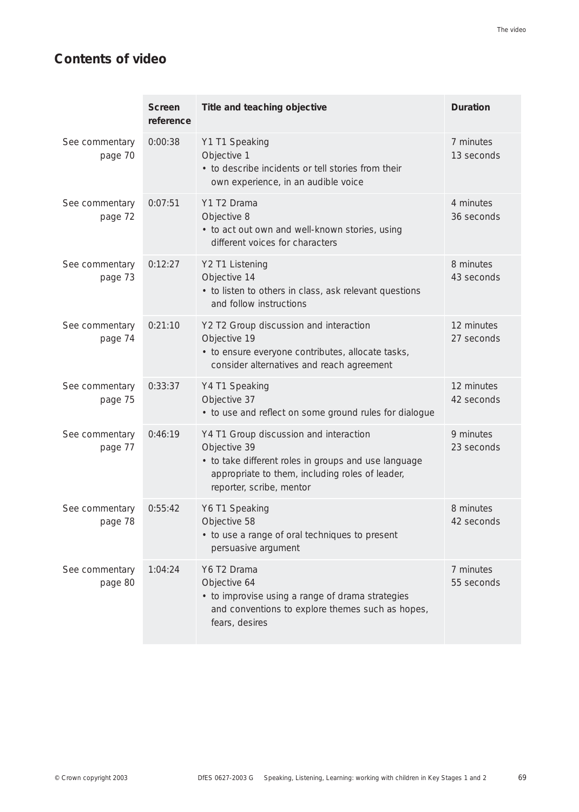# **Contents of video**

|                           | <b>Screen</b><br>reference | Title and teaching objective                                                                                                                                                                  | <b>Duration</b>          |
|---------------------------|----------------------------|-----------------------------------------------------------------------------------------------------------------------------------------------------------------------------------------------|--------------------------|
| See commentary<br>page 70 | 0:00:38                    | Y1 T1 Speaking<br>Objective 1<br>• to describe incidents or tell stories from their<br>own experience, in an audible voice                                                                    | 7 minutes<br>13 seconds  |
| See commentary<br>page 72 | 0:07:51                    | Y1 T2 Drama<br>Objective 8<br>• to act out own and well-known stories, using<br>different voices for characters                                                                               | 4 minutes<br>36 seconds  |
| See commentary<br>page 73 | 0:12:27                    | Y2 T1 Listening<br>Objective 14<br>• to listen to others in class, ask relevant questions<br>and follow instructions                                                                          | 8 minutes<br>43 seconds  |
| See commentary<br>page 74 | 0:21:10                    | Y2 T2 Group discussion and interaction<br>Objective 19<br>• to ensure everyone contributes, allocate tasks,<br>consider alternatives and reach agreement                                      | 12 minutes<br>27 seconds |
| See commentary<br>page 75 | 0:33:37                    | Y4 T1 Speaking<br>Objective 37<br>• to use and reflect on some ground rules for dialogue                                                                                                      | 12 minutes<br>42 seconds |
| See commentary<br>page 77 | 0:46:19                    | Y4 T1 Group discussion and interaction<br>Objective 39<br>• to take different roles in groups and use language<br>appropriate to them, including roles of leader,<br>reporter, scribe, mentor | 9 minutes<br>23 seconds  |
| See commentary<br>page 78 | 0:55:42                    | Y6 T1 Speaking<br>Objective 58<br>• to use a range of oral techniques to present<br>persuasive argument                                                                                       | 8 minutes<br>42 seconds  |
| See commentary<br>page 80 | 1:04:24                    | Y6 T2 Drama<br>Objective 64<br>• to improvise using a range of drama strategies<br>and conventions to explore themes such as hopes,<br>fears, desires                                         | 7 minutes<br>55 seconds  |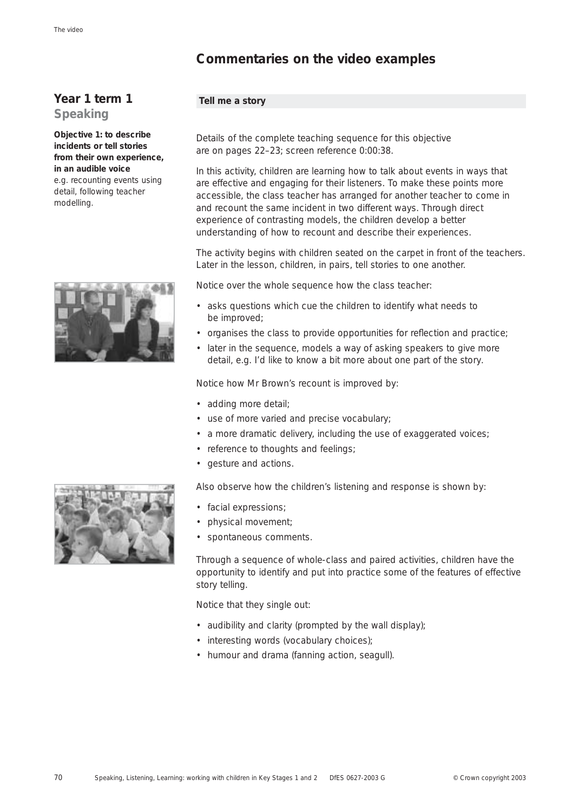### **Year 1 term 1 Speaking**

**Objective 1: to describe incidents or tell stories from their own experience, in an audible voice** e.g. recounting events using detail, following teacher modelling.



### **Commentaries on the video examples**

### *Tell me a story*

Details of the complete teaching sequence for this objective are on pages 22–23; screen reference 0:00:38.

In this activity, children are learning how to talk about events in ways that are effective and engaging for their listeners. To make these points more accessible, the class teacher has arranged for another teacher to come in and recount the same incident in two different ways. Through direct experience of contrasting models, the children develop a better understanding of how to recount and describe their experiences.

The activity begins with children seated on the carpet in front of the teachers. Later in the lesson, children, in pairs, tell stories to one another.

Notice over the whole sequence how the class teacher:

- asks questions which cue the children to identify what needs to be improved;
- organises the class to provide opportunities for reflection and practice;
- later in the sequence, models a way of asking speakers to give more detail, e.g. *I'd like to know a bit more about one part of the story*.

Notice how Mr Brown's recount is improved by:

- adding more detail;
- use of more varied and precise vocabulary;
- a more dramatic delivery, including the use of exaggerated voices;
- reference to thoughts and feelings;
- gesture and actions.

Also observe how the children's listening and response is shown by:

- facial expressions;
- physical movement;
- spontaneous comments.

Through a sequence of whole-class and paired activities, children have the opportunity to identify and put into practice some of the features of effective story telling.

Notice that they single out:

- audibility and clarity (prompted by the wall display);
- interesting words (vocabulary choices);
- humour and drama (fanning action, seagull).

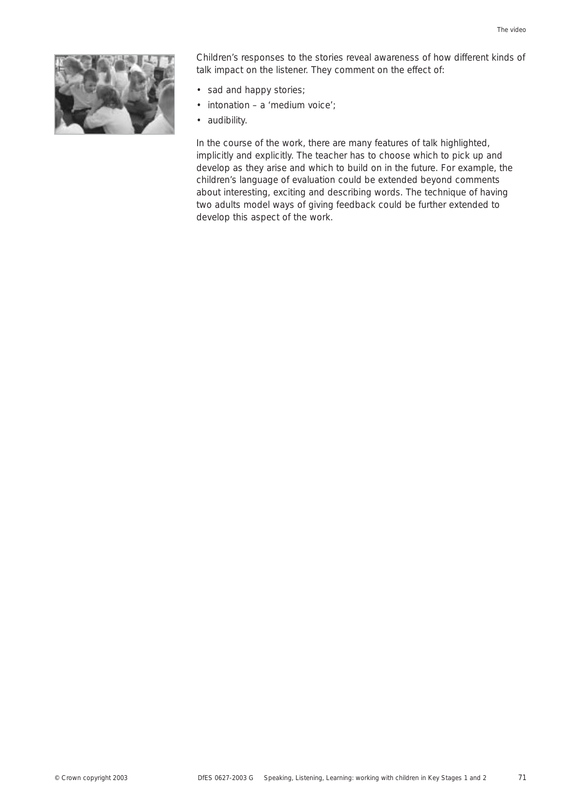

Children's responses to the stories reveal awareness of how different kinds of talk impact on the listener. They comment on the effect of:

- sad and happy stories;
- intonation a 'medium voice';
- audibility.

In the course of the work, there are many features of talk highlighted, implicitly and explicitly. The teacher has to choose which to pick up and develop as they arise and which to build on in the future. For example, the children's language of evaluation could be extended beyond comments about *interesting*, *exciting* and *describing words*. The technique of having two adults model ways of giving feedback could be further extended to develop this aspect of the work.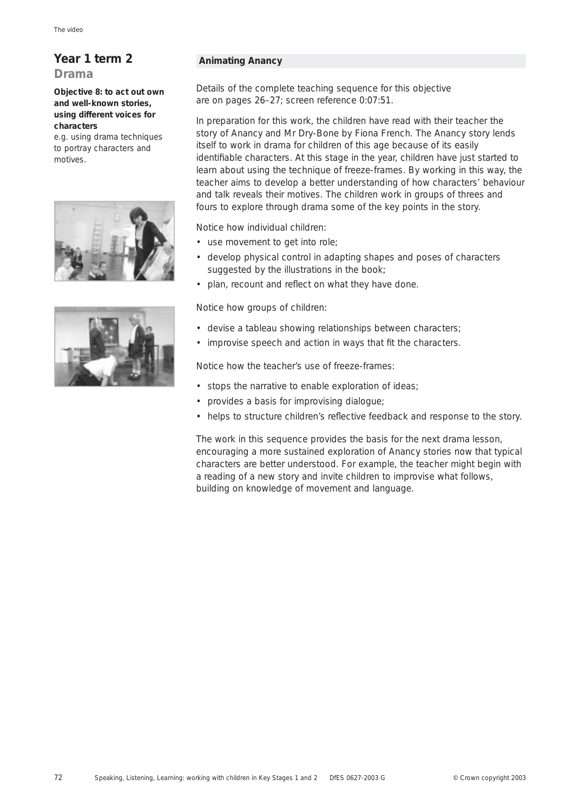# **Year 1 term 2**

# **Drama**

**Objective 8: to act out own and well-known stories, using different voices for characters**

e.g. using drama techniques to portray characters and motives.





#### *Animating Anancy*

Details of the complete teaching sequence for this objective are on pages 26–27; screen reference 0:07:51.

In preparation for this work, the children have read with their teacher the story of *Anancy and Mr Dry-Bone* by Fiona French. The Anancy story lends itself to work in drama for children of this age because of its easily identifiable characters. At this stage in the year, children have just started to learn about using the technique of freeze-frames. By working in this way, the teacher aims to develop a better understanding of how characters' behaviour and talk reveals their motives. The children work in groups of threes and fours to explore through drama some of the key points in the story.

Notice how individual children:

- use movement to get into role;
- develop physical control in adapting shapes and poses of characters suggested by the illustrations in the book;
- plan, recount and reflect on what they have done.

Notice how groups of children:

- devise a tableau showing relationships between characters;
- improvise speech and action in ways that fit the characters.

Notice how the teacher's use of freeze-frames:

- stops the narrative to enable exploration of ideas;
- provides a basis for improvising dialogue;
- helps to structure children's reflective feedback and response to the story.

The work in this sequence provides the basis for the next drama lesson, encouraging a more sustained exploration of Anancy stories now that typical characters are better understood. For example, the teacher might begin with a reading of a new story and invite children to improvise what follows, building on knowledge of movement and language.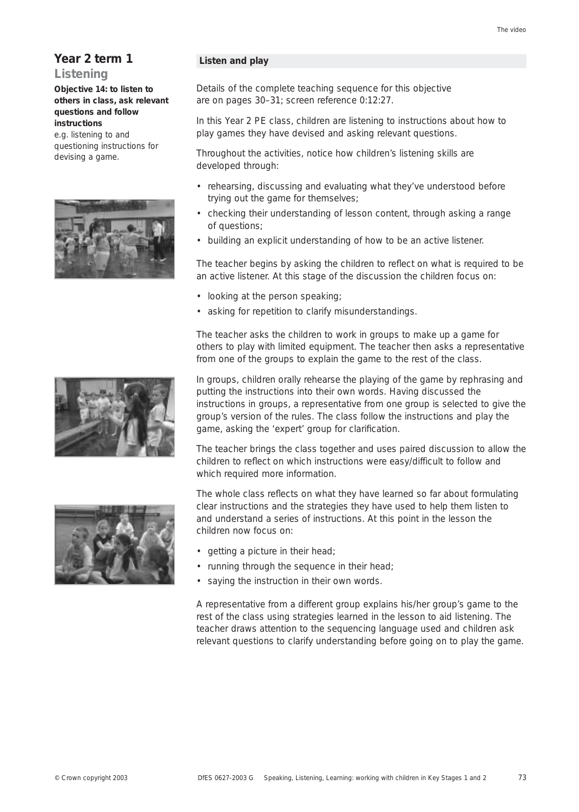# **Year 2 term 1**

# **Listening**

**Objective 14: to listen to others in class, ask relevant questions and follow instructions** e.g. listening to and questioning instructions for devising a game.



#### *Listen and play*

Details of the complete teaching sequence for this objective are on pages 30–31; screen reference 0:12:27.

In this Year 2 PE class, children are listening to instructions about how to play games they have devised and asking relevant questions.

Throughout the activities, notice how children's listening skills are developed through:

- rehearsing, discussing and evaluating what they've understood before trying out the game for themselves;
- checking their understanding of lesson content, through asking a range of questions;
- building an explicit understanding of how to be an active listener.

The teacher begins by asking the children to reflect on what is required to be an active listener. At this stage of the discussion the children focus on:

- looking at the person speaking;
- asking for repetition to clarify misunderstandings.

The teacher asks the children to work in groups to make up a game for others to play with limited equipment. The teacher then asks a representative from one of the groups to explain the game to the rest of the class.



In groups, children orally rehearse the playing of the game by rephrasing and putting the instructions into their own words. Having discussed the instructions in groups, a representative from one group is selected to give the group's version of the rules. The class follow the instructions and play the game, asking the 'expert' group for clarification.

The teacher brings the class together and uses paired discussion to allow the children to reflect on which instructions were easy/difficult to follow and which required more information.

The whole class reflects on what they have learned so far about formulating clear instructions and the strategies they have used to help them listen to and understand a series of instructions. At this point in the lesson the children now focus on:

- getting a picture in their head;
- running through the sequence in their head;
- saying the instruction in their own words.

A representative from a different group explains his/her group's game to the rest of the class using strategies learned in the lesson to aid listening. The teacher draws attention to the sequencing language used and children ask relevant questions to clarify understanding before going on to play the game.

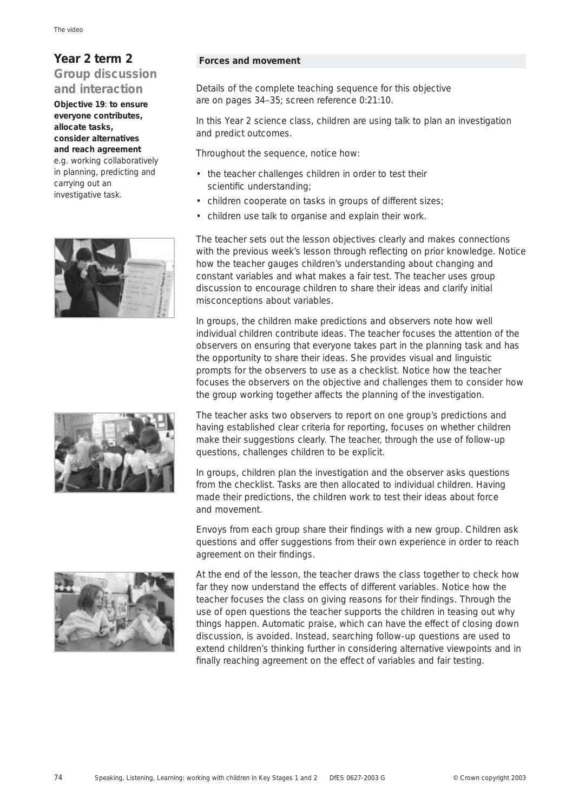## **Year 2 term 2 Group discussion and interaction**

**Objective 19**: **to ensure everyone contributes, allocate tasks, consider alternatives and reach agreement** e.g. working collaboratively in planning, predicting and carrying out an investigative task.



#### *Forces and movement*

Details of the complete teaching sequence for this objective are on pages 34–35; screen reference 0:21:10.

In this Year 2 science class, children are using talk to plan an investigation and predict outcomes.

Throughout the sequence, notice how:

- the teacher challenges children in order to test their scientific understanding;
- children cooperate on tasks in groups of different sizes;
- children use talk to organise and explain their work.

The teacher sets out the lesson objectives clearly and makes connections with the previous week's lesson through reflecting on prior knowledge. Notice how the teacher gauges children's understanding about changing and constant variables and what makes a fair test. The teacher uses group discussion to encourage children to share their ideas and clarify initial misconceptions about variables.

In groups, the children make predictions and observers note how well individual children contribute ideas. The teacher focuses the attention of the observers on ensuring that everyone takes part in the planning task and has the opportunity to share their ideas. She provides visual and linguistic prompts for the observers to use as a checklist. Notice how the teacher focuses the observers on the objective and challenges them to consider how the group working together affects the planning of the investigation.



The teacher asks two observers to report on one group's predictions and having established clear criteria for reporting, focuses on whether children make their suggestions clearly. The teacher, through the use of follow-up questions, challenges children to be explicit.

In groups, children plan the investigation and the observer asks questions from the checklist. Tasks are then allocated to individual children. Having made their predictions, the children work to test their ideas about force and movement.

Envoys from each group share their findings with a new group. Children ask questions and offer suggestions from their own experience in order to reach agreement on their findings.



At the end of the lesson, the teacher draws the class together to check how far they now understand the effects of different variables. Notice how the teacher focuses the class on giving reasons for their findings. Through the use of open questions the teacher supports the children in teasing out why things happen. Automatic praise, which can have the effect of closing down discussion, is avoided. Instead, searching follow-up questions are used to extend children's thinking further in considering alternative viewpoints and in finally reaching agreement on the effect of variables and fair testing.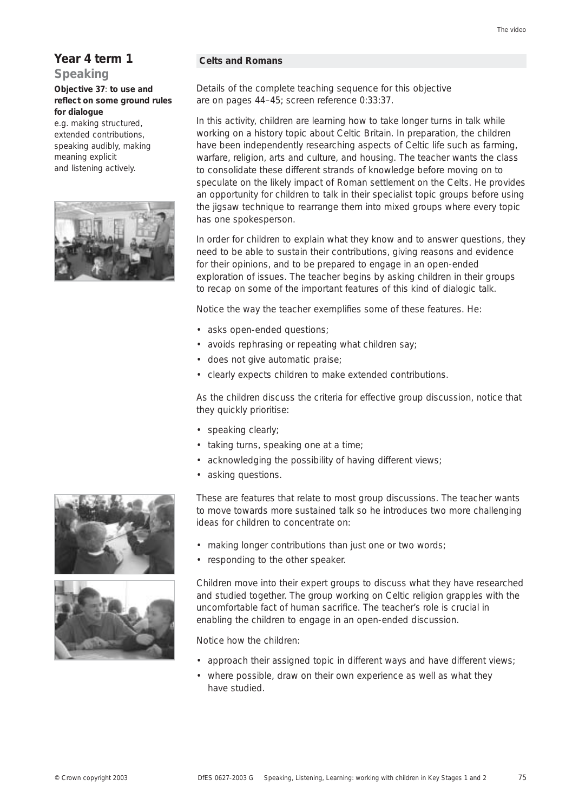# **Year 4 term 1**

### **Speaking**

**Objective 37**: **to use and reflect on some ground rules for dialogue**

e.g. making structured, extended contributions, speaking audibly, making meaning explicit and listening actively.



#### *Celts and Romans*

Details of the complete teaching sequence for this objective are on pages 44–45; screen reference 0:33:37.

In this activity, children are learning how to take longer turns in talk while working on a history topic about Celtic Britain. In preparation, the children have been independently researching aspects of Celtic life such as farming, warfare, religion, arts and culture, and housing. The teacher wants the class to consolidate these different strands of knowledge before moving on to speculate on the likely impact of Roman settlement on the Celts. He provides an opportunity for children to talk in their specialist topic groups before using the jigsaw technique to rearrange them into mixed groups where every topic has one spokesperson.

In order for children to explain what they know and to answer questions, they need to be able to sustain their contributions, giving reasons and evidence for their opinions, and to be prepared to engage in an open-ended exploration of issues. The teacher begins by asking children in their groups to recap on some of the important features of this kind of dialogic talk.

Notice the way the teacher exemplifies some of these features. He:

- asks open-ended questions;
- avoids rephrasing or repeating what children say;
- does not give automatic praise;
- clearly expects children to make extended contributions.

As the children discuss the criteria for effective group discussion, notice that they quickly prioritise:

- speaking clearly;
- taking turns, speaking one at a time;
- acknowledging the possibility of having different views;
- asking questions.



These are features that relate to most group discussions. The teacher wants to move towards more sustained talk so he introduces two more challenging ideas for children to concentrate on:

- making longer contributions than just one or two words;
- responding to the other speaker.

Children move into their expert groups to discuss what they have researched and studied together. The group working on Celtic religion grapples with the uncomfortable fact of human sacrifice. The teacher's role is crucial in enabling the children to engage in an open-ended discussion.

Notice how the children:

- approach their assigned topic in different ways and have different views;
- where possible, draw on their own experience as well as what they have studied.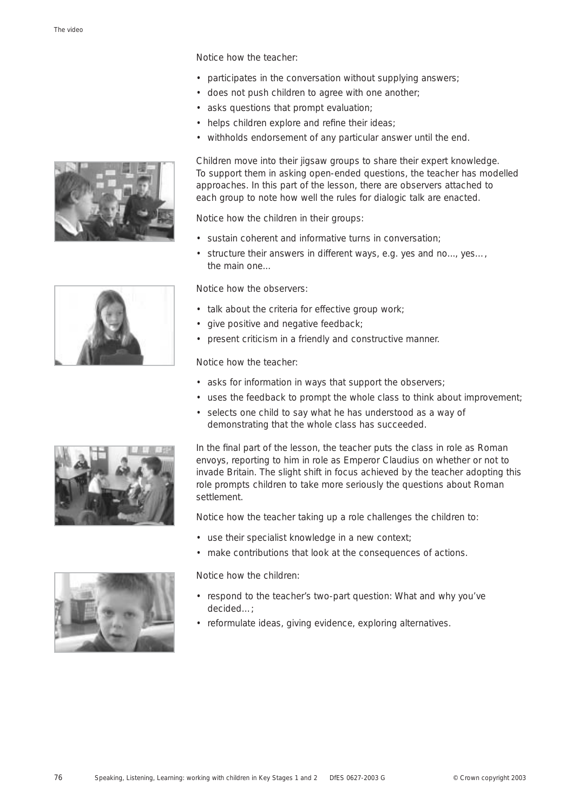Notice how the teacher:

- participates in the conversation without supplying answers;
- does not push children to agree with one another;
- asks questions that prompt evaluation;
- helps children explore and refine their ideas;
- withholds endorsement of any particular answer until the end.

Children move into their jigsaw groups to share their expert knowledge. To support them in asking open-ended questions, the teacher has modelled approaches. In this part of the lesson, there are observers attached to each group to note how well the rules for dialogic talk are enacted.

Notice how the children in their groups:

- sustain coherent and informative turns in conversation;
- structure their answers in different ways, e.g. *yes and no...*, *yes…, the main one...*

Notice how the observers:

- talk about the criteria for effective group work;
- give positive and negative feedback;
- present criticism in a friendly and constructive manner.

Notice how the teacher:

- asks for information in ways that support the observers;
- uses the feedback to prompt the whole class to think about improvement;
- selects one child to say what he has understood as a way of demonstrating that the whole class has succeeded.



In the final part of the lesson, the teacher puts the class in role as Roman envoys, reporting to him in role as Emperor Claudius on whether or not to invade Britain. The slight shift in focus achieved by the teacher adopting this role prompts children to take more seriously the questions about Roman settlement.

Notice how the teacher taking up a role challenges the children to:

- use their specialist knowledge in a new context;
- make contributions that look at the consequences of actions.



Notice how the children:

- respond to the teacher's two-part question: *What and why you've decided…*;
- reformulate ideas, giving evidence, exploring alternatives.

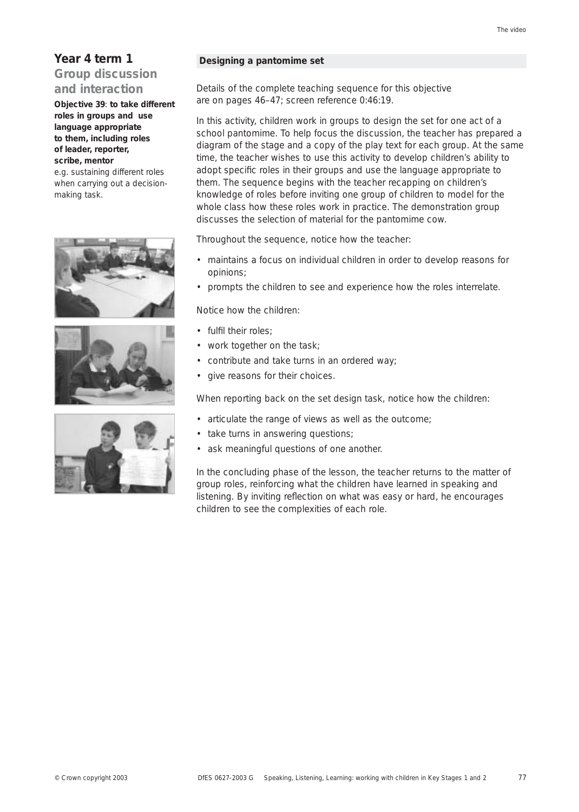## **Year 4 term 1 Group discussion and interaction**

**Objective 39**: **to take different roles in groups and use language appropriate to them, including roles of leader, reporter, scribe, mentor** e.g. sustaining different roles when carrying out a decisionmaking task.







#### *Designing a pantomime set*

Details of the complete teaching sequence for this objective are on pages 46–47; screen reference 0:46:19.

In this activity, children work in groups to design the set for one act of a school pantomime. To help focus the discussion, the teacher has prepared a diagram of the stage and a copy of the play text for each group. At the same time, the teacher wishes to use this activity to develop children's ability to adopt specific roles in their groups and use the language appropriate to them. The sequence begins with the teacher recapping on children's knowledge of roles before inviting one group of children to model for the whole class how these roles work in practice. The demonstration group discusses the selection of material for the pantomime cow.

Throughout the sequence, notice how the teacher:

- maintains a focus on individual children in order to develop reasons for opinions;
- prompts the children to see and experience how the roles interrelate.

Notice how the children:

- fulfil their roles;
- work together on the task;
- contribute and take turns in an ordered way;
- give reasons for their choices.

When reporting back on the set design task, notice how the children:

- articulate the range of views as well as the outcome;
- take turns in answering questions;
- ask meaningful questions of one another.

In the concluding phase of the lesson, the teacher returns to the matter of group roles, reinforcing what the children have learned in speaking and listening. By inviting reflection on what was easy or hard, he encourages children to see the complexities of each role.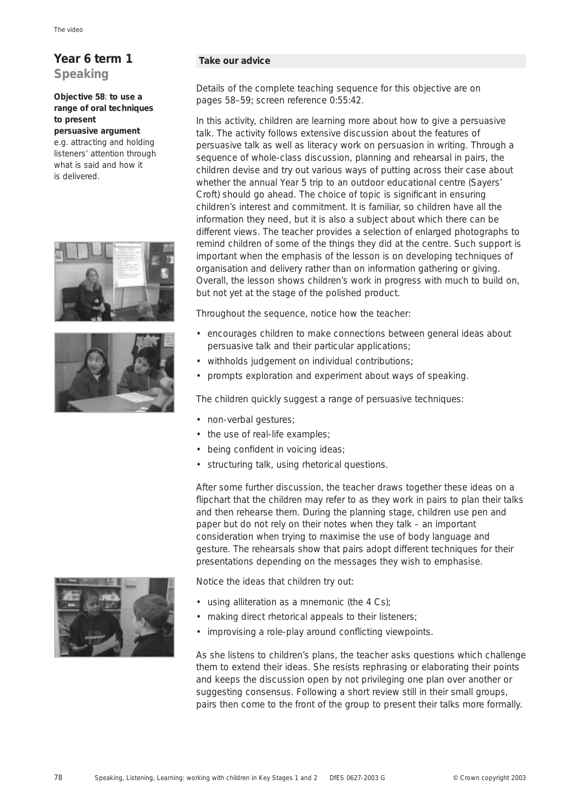# **Year 6 term 1 Speaking**

**Objective 58**: **to use a range of oral techniques to present persuasive argument**

e.g. attracting and holding listeners' attention through what is said and how it is delivered.





#### *Take our advice*

Details of the complete teaching sequence for this objective are on pages 58–59; screen reference 0:55:42.

In this activity, children are learning more about how to give a persuasive talk. The activity follows extensive discussion about the features of persuasive talk as well as literacy work on persuasion in writing. Through a sequence of whole-class discussion, planning and rehearsal in pairs, the children devise and try out various ways of putting across their case about whether the annual Year 5 trip to an outdoor educational centre (Sayers' Croft) should go ahead. The choice of topic is significant in ensuring children's interest and commitment. It is familiar, so children have all the information they need, but it is also a subject about which there can be different views. The teacher provides a selection of enlarged photographs to remind children of some of the things they did at the centre. Such support is important when the emphasis of the lesson is on developing techniques of organisation and delivery rather than on information gathering or giving. Overall, the lesson shows children's work in progress with much to build on, but not yet at the stage of the polished product.

Throughout the sequence, notice how the teacher:

- encourages children to make connections between general ideas about persuasive talk and their particular applications;
- withholds judgement on individual contributions;
- prompts exploration and experiment about ways of speaking.

The children quickly suggest a range of persuasive techniques:

- non-verbal gestures;
- the use of real-life examples;
- being confident in voicing ideas;
- structuring talk, using rhetorical questions.

After some further discussion, the teacher draws together these ideas on a flipchart that the children may refer to as they work in pairs to plan their talks and then rehearse them. During the planning stage, children use pen and paper but do not rely on their notes when they talk – an important consideration when trying to maximise the use of body language and gesture. The rehearsals show that pairs adopt different techniques for their presentations depending on the messages they wish to emphasise.

Notice the ideas that children try out:

- using alliteration as a mnemonic (*the 4 Cs*);
- making direct rhetorical appeals to their listeners;
- improvising a role-play around conflicting viewpoints.

As she listens to children's plans, the teacher asks questions which challenge them to extend their ideas. She resists rephrasing or elaborating their points and keeps the discussion open by not privileging one plan over another or suggesting consensus. Following a short review still in their small groups, pairs then come to the front of the group to present their talks more formally.

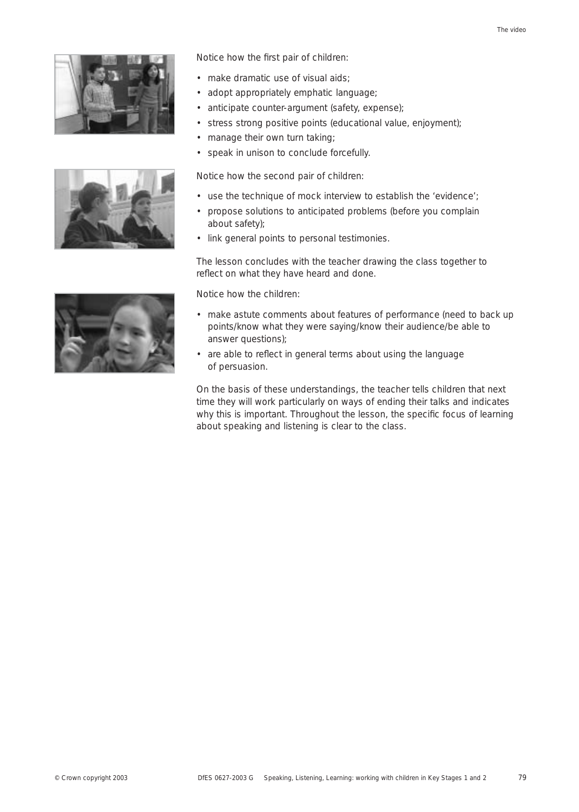



Notice how the first pair of children:

- make dramatic use of visual aids;
- adopt appropriately emphatic language;
- anticipate counter-argument (safety, expense);
- stress strong positive points (educational value, enjoyment);
- manage their own turn taking;
- speak in unison to conclude forcefully.

Notice how the second pair of children:

- use the technique of mock interview to establish the 'evidence';
- propose solutions to anticipated problems (*before you complain about safety*);
- link general points to personal testimonies.

The lesson concludes with the teacher drawing the class together to reflect on what they have heard and done.

Notice how the children:

- make astute comments about features of performance (*need to back up points/know what they were saying/know their audience/be able to answer questions*);
- are able to reflect in general terms about using the language of persuasion.

On the basis of these understandings, the teacher tells children that next time they will work particularly on ways of ending their talks and indicates why this is important. Throughout the lesson, the specific focus of learning about speaking and listening is clear to the class.

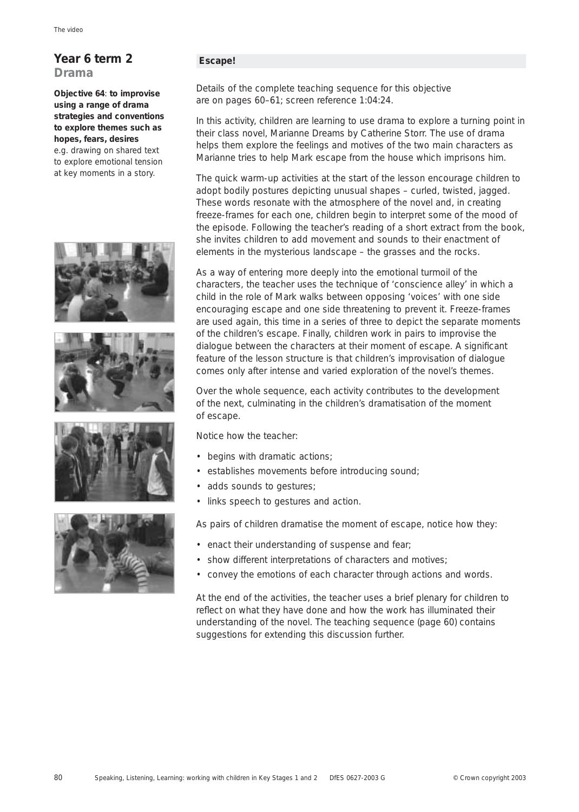# **Year 6 term 2 Drama**

**Objective 64**: **to improvise using a range of drama strategies and conventions to explore themes such as hopes, fears, desires** e.g. drawing on shared text to explore emotional tension at key moments in a story.









#### *Escape!*

Details of the complete teaching sequence for this objective are on pages 60–61; screen reference 1:04:24.

In this activity, children are learning to use drama to explore a turning point in their class novel, *Marianne Dreams* by Catherine Storr. The use of drama helps them explore the feelings and motives of the two main characters as Marianne tries to help Mark escape from the house which imprisons him.

The quick warm-up activities at the start of the lesson encourage children to adopt bodily postures depicting unusual shapes – curled, twisted, jagged. These words resonate with the atmosphere of the novel and, in creating freeze-frames for each one, children begin to interpret some of the mood of the episode. Following the teacher's reading of a short extract from the book, she invites children to add movement and sounds to their enactment of elements in the mysterious landscape – the grasses and the rocks.

As a way of entering more deeply into the emotional turmoil of the characters, the teacher uses the technique of 'conscience alley' in which a child in the role of Mark walks between opposing 'voices' with one side encouraging escape and one side threatening to prevent it. Freeze-frames are used again, this time in a series of three to depict the separate moments of the children's escape. Finally, children work in pairs to improvise the dialogue between the characters at their moment of escape. A significant feature of the lesson structure is that children's improvisation of dialogue comes only after intense and varied exploration of the novel's themes.

Over the whole sequence, each activity contributes to the development of the next, culminating in the children's dramatisation of the moment of escape.

Notice how the teacher:

- begins with dramatic actions;
- establishes movements before introducing sound;
- adds sounds to gestures;
- links speech to gestures and action.

As pairs of children dramatise the moment of escape, notice how they:

- enact their understanding of suspense and fear;
- show different interpretations of characters and motives;
- convey the emotions of each character through actions and words.

At the end of the activities, the teacher uses a brief plenary for children to reflect on what they have done and how the work has illuminated their understanding of the novel. The teaching sequence (page 60) contains suggestions for extending this discussion further.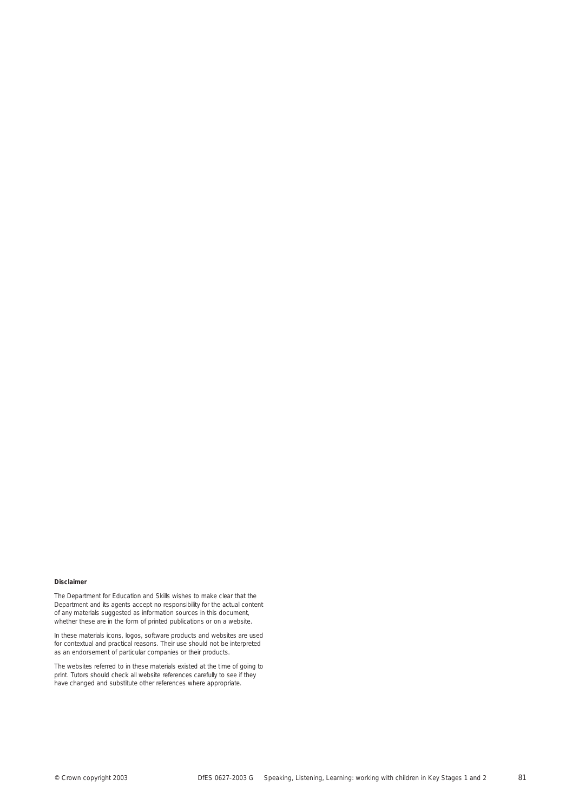#### **Disclaimer**

The Department for Education and Skills wishes to make clear that the Department and its agents accept no responsibility for the actual content of any materials suggested as information sources in this document, whether these are in the form of printed publications or on a website.

In these materials icons, logos, software products and websites are used for contextual and practical reasons. Their use should not be interpreted as an endorsement of particular companies or their products.

The websites referred to in these materials existed at the time of going to print. Tutors should check all website references carefully to see if they have changed and substitute other references where appropriate.